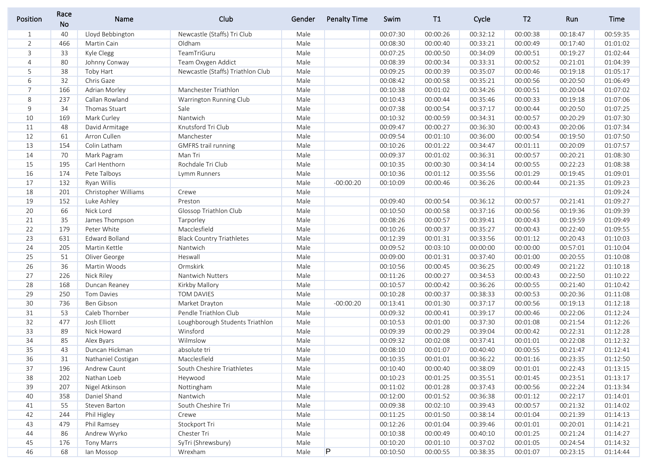| Position       | Race<br><b>No</b> | Name                  | Club                              | Gender | <b>Penalty Time</b> | Swim     | T1       | Cycle    | T <sub>2</sub> | Run      | Time     |
|----------------|-------------------|-----------------------|-----------------------------------|--------|---------------------|----------|----------|----------|----------------|----------|----------|
| $\mathbf{1}$   | 40                | Lloyd Bebbington      | Newcastle (Staffs) Tri Club       | Male   |                     | 00:07:30 | 00:00:26 | 00:32:12 | 00:00:38       | 00:18:47 | 00:59:35 |
| $\overline{2}$ | 466               | Martin Cain           | Oldham                            | Male   |                     | 00:08:30 | 00:00:40 | 00:33:21 | 00:00:49       | 00:17:40 | 01:01:02 |
| 3              | 33                | Kyle Clegg            | TeamTriGuru                       | Male   |                     | 00:07:25 | 00:00:50 | 00:34:09 | 00:00:51       | 00:19:27 | 01:02:44 |
| 4              | 80                | Johnny Conway         | Team Oxygen Addict                | Male   |                     | 00:08:39 | 00:00:34 | 00:33:31 | 00:00:52       | 00:21:01 | 01:04:39 |
| 5              | 38                | Toby Hart             | Newcastle (Staffs) Triathlon Club | Male   |                     | 00:09:25 | 00:00:39 | 00:35:07 | 00:00:46       | 00:19:18 | 01:05:17 |
| 6              | 32                | Chris Gaze            |                                   | Male   |                     | 00:08:42 | 00:00:58 | 00:35:21 | 00:00:56       | 00:20:50 | 01:06:49 |
| $\overline{7}$ | 166               | Adrian Morley         | Manchester Triathlon              | Male   |                     | 00:10:38 | 00:01:02 | 00:34:26 | 00:00:51       | 00:20:04 | 01:07:02 |
| 8              | 237               | Callan Rowland        | Warrington Running Club           | Male   |                     | 00:10:43 | 00:00:44 | 00:35:46 | 00:00:33       | 00:19:18 | 01:07:06 |
| 9              | 34                | Thomas Stuart         | Sale                              | Male   |                     | 00:07:38 | 00:00:54 | 00:37:17 | 00:00:44       | 00:20:50 | 01:07:25 |
| 10             | 169               | Mark Curley           | Nantwich                          | Male   |                     | 00:10:32 | 00:00:59 | 00:34:31 | 00:00:57       | 00:20:29 | 01:07:30 |
| 11             | 48                | David Armitage        | Knutsford Tri Club                | Male   |                     | 00:09:47 | 00:00:27 | 00:36:30 | 00:00:43       | 00:20:06 | 01:07:34 |
| 12             | 61                | Arron Cullen          | Manchester                        | Male   |                     | 00:09:54 | 00:01:10 | 00:36:00 | 00:00:54       | 00:19:50 | 01:07:50 |
| 13             | 154               | Colin Latham          | <b>GMFRS trail running</b>        | Male   |                     | 00:10:26 | 00:01:22 | 00:34:47 | 00:01:11       | 00:20:09 | 01:07:57 |
| 14             | 70                | Mark Pagram           | Man Tri                           | Male   |                     | 00:09:37 | 00:01:02 | 00:36:31 | 00:00:57       | 00:20:21 | 01:08:30 |
| 15             | 195               | Carl Henthorn         | Rochdale Tri Club                 | Male   |                     | 00:10:35 | 00:00:30 | 00:34:14 | 00:00:55       | 00:22:23 | 01:08:38 |
| 16             | 174               | Pete Talboys          | Lymm Runners                      | Male   |                     | 00:10:36 | 00:01:12 | 00:35:56 | 00:01:29       | 00:19:45 | 01:09:01 |
| 17             | 132               | Ryan Willis           |                                   | Male   | $-00:00:20$         | 00:10:09 | 00:00:46 | 00:36:26 | 00:00:44       | 00:21:35 | 01:09:23 |
| 18             | 201               | Christopher Williams  | Crewe                             | Male   |                     |          |          |          |                |          | 01:09:24 |
| 19             | 152               | Luke Ashley           | Preston                           | Male   |                     | 00:09:40 | 00:00:54 | 00:36:12 | 00:00:57       | 00:21:41 | 01:09:27 |
| 20             | 66                | Nick Lord             | Glossop Triathlon Club            | Male   |                     | 00:10:50 | 00:00:58 | 00:37:16 | 00:00:56       | 00:19:36 | 01:09:39 |
| 21             | 35                | James Thompson        | Tarporley                         | Male   |                     | 00:08:26 | 00:00:57 | 00:39:41 | 00:00:43       | 00:19:59 | 01:09:49 |
| 22             | 179               | Peter White           | Macclesfield                      | Male   |                     | 00:10:26 | 00:00:37 | 00:35:27 | 00:00:43       | 00:22:40 | 01:09:55 |
| 23             | 631               | <b>Edward Bolland</b> | <b>Black Country Triathletes</b>  | Male   |                     | 00:12:39 | 00:01:31 | 00:33:56 | 00:01:12       | 00:20:43 | 01:10:03 |
| 24             | 205               | Martin Kettle         | Nantwich                          | Male   |                     | 00:09:52 | 00:03:10 | 00:00:00 | 00:00:00       | 00:57:01 | 01:10:04 |
| 25             | 51                | Oliver George         | Heswall                           | Male   |                     | 00:09:00 | 00:01:31 | 00:37:40 | 00:01:00       | 00:20:55 | 01:10:08 |
| 26             | 36                | Martin Woods          | Ormskirk                          | Male   |                     | 00:10:56 | 00:00:45 | 00:36:25 | 00:00:49       | 00:21:22 | 01:10:18 |
| 27             | 226               | Nick Riley            | Nantwich Nutters                  | Male   |                     | 00:11:26 | 00:00:27 | 00:34:53 | 00:00:43       | 00:22:50 | 01:10:22 |
| 28             | 168               | Duncan Reaney         | Kirkby Mallory                    | Male   |                     | 00:10:57 | 00:00:42 | 00:36:26 | 00:00:55       | 00:21:40 | 01:10:42 |
| 29             | 250               | Tom Davies            | TOM DAVIES                        | Male   |                     | 00:10:28 | 00:00:37 | 00:38:33 | 00:00:53       | 00:20:36 | 01:11:08 |
| 30             | 736               | Ben Gibson            | Market Drayton                    | Male   | $-00:00:20$         | 00:13:41 | 00:01:30 | 00:37:17 | 00:00:56       | 00:19:13 | 01:12:18 |
| 31             | 53                | Caleb Thornber        | Pendle Triathlon Club             | Male   |                     | 00:09:32 | 00:00:41 | 00:39:17 | 00:00:46       | 00:22:06 | 01:12:24 |
| 32             | 477               | Josh Elliott          | Loughborough Students Triathlon   | Male   |                     | 00:10:53 | 00:01:00 | 00:37:30 | 00:01:08       | 00:21:54 | 01:12:26 |
| 33             | 89                | Nick Howard           | Winsford                          | Male   |                     | 00:09:39 | 00:00:29 | 00:39:04 | 00:00:42       | 00:22:31 | 01:12:28 |
| 34             | 85                | Alex Byars            | Wilmslow                          | Male   |                     | 00:09:32 | 00:02:08 | 00:37:41 | 00:01:01       | 00:22:08 | 01:12:32 |
| 35             | 43                | Duncan Hickman        | absolute tri                      | Male   |                     | 00:08:10 | 00:01:07 | 00:40:40 | 00:00:55       | 00:21:47 | 01:12:41 |
| 36             | 31                | Nathaniel Costigan    | Macclesfield                      | Male   |                     | 00:10:35 | 00:01:01 | 00:36:22 | 00:01:16       | 00:23:35 | 01:12:50 |
| 37             | 196               | Andrew Caunt          | South Cheshire Triathletes        | Male   |                     | 00:10:40 | 00:00:40 | 00:38:09 | 00:01:01       | 00:22:43 | 01:13:15 |
| 38             | 202               | Nathan Loeb           | Heywood                           | Male   |                     | 00:10:23 | 00:01:25 | 00:35:51 | 00:01:45       | 00:23:51 | 01:13:17 |
| 39             | 207               | Nigel Atkinson        | Nottingham                        | Male   |                     | 00:11:02 | 00:01:28 | 00:37:43 | 00:00:56       | 00:22:24 | 01:13:34 |
| 40             | 358               | Daniel Shand          | Nantwich                          | Male   |                     | 00:12:00 | 00:01:52 | 00:36:38 | 00:01:12       | 00:22:17 | 01:14:01 |
| 41             | 55                | Steven Barton         | South Cheshire Tri                | Male   |                     | 00:09:38 | 00:02:10 | 00:39:43 | 00:00:57       | 00:21:32 | 01:14:02 |
| 42             | 244               | Phil Higley           | Crewe                             | Male   |                     | 00:11:25 | 00:01:50 | 00:38:14 | 00:01:04       | 00:21:39 | 01:14:13 |
| 43             | 479               | Phil Ramsey           | Stockport Tri                     | Male   |                     | 00:12:26 | 00:01:04 | 00:39:46 | 00:01:01       | 00:20:01 | 01:14:21 |
| 44             | 86                | Andrew Wyrko          | Chester Tri                       | Male   |                     | 00:10:38 | 00:00:49 | 00:40:10 | 00:01:25       | 00:21:24 | 01:14:27 |
| 45             | 176               | Tony Marrs            | SyTri (Shrewsbury)                | Male   |                     | 00:10:20 | 00:01:10 | 00:37:02 | 00:01:05       | 00:24:54 | 01:14:32 |
| 46             | 68                | lan Mossop            | Wrexham                           | Male   | P                   | 00:10:50 | 00:00:55 | 00:38:35 | 00:01:07       | 00:23:15 | 01:14:44 |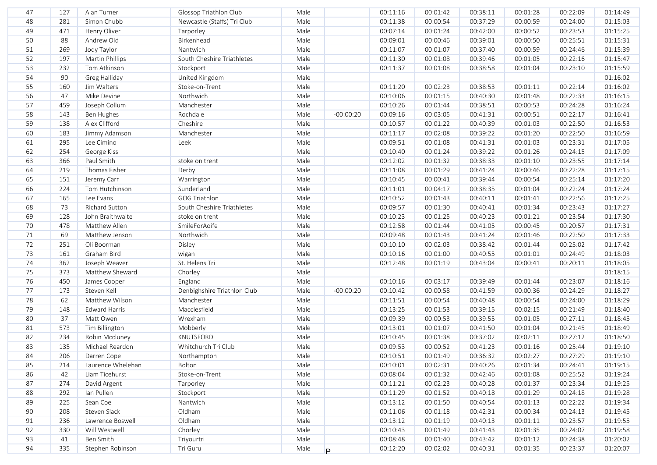| 47 | 127 | Alan Turner       | Glossop Triathlon Club      | Male |             | 00:11:16 | 00:01:42 | 00:38:11 | 00:01:28 | 00:22:09 | 01:14:49 |
|----|-----|-------------------|-----------------------------|------|-------------|----------|----------|----------|----------|----------|----------|
| 48 | 281 | Simon Chubb       | Newcastle (Staffs) Tri Club | Male |             | 00:11:38 | 00:00:54 | 00:37:29 | 00:00:59 | 00:24:00 | 01:15:03 |
| 49 | 471 | Henry Oliver      | Tarporley                   | Male |             | 00:07:14 | 00:01:24 | 00:42:00 | 00:00:52 | 00:23:53 | 01:15:25 |
| 50 | 88  | Andrew Old        | Birkenhead                  | Male |             | 00:09:01 | 00:00:46 | 00:39:01 | 00:00:50 | 00:25:51 | 01:15:31 |
| 51 | 269 | Jody Taylor       | Nantwich                    | Male |             | 00:11:07 | 00:01:07 | 00:37:40 | 00:00:59 | 00:24:46 | 01:15:39 |
| 52 | 197 | Martin Phillips   | South Cheshire Triathletes  | Male |             | 00:11:30 | 00:01:08 | 00:39:46 | 00:01:05 | 00:22:16 | 01:15:47 |
| 53 | 232 | Tom Atkinson      | Stockport                   | Male |             | 00:11:37 | 00:01:08 | 00:38:58 | 00:01:04 | 00:23:10 | 01:15:59 |
| 54 | 90  | Greg Halliday     | United Kingdom              | Male |             |          |          |          |          |          | 01:16:02 |
| 55 | 160 | Jim Walters       | Stoke-on-Trent              | Male |             | 00:11:20 | 00:02:23 | 00:38:53 | 00:01:11 | 00:22:14 | 01:16:02 |
| 56 | 47  | Mike Devine       | Northwich                   | Male |             | 00:10:06 | 00:01:15 | 00:40:30 | 00:01:48 | 00:22:33 | 01:16:15 |
| 57 | 459 | Joseph Collum     | Manchester                  | Male |             | 00:10:26 | 00:01:44 | 00:38:51 | 00:00:53 | 00:24:28 | 01:16:24 |
| 58 | 143 | Ben Hughes        | Rochdale                    | Male | $-00:00:20$ | 00:09:16 | 00:03:05 | 00:41:31 | 00:00:51 | 00:22:17 | 01:16:41 |
| 59 | 138 | Alex Clifford     | Cheshire                    | Male |             | 00:10:57 | 00:01:22 | 00:40:39 | 00:01:03 | 00:22:50 | 01:16:53 |
| 60 | 183 | Jimmy Adamson     | Manchester                  | Male |             | 00:11:17 | 00:02:08 | 00:39:22 | 00:01:20 | 00:22:50 | 01:16:59 |
| 61 | 295 | Lee Cimino        | Leek                        | Male |             | 00:09:51 | 00:01:08 | 00:41:31 | 00:01:03 | 00:23:31 | 01:17:05 |
| 62 | 254 | George Kiss       |                             | Male |             | 00:10:40 | 00:01:24 | 00:39:22 | 00:01:26 | 00:24:15 | 01:17:09 |
| 63 | 366 | Paul Smith        | stoke on trent              | Male |             | 00:12:02 | 00:01:32 | 00:38:33 | 00:01:10 | 00:23:55 | 01:17:14 |
| 64 | 219 | Thomas Fisher     | Derby                       | Male |             | 00:11:08 | 00:01:29 | 00:41:24 | 00:00:46 | 00:22:28 | 01:17:15 |
| 65 | 151 | Jeremy Carr       | Warrington                  | Male |             | 00:10:45 | 00:00:41 | 00:39:44 | 00:00:54 | 00:25:14 | 01:17:20 |
| 66 | 224 | Tom Hutchinson    | Sunderland                  | Male |             | 00:11:01 | 00:04:17 | 00:38:35 | 00:01:04 | 00:22:24 | 01:17:24 |
| 67 | 165 | Lee Evans         | GOG Triathlon               | Male |             | 00:10:52 | 00:01:43 | 00:40:11 | 00:01:41 | 00:22:56 | 01:17:25 |
| 68 | 73  | Richard Sutton    | South Cheshire Triathletes  | Male |             | 00:09:57 | 00:01:30 | 00:40:41 | 00:01:34 | 00:23:43 | 01:17:27 |
| 69 | 128 | John Braithwaite  | stoke on trent              | Male |             | 00:10:23 | 00:01:25 | 00:40:23 | 00:01:21 | 00:23:54 | 01:17:30 |
| 70 | 478 | Matthew Allen     | SmileForAoife               | Male |             | 00:12:58 | 00:01:44 | 00:41:05 | 00:00:45 | 00:20:57 | 01:17:31 |
| 71 | 69  | Matthew Jenson    | Northwich                   | Male |             | 00:09:48 | 00:01:43 | 00:41:24 | 00:01:46 | 00:22:50 | 01:17:33 |
| 72 | 251 | Oli Boorman       | Disley                      | Male |             | 00:10:10 | 00:02:03 | 00:38:42 | 00:01:44 | 00:25:02 | 01:17:42 |
| 73 | 161 | Graham Bird       | wigan                       | Male |             | 00:10:16 | 00:01:00 | 00:40:55 | 00:01:01 | 00:24:49 | 01:18:03 |
| 74 | 362 | Joseph Weaver     | St. Helens Tri              | Male |             | 00:12:48 | 00:01:19 | 00:43:04 | 00:00:41 | 00:20:11 | 01:18:05 |
| 75 | 373 | Matthew Sheward   | Chorley                     | Male |             |          |          |          |          |          | 01:18:15 |
| 76 | 450 | James Cooper      | England                     | Male |             | 00:10:16 | 00:03:17 | 00:39:49 | 00:01:44 | 00:23:07 | 01:18:16 |
| 77 | 173 | Steven Kell       | Denbighshire Triathlon Club | Male | $-00:00:20$ | 00:10:42 | 00:00:58 | 00:41:59 | 00:00:36 | 00:24:29 | 01:18:27 |
| 78 | 62  | Matthew Wilson    | Manchester                  | Male |             | 00:11:51 | 00:00:54 | 00:40:48 | 00:00:54 | 00:24:00 | 01:18:29 |
| 79 | 148 | Edward Harris     | Macclesfield                | Male |             | 00:13:25 | 00:01:53 | 00:39:15 | 00:02:15 | 00:21:49 | 01:18:40 |
| 80 | 37  | Matt Owen         | Wrexham                     | Male |             | 00:09:39 | 00:00:53 | 00:39:55 | 00:01:05 | 00:27:11 | 01:18:45 |
| 81 | 573 | Tim Billington    | Mobberly                    | Male |             | 00:13:01 | 00:01:07 | 00:41:50 | 00:01:04 | 00:21:45 | 01:18:49 |
| 82 | 234 | Robin Mccluney    | KNUTSFORD                   | Male |             | 00:10:45 | 00:01:38 | 00:37:02 | 00:02:11 | 00:27:12 | 01:18:50 |
| 83 | 135 | Michael Reardon   | Whitchurch Tri Club         | Male |             | 00:09:53 | 00:00:52 | 00:41:23 | 00:01:16 | 00:25:44 | 01:19:10 |
| 84 | 206 | Darren Cope       | Northampton                 | Male |             | 00:10:51 | 00:01:49 | 00:36:32 | 00:02:27 | 00:27:29 | 01:19:10 |
| 85 | 214 | Laurence Whelehan | Bolton                      | Male |             | 00:10:01 | 00:02:31 | 00:40:26 | 00:01:34 | 00:24:41 | 01:19:15 |
| 86 | 42  | Liam Ticehurst    | Stoke-on-Trent              | Male |             | 00:08:04 | 00:01:32 | 00:42:46 | 00:01:08 | 00:25:52 | 01:19:24 |
| 87 | 274 | David Argent      | Tarporley                   | Male |             | 00:11:21 | 00:02:23 | 00:40:28 | 00:01:37 | 00:23:34 | 01:19:25 |
| 88 | 292 | Ian Pullen        | Stockport                   | Male |             | 00:11:29 | 00:01:52 | 00:40:18 | 00:01:29 | 00:24:18 | 01:19:28 |
| 89 | 225 | Sean Coe          | Nantwich                    | Male |             | 00:13:12 | 00:01:50 | 00:40:54 | 00:01:13 | 00:22:22 | 01:19:34 |
| 90 | 208 | Steven Slack      | Oldham                      | Male |             | 00:11:06 | 00:01:18 | 00:42:31 | 00:00:34 | 00:24:13 | 01:19:45 |
| 91 | 236 | Lawrence Boswell  | Oldham                      | Male |             | 00:13:12 | 00:01:19 | 00:40:13 | 00:01:11 | 00:23:57 | 01:19:55 |
| 92 | 330 | Will Westwell     | Chorley                     | Male |             | 00:10:43 | 00:01:49 | 00:41:43 | 00:01:35 | 00:24:07 | 01:19:58 |
| 93 | 41  | Ben Smith         | Triyourtri                  | Male |             | 00:08:48 | 00:01:40 | 00:43:42 | 00:01:12 | 00:24:38 | 01:20:02 |
| 94 | 335 | Stephen Robinson  | Tri Guru                    | Male | P.          | 00:12:20 | 00:02:02 | 00:40:31 | 00:01:35 | 00:23:37 | 01:20:07 |
|    |     |                   |                             |      |             |          |          |          |          |          |          |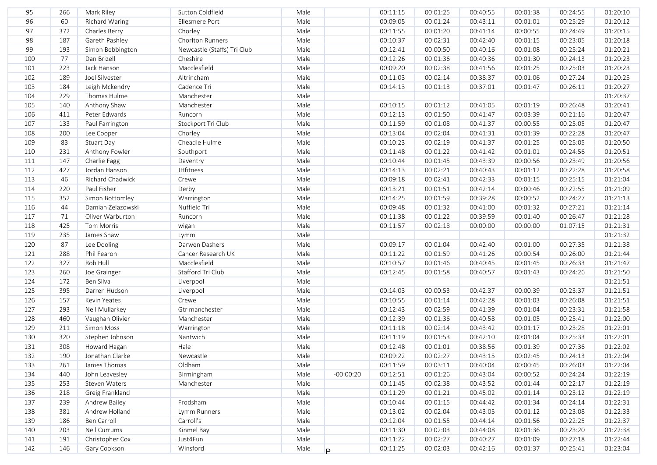| 96<br>Male<br>60<br>Ellesmere Port<br>00:09:05<br>00:01:24<br>00:25:29<br>01:20:12<br>Richard Waring<br>00:43:11<br>00:01:01<br>Male<br>97<br>372<br>Charles Berry<br>Chorley<br>00:11:55<br>00:01:20<br>00:41:14<br>00:24:49<br>01:20:15<br>00:00:55<br>98<br>187<br>Male<br>Gareth Pashley<br>Chorlton Runners<br>00:02:31<br>00:42:40<br>00:23:05<br>01:20:18<br>00:10:37<br>00:01:15<br>99<br>Male<br>193<br>Newcastle (Staffs) Tri Club<br>00:00:50<br>Simon Bebbington<br>00:12:41<br>00:40:16<br>00:01:08<br>00:25:24<br>01:20:21<br>77<br>Male<br>100<br>Dan Brizell<br>Cheshire<br>00:12:26<br>00:01:36<br>00:40:36<br>01:20:23<br>00:01:30<br>00:24:13<br>223<br>Jack Hanson<br>Macclesfield<br>Male<br>101<br>00:09:20<br>00:02:38<br>00:41:56<br>00:25:03<br>01:20:23<br>00:01:25<br>Male<br>102<br>189<br>Joel Silvester<br>Altrincham<br>00:11:03<br>00:02:14<br>00:27:24<br>01:20:25<br>00:38:37<br>00:01:06<br>Male<br>184<br>Leigh Mckendry<br>Cadence Tri<br>00:01:13<br>01:20:27<br>103<br>00:14:13<br>00:37:01<br>00:01:47<br>00:26:11<br>Male<br>229<br>Thomas Hulme<br>Manchester<br>01:20:37<br>104<br>Male<br>140<br>Anthony Shaw<br>Manchester<br>01:20:41<br>105<br>00:10:15<br>00:01:12<br>00:41:05<br>00:01:19<br>00:26:48<br>Male<br>411<br>Peter Edwards<br>00:12:13<br>00:01:50<br>00:41:47<br>00:03:39<br>01:20:47<br>106<br>Runcorn<br>00:21:16<br>107<br>133<br>Stockport Tri Club<br>Male<br>00:11:59<br>00:01:08<br>00:41:37<br>00:00:55<br>00:25:05<br>01:20:47<br>Paul Farrington<br>200<br>Male<br>108<br>Lee Cooper<br>Chorley<br>00:13:04<br>00:02:04<br>00:41:31<br>00:01:39<br>00:22:28<br>01:20:47<br>83<br>109<br>Stuart Day<br>Cheadle Hulme<br>Male<br>00:10:23<br>00:02:19<br>00:41:37<br>00:01:25<br>00:25:05<br>01:20:50<br>231<br>110<br>Anthony Fowler<br>Male<br>00:11:48<br>00:01:22<br>00:41:42<br>00:01:01<br>00:24:56<br>01:20:51<br>Southport<br>111<br>147<br>Charlie Fagg<br>Male<br>00:10:44<br>00:01:45<br>00:23:49<br>01:20:56<br>Daventry<br>00:43:39<br>00:00:56<br>112<br>427<br>Jordan Hanson<br>JHfitness<br>Male<br>00:14:13<br>00:02:21<br>00:01:12<br>00:22:28<br>01:20:58<br>00:40:43<br>46<br>Male<br>00:09:18<br>01:21:04<br>113<br>Richard Chadwick<br>Crewe<br>00:02:41<br>00:42:33<br>00:01:15<br>00:25:15<br>220<br>Paul Fisher<br>Derby<br>Male<br>00:13:21<br>00:01:51<br>00:00:46<br>00:22:55<br>01:21:09<br>114<br>00:42:14<br>115<br>352<br>Simon Bottomley<br>Male<br>00:14:25<br>00:01:59<br>00:39:28<br>00:00:52<br>00:24:27<br>01:21:13<br>Warrington<br>44<br>Nuffield Tri<br>Male<br>00:09:48<br>00:01:32<br>00:27:21<br>01:21:14<br>116<br>Damian Zelazowski<br>00:01:32<br>00:41:00<br>117<br>71<br>Oliver Warburton<br>Male<br>00:11:38<br>00:01:22<br>00:39:59<br>00:01:40<br>01:21:28<br>Runcorn<br>00:26:47<br>425<br>Male<br>01:21:31<br>118<br>Tom Morris<br>wigan<br>00:11:57<br>00:02:18<br>00:00:00<br>00:00:00<br>01:07:15<br>Male<br>01:21:32<br>119<br>235<br>James Shaw<br>Lymm<br>87<br>Male<br>120<br>Darwen Dashers<br>00:09:17<br>00:01:04<br>00:42:40<br>00:27:35<br>01:21:38<br>Lee Dooling<br>00:01:00<br>121<br>288<br>Phil Fearon<br>Male<br>00:11:22<br>00:01:59<br>00:41:26<br>01:21:44<br>Cancer Research UK<br>00:00:54<br>00:26:00<br>327<br>Rob Hull<br>Male<br>122<br>Macclesfield<br>00:10:57<br>00:01:46<br>00:40:45<br>00:01:45<br>00:26:33<br>01:21:47<br>Male<br>123<br>260<br>Stafford Tri Club<br>01:21:50<br>Joe Grainger<br>00:12:45<br>00:01:58<br>00:40:57<br>00:01:43<br>00:24:26<br>Male<br>01:21:51<br>124<br>172<br>Ben Silva<br>Liverpool<br>395<br>Male<br>125<br>Darren Hudson<br>Liverpool<br>00:00:53<br>00:42:37<br>00:23:37<br>01:21:51<br>00:14:03<br>00:00:39<br>126<br>157<br>Male<br>00:01:14<br>00:42:28<br>01:21:51<br>Kevin Yeates<br>Crewe<br>00:10:55<br>00:01:03<br>00:26:08<br>Male<br>127<br>293<br>00:12:43<br>00:02:59<br>00:41:39<br>00:23:31<br>01:21:58<br>Neil Mullarkey<br>Gtr manchester<br>00:01:04<br>460<br>Manchester<br>Male<br>00:12:39<br>00:01:36<br>00:40:58<br>00:25:41<br>01:22:00<br>128<br>Vaughan Olivier<br>00:01:05<br>211<br>Simon Moss<br>Male<br>00:11:18<br>00:02:14<br>00:43:42<br>00:01:17<br>00:23:28<br>01:22:01<br>129<br>Warrington<br>320<br>Nantwich<br>Male<br>00:01:53<br>00:25:33<br>01:22:01<br>130<br>Stephen Johnson<br>00:11:19<br>00:42:10<br>00:01:04<br>308<br>Hale<br>131<br>Howard Hagan<br>Male<br>00:12:48<br>00:01:01<br>00:38:56<br>00:01:39<br>00:27:36<br>01:22:02<br>190<br>Male<br>132<br>Jonathan Clarke<br>Newcastle<br>00:09:22<br>00:02:27<br>00:43:15<br>00:02:45<br>00:24:13<br>01:22:04<br>Oldham<br>01:22:04<br>133<br>James Thomas<br>00:11:59<br>00:03:11<br>00:40:04<br>00:00:45<br>00:26:03<br>261<br>Male<br>440<br>Birmingham<br>$-00:00:20$<br>00:12:51<br>01:22:19<br>134<br>John Leavesley<br>Male<br>00:01:26<br>00:43:04<br>00:00:52<br>00:24:24<br>135<br>253<br>Steven Waters<br>00:11:45<br>00:02:38<br>00:22:17<br>01:22:19<br>Manchester<br>Male<br>00:43:52<br>00:01:44<br>Greig Frankland<br>136<br>218<br>Male<br>00:11:29<br>00:01:21<br>00:45:02<br>00:01:14<br>00:23:12<br>01:22:19<br>137<br>Frodsham<br>00:01:15<br>01:22:31<br>239<br>Andrew Bailey<br>Male<br>00:10:44<br>00:44:42<br>00:01:34<br>00:24:14<br>381<br>Andrew Holland<br>00:02:04<br>00:43:05<br>01:22:33<br>138<br>Lymm Runners<br>Male<br>00:13:02<br>00:01:12<br>00:23:08<br>Ben Carroll<br>Carroll's<br>00:01:55<br>00:22:25<br>01:22:37<br>139<br>186<br>Male<br>00:12:04<br>00:44:14<br>00:01:56<br>Kinmel Bay<br>00:02:03<br>01:22:38<br>140<br>203<br>Neil Currums<br>Male<br>00:11:30<br>00:44:08<br>00:01:36<br>00:23:20<br>141<br>191<br>Christopher Cox<br>Just4Fun<br>Male<br>00:11:22<br>00:02:27<br>00:40:27<br>00:01:09<br>00:27:18<br>01:22:44<br>142<br>Gary Cookson<br>Winsford<br>00:02:03<br>00:42:16<br>01:23:04<br>146<br>Male<br>00:11:25<br>00:01:37<br>00:25:41<br>P. | 95 | 266 | Mark Riley | Sutton Coldfield | Male | 00:11:15 | 00:01:25 | 00:40:55 | 00:01:38 | 00:24:55 | 01:20:10 |
|-------------------------------------------------------------------------------------------------------------------------------------------------------------------------------------------------------------------------------------------------------------------------------------------------------------------------------------------------------------------------------------------------------------------------------------------------------------------------------------------------------------------------------------------------------------------------------------------------------------------------------------------------------------------------------------------------------------------------------------------------------------------------------------------------------------------------------------------------------------------------------------------------------------------------------------------------------------------------------------------------------------------------------------------------------------------------------------------------------------------------------------------------------------------------------------------------------------------------------------------------------------------------------------------------------------------------------------------------------------------------------------------------------------------------------------------------------------------------------------------------------------------------------------------------------------------------------------------------------------------------------------------------------------------------------------------------------------------------------------------------------------------------------------------------------------------------------------------------------------------------------------------------------------------------------------------------------------------------------------------------------------------------------------------------------------------------------------------------------------------------------------------------------------------------------------------------------------------------------------------------------------------------------------------------------------------------------------------------------------------------------------------------------------------------------------------------------------------------------------------------------------------------------------------------------------------------------------------------------------------------------------------------------------------------------------------------------------------------------------------------------------------------------------------------------------------------------------------------------------------------------------------------------------------------------------------------------------------------------------------------------------------------------------------------------------------------------------------------------------------------------------------------------------------------------------------------------------------------------------------------------------------------------------------------------------------------------------------------------------------------------------------------------------------------------------------------------------------------------------------------------------------------------------------------------------------------------------------------------------------------------------------------------------------------------------------------------------------------------------------------------------------------------------------------------------------------------------------------------------------------------------------------------------------------------------------------------------------------------------------------------------------------------------------------------------------------------------------------------------------------------------------------------------------------------------------------------------------------------------------------------------------------------------------------------------------------------------------------------------------------------------------------------------------------------------------------------------------------------------------------------------------------------------------------------------------------------------------------------------------------------------------------------------------------------------------------------------------------------------------------------------------------------------------------------------------------------------------------------------------------------------------------------------------------------------------------------------------------------------------------------------------------------------------------------------------------------------------------------------------------------------------------------------------------------------------------------------------------------------------------------------------------------------------------------------------------------------------------------------------------------------------------------------------------------------------------------------------------------------------------------------------------------------------------------------------------------------------------------------------------------------------------------------------------------------------------------------------------------------------------------------------------------------------------------------------------------------------------------------------------------------------------------------------|----|-----|------------|------------------|------|----------|----------|----------|----------|----------|----------|
|                                                                                                                                                                                                                                                                                                                                                                                                                                                                                                                                                                                                                                                                                                                                                                                                                                                                                                                                                                                                                                                                                                                                                                                                                                                                                                                                                                                                                                                                                                                                                                                                                                                                                                                                                                                                                                                                                                                                                                                                                                                                                                                                                                                                                                                                                                                                                                                                                                                                                                                                                                                                                                                                                                                                                                                                                                                                                                                                                                                                                                                                                                                                                                                                                                                                                                                                                                                                                                                                                                                                                                                                                                                                                                                                                                                                                                                                                                                                                                                                                                                                                                                                                                                                                                                                                                                                                                                                                                                                                                                                                                                                                                                                                                                                                                                                                                                                                                                                                                                                                                                                                                                                                                                                                                                                                                                                                                                                                                                                                                                                                                                                                                                                                                                                                                                                                                                                                                                   |    |     |            |                  |      |          |          |          |          |          |          |
|                                                                                                                                                                                                                                                                                                                                                                                                                                                                                                                                                                                                                                                                                                                                                                                                                                                                                                                                                                                                                                                                                                                                                                                                                                                                                                                                                                                                                                                                                                                                                                                                                                                                                                                                                                                                                                                                                                                                                                                                                                                                                                                                                                                                                                                                                                                                                                                                                                                                                                                                                                                                                                                                                                                                                                                                                                                                                                                                                                                                                                                                                                                                                                                                                                                                                                                                                                                                                                                                                                                                                                                                                                                                                                                                                                                                                                                                                                                                                                                                                                                                                                                                                                                                                                                                                                                                                                                                                                                                                                                                                                                                                                                                                                                                                                                                                                                                                                                                                                                                                                                                                                                                                                                                                                                                                                                                                                                                                                                                                                                                                                                                                                                                                                                                                                                                                                                                                                                   |    |     |            |                  |      |          |          |          |          |          |          |
|                                                                                                                                                                                                                                                                                                                                                                                                                                                                                                                                                                                                                                                                                                                                                                                                                                                                                                                                                                                                                                                                                                                                                                                                                                                                                                                                                                                                                                                                                                                                                                                                                                                                                                                                                                                                                                                                                                                                                                                                                                                                                                                                                                                                                                                                                                                                                                                                                                                                                                                                                                                                                                                                                                                                                                                                                                                                                                                                                                                                                                                                                                                                                                                                                                                                                                                                                                                                                                                                                                                                                                                                                                                                                                                                                                                                                                                                                                                                                                                                                                                                                                                                                                                                                                                                                                                                                                                                                                                                                                                                                                                                                                                                                                                                                                                                                                                                                                                                                                                                                                                                                                                                                                                                                                                                                                                                                                                                                                                                                                                                                                                                                                                                                                                                                                                                                                                                                                                   |    |     |            |                  |      |          |          |          |          |          |          |
|                                                                                                                                                                                                                                                                                                                                                                                                                                                                                                                                                                                                                                                                                                                                                                                                                                                                                                                                                                                                                                                                                                                                                                                                                                                                                                                                                                                                                                                                                                                                                                                                                                                                                                                                                                                                                                                                                                                                                                                                                                                                                                                                                                                                                                                                                                                                                                                                                                                                                                                                                                                                                                                                                                                                                                                                                                                                                                                                                                                                                                                                                                                                                                                                                                                                                                                                                                                                                                                                                                                                                                                                                                                                                                                                                                                                                                                                                                                                                                                                                                                                                                                                                                                                                                                                                                                                                                                                                                                                                                                                                                                                                                                                                                                                                                                                                                                                                                                                                                                                                                                                                                                                                                                                                                                                                                                                                                                                                                                                                                                                                                                                                                                                                                                                                                                                                                                                                                                   |    |     |            |                  |      |          |          |          |          |          |          |
|                                                                                                                                                                                                                                                                                                                                                                                                                                                                                                                                                                                                                                                                                                                                                                                                                                                                                                                                                                                                                                                                                                                                                                                                                                                                                                                                                                                                                                                                                                                                                                                                                                                                                                                                                                                                                                                                                                                                                                                                                                                                                                                                                                                                                                                                                                                                                                                                                                                                                                                                                                                                                                                                                                                                                                                                                                                                                                                                                                                                                                                                                                                                                                                                                                                                                                                                                                                                                                                                                                                                                                                                                                                                                                                                                                                                                                                                                                                                                                                                                                                                                                                                                                                                                                                                                                                                                                                                                                                                                                                                                                                                                                                                                                                                                                                                                                                                                                                                                                                                                                                                                                                                                                                                                                                                                                                                                                                                                                                                                                                                                                                                                                                                                                                                                                                                                                                                                                                   |    |     |            |                  |      |          |          |          |          |          |          |
|                                                                                                                                                                                                                                                                                                                                                                                                                                                                                                                                                                                                                                                                                                                                                                                                                                                                                                                                                                                                                                                                                                                                                                                                                                                                                                                                                                                                                                                                                                                                                                                                                                                                                                                                                                                                                                                                                                                                                                                                                                                                                                                                                                                                                                                                                                                                                                                                                                                                                                                                                                                                                                                                                                                                                                                                                                                                                                                                                                                                                                                                                                                                                                                                                                                                                                                                                                                                                                                                                                                                                                                                                                                                                                                                                                                                                                                                                                                                                                                                                                                                                                                                                                                                                                                                                                                                                                                                                                                                                                                                                                                                                                                                                                                                                                                                                                                                                                                                                                                                                                                                                                                                                                                                                                                                                                                                                                                                                                                                                                                                                                                                                                                                                                                                                                                                                                                                                                                   |    |     |            |                  |      |          |          |          |          |          |          |
|                                                                                                                                                                                                                                                                                                                                                                                                                                                                                                                                                                                                                                                                                                                                                                                                                                                                                                                                                                                                                                                                                                                                                                                                                                                                                                                                                                                                                                                                                                                                                                                                                                                                                                                                                                                                                                                                                                                                                                                                                                                                                                                                                                                                                                                                                                                                                                                                                                                                                                                                                                                                                                                                                                                                                                                                                                                                                                                                                                                                                                                                                                                                                                                                                                                                                                                                                                                                                                                                                                                                                                                                                                                                                                                                                                                                                                                                                                                                                                                                                                                                                                                                                                                                                                                                                                                                                                                                                                                                                                                                                                                                                                                                                                                                                                                                                                                                                                                                                                                                                                                                                                                                                                                                                                                                                                                                                                                                                                                                                                                                                                                                                                                                                                                                                                                                                                                                                                                   |    |     |            |                  |      |          |          |          |          |          |          |
|                                                                                                                                                                                                                                                                                                                                                                                                                                                                                                                                                                                                                                                                                                                                                                                                                                                                                                                                                                                                                                                                                                                                                                                                                                                                                                                                                                                                                                                                                                                                                                                                                                                                                                                                                                                                                                                                                                                                                                                                                                                                                                                                                                                                                                                                                                                                                                                                                                                                                                                                                                                                                                                                                                                                                                                                                                                                                                                                                                                                                                                                                                                                                                                                                                                                                                                                                                                                                                                                                                                                                                                                                                                                                                                                                                                                                                                                                                                                                                                                                                                                                                                                                                                                                                                                                                                                                                                                                                                                                                                                                                                                                                                                                                                                                                                                                                                                                                                                                                                                                                                                                                                                                                                                                                                                                                                                                                                                                                                                                                                                                                                                                                                                                                                                                                                                                                                                                                                   |    |     |            |                  |      |          |          |          |          |          |          |
|                                                                                                                                                                                                                                                                                                                                                                                                                                                                                                                                                                                                                                                                                                                                                                                                                                                                                                                                                                                                                                                                                                                                                                                                                                                                                                                                                                                                                                                                                                                                                                                                                                                                                                                                                                                                                                                                                                                                                                                                                                                                                                                                                                                                                                                                                                                                                                                                                                                                                                                                                                                                                                                                                                                                                                                                                                                                                                                                                                                                                                                                                                                                                                                                                                                                                                                                                                                                                                                                                                                                                                                                                                                                                                                                                                                                                                                                                                                                                                                                                                                                                                                                                                                                                                                                                                                                                                                                                                                                                                                                                                                                                                                                                                                                                                                                                                                                                                                                                                                                                                                                                                                                                                                                                                                                                                                                                                                                                                                                                                                                                                                                                                                                                                                                                                                                                                                                                                                   |    |     |            |                  |      |          |          |          |          |          |          |
|                                                                                                                                                                                                                                                                                                                                                                                                                                                                                                                                                                                                                                                                                                                                                                                                                                                                                                                                                                                                                                                                                                                                                                                                                                                                                                                                                                                                                                                                                                                                                                                                                                                                                                                                                                                                                                                                                                                                                                                                                                                                                                                                                                                                                                                                                                                                                                                                                                                                                                                                                                                                                                                                                                                                                                                                                                                                                                                                                                                                                                                                                                                                                                                                                                                                                                                                                                                                                                                                                                                                                                                                                                                                                                                                                                                                                                                                                                                                                                                                                                                                                                                                                                                                                                                                                                                                                                                                                                                                                                                                                                                                                                                                                                                                                                                                                                                                                                                                                                                                                                                                                                                                                                                                                                                                                                                                                                                                                                                                                                                                                                                                                                                                                                                                                                                                                                                                                                                   |    |     |            |                  |      |          |          |          |          |          |          |
|                                                                                                                                                                                                                                                                                                                                                                                                                                                                                                                                                                                                                                                                                                                                                                                                                                                                                                                                                                                                                                                                                                                                                                                                                                                                                                                                                                                                                                                                                                                                                                                                                                                                                                                                                                                                                                                                                                                                                                                                                                                                                                                                                                                                                                                                                                                                                                                                                                                                                                                                                                                                                                                                                                                                                                                                                                                                                                                                                                                                                                                                                                                                                                                                                                                                                                                                                                                                                                                                                                                                                                                                                                                                                                                                                                                                                                                                                                                                                                                                                                                                                                                                                                                                                                                                                                                                                                                                                                                                                                                                                                                                                                                                                                                                                                                                                                                                                                                                                                                                                                                                                                                                                                                                                                                                                                                                                                                                                                                                                                                                                                                                                                                                                                                                                                                                                                                                                                                   |    |     |            |                  |      |          |          |          |          |          |          |
|                                                                                                                                                                                                                                                                                                                                                                                                                                                                                                                                                                                                                                                                                                                                                                                                                                                                                                                                                                                                                                                                                                                                                                                                                                                                                                                                                                                                                                                                                                                                                                                                                                                                                                                                                                                                                                                                                                                                                                                                                                                                                                                                                                                                                                                                                                                                                                                                                                                                                                                                                                                                                                                                                                                                                                                                                                                                                                                                                                                                                                                                                                                                                                                                                                                                                                                                                                                                                                                                                                                                                                                                                                                                                                                                                                                                                                                                                                                                                                                                                                                                                                                                                                                                                                                                                                                                                                                                                                                                                                                                                                                                                                                                                                                                                                                                                                                                                                                                                                                                                                                                                                                                                                                                                                                                                                                                                                                                                                                                                                                                                                                                                                                                                                                                                                                                                                                                                                                   |    |     |            |                  |      |          |          |          |          |          |          |
|                                                                                                                                                                                                                                                                                                                                                                                                                                                                                                                                                                                                                                                                                                                                                                                                                                                                                                                                                                                                                                                                                                                                                                                                                                                                                                                                                                                                                                                                                                                                                                                                                                                                                                                                                                                                                                                                                                                                                                                                                                                                                                                                                                                                                                                                                                                                                                                                                                                                                                                                                                                                                                                                                                                                                                                                                                                                                                                                                                                                                                                                                                                                                                                                                                                                                                                                                                                                                                                                                                                                                                                                                                                                                                                                                                                                                                                                                                                                                                                                                                                                                                                                                                                                                                                                                                                                                                                                                                                                                                                                                                                                                                                                                                                                                                                                                                                                                                                                                                                                                                                                                                                                                                                                                                                                                                                                                                                                                                                                                                                                                                                                                                                                                                                                                                                                                                                                                                                   |    |     |            |                  |      |          |          |          |          |          |          |
|                                                                                                                                                                                                                                                                                                                                                                                                                                                                                                                                                                                                                                                                                                                                                                                                                                                                                                                                                                                                                                                                                                                                                                                                                                                                                                                                                                                                                                                                                                                                                                                                                                                                                                                                                                                                                                                                                                                                                                                                                                                                                                                                                                                                                                                                                                                                                                                                                                                                                                                                                                                                                                                                                                                                                                                                                                                                                                                                                                                                                                                                                                                                                                                                                                                                                                                                                                                                                                                                                                                                                                                                                                                                                                                                                                                                                                                                                                                                                                                                                                                                                                                                                                                                                                                                                                                                                                                                                                                                                                                                                                                                                                                                                                                                                                                                                                                                                                                                                                                                                                                                                                                                                                                                                                                                                                                                                                                                                                                                                                                                                                                                                                                                                                                                                                                                                                                                                                                   |    |     |            |                  |      |          |          |          |          |          |          |
|                                                                                                                                                                                                                                                                                                                                                                                                                                                                                                                                                                                                                                                                                                                                                                                                                                                                                                                                                                                                                                                                                                                                                                                                                                                                                                                                                                                                                                                                                                                                                                                                                                                                                                                                                                                                                                                                                                                                                                                                                                                                                                                                                                                                                                                                                                                                                                                                                                                                                                                                                                                                                                                                                                                                                                                                                                                                                                                                                                                                                                                                                                                                                                                                                                                                                                                                                                                                                                                                                                                                                                                                                                                                                                                                                                                                                                                                                                                                                                                                                                                                                                                                                                                                                                                                                                                                                                                                                                                                                                                                                                                                                                                                                                                                                                                                                                                                                                                                                                                                                                                                                                                                                                                                                                                                                                                                                                                                                                                                                                                                                                                                                                                                                                                                                                                                                                                                                                                   |    |     |            |                  |      |          |          |          |          |          |          |
|                                                                                                                                                                                                                                                                                                                                                                                                                                                                                                                                                                                                                                                                                                                                                                                                                                                                                                                                                                                                                                                                                                                                                                                                                                                                                                                                                                                                                                                                                                                                                                                                                                                                                                                                                                                                                                                                                                                                                                                                                                                                                                                                                                                                                                                                                                                                                                                                                                                                                                                                                                                                                                                                                                                                                                                                                                                                                                                                                                                                                                                                                                                                                                                                                                                                                                                                                                                                                                                                                                                                                                                                                                                                                                                                                                                                                                                                                                                                                                                                                                                                                                                                                                                                                                                                                                                                                                                                                                                                                                                                                                                                                                                                                                                                                                                                                                                                                                                                                                                                                                                                                                                                                                                                                                                                                                                                                                                                                                                                                                                                                                                                                                                                                                                                                                                                                                                                                                                   |    |     |            |                  |      |          |          |          |          |          |          |
|                                                                                                                                                                                                                                                                                                                                                                                                                                                                                                                                                                                                                                                                                                                                                                                                                                                                                                                                                                                                                                                                                                                                                                                                                                                                                                                                                                                                                                                                                                                                                                                                                                                                                                                                                                                                                                                                                                                                                                                                                                                                                                                                                                                                                                                                                                                                                                                                                                                                                                                                                                                                                                                                                                                                                                                                                                                                                                                                                                                                                                                                                                                                                                                                                                                                                                                                                                                                                                                                                                                                                                                                                                                                                                                                                                                                                                                                                                                                                                                                                                                                                                                                                                                                                                                                                                                                                                                                                                                                                                                                                                                                                                                                                                                                                                                                                                                                                                                                                                                                                                                                                                                                                                                                                                                                                                                                                                                                                                                                                                                                                                                                                                                                                                                                                                                                                                                                                                                   |    |     |            |                  |      |          |          |          |          |          |          |
|                                                                                                                                                                                                                                                                                                                                                                                                                                                                                                                                                                                                                                                                                                                                                                                                                                                                                                                                                                                                                                                                                                                                                                                                                                                                                                                                                                                                                                                                                                                                                                                                                                                                                                                                                                                                                                                                                                                                                                                                                                                                                                                                                                                                                                                                                                                                                                                                                                                                                                                                                                                                                                                                                                                                                                                                                                                                                                                                                                                                                                                                                                                                                                                                                                                                                                                                                                                                                                                                                                                                                                                                                                                                                                                                                                                                                                                                                                                                                                                                                                                                                                                                                                                                                                                                                                                                                                                                                                                                                                                                                                                                                                                                                                                                                                                                                                                                                                                                                                                                                                                                                                                                                                                                                                                                                                                                                                                                                                                                                                                                                                                                                                                                                                                                                                                                                                                                                                                   |    |     |            |                  |      |          |          |          |          |          |          |
|                                                                                                                                                                                                                                                                                                                                                                                                                                                                                                                                                                                                                                                                                                                                                                                                                                                                                                                                                                                                                                                                                                                                                                                                                                                                                                                                                                                                                                                                                                                                                                                                                                                                                                                                                                                                                                                                                                                                                                                                                                                                                                                                                                                                                                                                                                                                                                                                                                                                                                                                                                                                                                                                                                                                                                                                                                                                                                                                                                                                                                                                                                                                                                                                                                                                                                                                                                                                                                                                                                                                                                                                                                                                                                                                                                                                                                                                                                                                                                                                                                                                                                                                                                                                                                                                                                                                                                                                                                                                                                                                                                                                                                                                                                                                                                                                                                                                                                                                                                                                                                                                                                                                                                                                                                                                                                                                                                                                                                                                                                                                                                                                                                                                                                                                                                                                                                                                                                                   |    |     |            |                  |      |          |          |          |          |          |          |
|                                                                                                                                                                                                                                                                                                                                                                                                                                                                                                                                                                                                                                                                                                                                                                                                                                                                                                                                                                                                                                                                                                                                                                                                                                                                                                                                                                                                                                                                                                                                                                                                                                                                                                                                                                                                                                                                                                                                                                                                                                                                                                                                                                                                                                                                                                                                                                                                                                                                                                                                                                                                                                                                                                                                                                                                                                                                                                                                                                                                                                                                                                                                                                                                                                                                                                                                                                                                                                                                                                                                                                                                                                                                                                                                                                                                                                                                                                                                                                                                                                                                                                                                                                                                                                                                                                                                                                                                                                                                                                                                                                                                                                                                                                                                                                                                                                                                                                                                                                                                                                                                                                                                                                                                                                                                                                                                                                                                                                                                                                                                                                                                                                                                                                                                                                                                                                                                                                                   |    |     |            |                  |      |          |          |          |          |          |          |
|                                                                                                                                                                                                                                                                                                                                                                                                                                                                                                                                                                                                                                                                                                                                                                                                                                                                                                                                                                                                                                                                                                                                                                                                                                                                                                                                                                                                                                                                                                                                                                                                                                                                                                                                                                                                                                                                                                                                                                                                                                                                                                                                                                                                                                                                                                                                                                                                                                                                                                                                                                                                                                                                                                                                                                                                                                                                                                                                                                                                                                                                                                                                                                                                                                                                                                                                                                                                                                                                                                                                                                                                                                                                                                                                                                                                                                                                                                                                                                                                                                                                                                                                                                                                                                                                                                                                                                                                                                                                                                                                                                                                                                                                                                                                                                                                                                                                                                                                                                                                                                                                                                                                                                                                                                                                                                                                                                                                                                                                                                                                                                                                                                                                                                                                                                                                                                                                                                                   |    |     |            |                  |      |          |          |          |          |          |          |
|                                                                                                                                                                                                                                                                                                                                                                                                                                                                                                                                                                                                                                                                                                                                                                                                                                                                                                                                                                                                                                                                                                                                                                                                                                                                                                                                                                                                                                                                                                                                                                                                                                                                                                                                                                                                                                                                                                                                                                                                                                                                                                                                                                                                                                                                                                                                                                                                                                                                                                                                                                                                                                                                                                                                                                                                                                                                                                                                                                                                                                                                                                                                                                                                                                                                                                                                                                                                                                                                                                                                                                                                                                                                                                                                                                                                                                                                                                                                                                                                                                                                                                                                                                                                                                                                                                                                                                                                                                                                                                                                                                                                                                                                                                                                                                                                                                                                                                                                                                                                                                                                                                                                                                                                                                                                                                                                                                                                                                                                                                                                                                                                                                                                                                                                                                                                                                                                                                                   |    |     |            |                  |      |          |          |          |          |          |          |
|                                                                                                                                                                                                                                                                                                                                                                                                                                                                                                                                                                                                                                                                                                                                                                                                                                                                                                                                                                                                                                                                                                                                                                                                                                                                                                                                                                                                                                                                                                                                                                                                                                                                                                                                                                                                                                                                                                                                                                                                                                                                                                                                                                                                                                                                                                                                                                                                                                                                                                                                                                                                                                                                                                                                                                                                                                                                                                                                                                                                                                                                                                                                                                                                                                                                                                                                                                                                                                                                                                                                                                                                                                                                                                                                                                                                                                                                                                                                                                                                                                                                                                                                                                                                                                                                                                                                                                                                                                                                                                                                                                                                                                                                                                                                                                                                                                                                                                                                                                                                                                                                                                                                                                                                                                                                                                                                                                                                                                                                                                                                                                                                                                                                                                                                                                                                                                                                                                                   |    |     |            |                  |      |          |          |          |          |          |          |
|                                                                                                                                                                                                                                                                                                                                                                                                                                                                                                                                                                                                                                                                                                                                                                                                                                                                                                                                                                                                                                                                                                                                                                                                                                                                                                                                                                                                                                                                                                                                                                                                                                                                                                                                                                                                                                                                                                                                                                                                                                                                                                                                                                                                                                                                                                                                                                                                                                                                                                                                                                                                                                                                                                                                                                                                                                                                                                                                                                                                                                                                                                                                                                                                                                                                                                                                                                                                                                                                                                                                                                                                                                                                                                                                                                                                                                                                                                                                                                                                                                                                                                                                                                                                                                                                                                                                                                                                                                                                                                                                                                                                                                                                                                                                                                                                                                                                                                                                                                                                                                                                                                                                                                                                                                                                                                                                                                                                                                                                                                                                                                                                                                                                                                                                                                                                                                                                                                                   |    |     |            |                  |      |          |          |          |          |          |          |
|                                                                                                                                                                                                                                                                                                                                                                                                                                                                                                                                                                                                                                                                                                                                                                                                                                                                                                                                                                                                                                                                                                                                                                                                                                                                                                                                                                                                                                                                                                                                                                                                                                                                                                                                                                                                                                                                                                                                                                                                                                                                                                                                                                                                                                                                                                                                                                                                                                                                                                                                                                                                                                                                                                                                                                                                                                                                                                                                                                                                                                                                                                                                                                                                                                                                                                                                                                                                                                                                                                                                                                                                                                                                                                                                                                                                                                                                                                                                                                                                                                                                                                                                                                                                                                                                                                                                                                                                                                                                                                                                                                                                                                                                                                                                                                                                                                                                                                                                                                                                                                                                                                                                                                                                                                                                                                                                                                                                                                                                                                                                                                                                                                                                                                                                                                                                                                                                                                                   |    |     |            |                  |      |          |          |          |          |          |          |
|                                                                                                                                                                                                                                                                                                                                                                                                                                                                                                                                                                                                                                                                                                                                                                                                                                                                                                                                                                                                                                                                                                                                                                                                                                                                                                                                                                                                                                                                                                                                                                                                                                                                                                                                                                                                                                                                                                                                                                                                                                                                                                                                                                                                                                                                                                                                                                                                                                                                                                                                                                                                                                                                                                                                                                                                                                                                                                                                                                                                                                                                                                                                                                                                                                                                                                                                                                                                                                                                                                                                                                                                                                                                                                                                                                                                                                                                                                                                                                                                                                                                                                                                                                                                                                                                                                                                                                                                                                                                                                                                                                                                                                                                                                                                                                                                                                                                                                                                                                                                                                                                                                                                                                                                                                                                                                                                                                                                                                                                                                                                                                                                                                                                                                                                                                                                                                                                                                                   |    |     |            |                  |      |          |          |          |          |          |          |
|                                                                                                                                                                                                                                                                                                                                                                                                                                                                                                                                                                                                                                                                                                                                                                                                                                                                                                                                                                                                                                                                                                                                                                                                                                                                                                                                                                                                                                                                                                                                                                                                                                                                                                                                                                                                                                                                                                                                                                                                                                                                                                                                                                                                                                                                                                                                                                                                                                                                                                                                                                                                                                                                                                                                                                                                                                                                                                                                                                                                                                                                                                                                                                                                                                                                                                                                                                                                                                                                                                                                                                                                                                                                                                                                                                                                                                                                                                                                                                                                                                                                                                                                                                                                                                                                                                                                                                                                                                                                                                                                                                                                                                                                                                                                                                                                                                                                                                                                                                                                                                                                                                                                                                                                                                                                                                                                                                                                                                                                                                                                                                                                                                                                                                                                                                                                                                                                                                                   |    |     |            |                  |      |          |          |          |          |          |          |
|                                                                                                                                                                                                                                                                                                                                                                                                                                                                                                                                                                                                                                                                                                                                                                                                                                                                                                                                                                                                                                                                                                                                                                                                                                                                                                                                                                                                                                                                                                                                                                                                                                                                                                                                                                                                                                                                                                                                                                                                                                                                                                                                                                                                                                                                                                                                                                                                                                                                                                                                                                                                                                                                                                                                                                                                                                                                                                                                                                                                                                                                                                                                                                                                                                                                                                                                                                                                                                                                                                                                                                                                                                                                                                                                                                                                                                                                                                                                                                                                                                                                                                                                                                                                                                                                                                                                                                                                                                                                                                                                                                                                                                                                                                                                                                                                                                                                                                                                                                                                                                                                                                                                                                                                                                                                                                                                                                                                                                                                                                                                                                                                                                                                                                                                                                                                                                                                                                                   |    |     |            |                  |      |          |          |          |          |          |          |
|                                                                                                                                                                                                                                                                                                                                                                                                                                                                                                                                                                                                                                                                                                                                                                                                                                                                                                                                                                                                                                                                                                                                                                                                                                                                                                                                                                                                                                                                                                                                                                                                                                                                                                                                                                                                                                                                                                                                                                                                                                                                                                                                                                                                                                                                                                                                                                                                                                                                                                                                                                                                                                                                                                                                                                                                                                                                                                                                                                                                                                                                                                                                                                                                                                                                                                                                                                                                                                                                                                                                                                                                                                                                                                                                                                                                                                                                                                                                                                                                                                                                                                                                                                                                                                                                                                                                                                                                                                                                                                                                                                                                                                                                                                                                                                                                                                                                                                                                                                                                                                                                                                                                                                                                                                                                                                                                                                                                                                                                                                                                                                                                                                                                                                                                                                                                                                                                                                                   |    |     |            |                  |      |          |          |          |          |          |          |
|                                                                                                                                                                                                                                                                                                                                                                                                                                                                                                                                                                                                                                                                                                                                                                                                                                                                                                                                                                                                                                                                                                                                                                                                                                                                                                                                                                                                                                                                                                                                                                                                                                                                                                                                                                                                                                                                                                                                                                                                                                                                                                                                                                                                                                                                                                                                                                                                                                                                                                                                                                                                                                                                                                                                                                                                                                                                                                                                                                                                                                                                                                                                                                                                                                                                                                                                                                                                                                                                                                                                                                                                                                                                                                                                                                                                                                                                                                                                                                                                                                                                                                                                                                                                                                                                                                                                                                                                                                                                                                                                                                                                                                                                                                                                                                                                                                                                                                                                                                                                                                                                                                                                                                                                                                                                                                                                                                                                                                                                                                                                                                                                                                                                                                                                                                                                                                                                                                                   |    |     |            |                  |      |          |          |          |          |          |          |
|                                                                                                                                                                                                                                                                                                                                                                                                                                                                                                                                                                                                                                                                                                                                                                                                                                                                                                                                                                                                                                                                                                                                                                                                                                                                                                                                                                                                                                                                                                                                                                                                                                                                                                                                                                                                                                                                                                                                                                                                                                                                                                                                                                                                                                                                                                                                                                                                                                                                                                                                                                                                                                                                                                                                                                                                                                                                                                                                                                                                                                                                                                                                                                                                                                                                                                                                                                                                                                                                                                                                                                                                                                                                                                                                                                                                                                                                                                                                                                                                                                                                                                                                                                                                                                                                                                                                                                                                                                                                                                                                                                                                                                                                                                                                                                                                                                                                                                                                                                                                                                                                                                                                                                                                                                                                                                                                                                                                                                                                                                                                                                                                                                                                                                                                                                                                                                                                                                                   |    |     |            |                  |      |          |          |          |          |          |          |
|                                                                                                                                                                                                                                                                                                                                                                                                                                                                                                                                                                                                                                                                                                                                                                                                                                                                                                                                                                                                                                                                                                                                                                                                                                                                                                                                                                                                                                                                                                                                                                                                                                                                                                                                                                                                                                                                                                                                                                                                                                                                                                                                                                                                                                                                                                                                                                                                                                                                                                                                                                                                                                                                                                                                                                                                                                                                                                                                                                                                                                                                                                                                                                                                                                                                                                                                                                                                                                                                                                                                                                                                                                                                                                                                                                                                                                                                                                                                                                                                                                                                                                                                                                                                                                                                                                                                                                                                                                                                                                                                                                                                                                                                                                                                                                                                                                                                                                                                                                                                                                                                                                                                                                                                                                                                                                                                                                                                                                                                                                                                                                                                                                                                                                                                                                                                                                                                                                                   |    |     |            |                  |      |          |          |          |          |          |          |
|                                                                                                                                                                                                                                                                                                                                                                                                                                                                                                                                                                                                                                                                                                                                                                                                                                                                                                                                                                                                                                                                                                                                                                                                                                                                                                                                                                                                                                                                                                                                                                                                                                                                                                                                                                                                                                                                                                                                                                                                                                                                                                                                                                                                                                                                                                                                                                                                                                                                                                                                                                                                                                                                                                                                                                                                                                                                                                                                                                                                                                                                                                                                                                                                                                                                                                                                                                                                                                                                                                                                                                                                                                                                                                                                                                                                                                                                                                                                                                                                                                                                                                                                                                                                                                                                                                                                                                                                                                                                                                                                                                                                                                                                                                                                                                                                                                                                                                                                                                                                                                                                                                                                                                                                                                                                                                                                                                                                                                                                                                                                                                                                                                                                                                                                                                                                                                                                                                                   |    |     |            |                  |      |          |          |          |          |          |          |
|                                                                                                                                                                                                                                                                                                                                                                                                                                                                                                                                                                                                                                                                                                                                                                                                                                                                                                                                                                                                                                                                                                                                                                                                                                                                                                                                                                                                                                                                                                                                                                                                                                                                                                                                                                                                                                                                                                                                                                                                                                                                                                                                                                                                                                                                                                                                                                                                                                                                                                                                                                                                                                                                                                                                                                                                                                                                                                                                                                                                                                                                                                                                                                                                                                                                                                                                                                                                                                                                                                                                                                                                                                                                                                                                                                                                                                                                                                                                                                                                                                                                                                                                                                                                                                                                                                                                                                                                                                                                                                                                                                                                                                                                                                                                                                                                                                                                                                                                                                                                                                                                                                                                                                                                                                                                                                                                                                                                                                                                                                                                                                                                                                                                                                                                                                                                                                                                                                                   |    |     |            |                  |      |          |          |          |          |          |          |
|                                                                                                                                                                                                                                                                                                                                                                                                                                                                                                                                                                                                                                                                                                                                                                                                                                                                                                                                                                                                                                                                                                                                                                                                                                                                                                                                                                                                                                                                                                                                                                                                                                                                                                                                                                                                                                                                                                                                                                                                                                                                                                                                                                                                                                                                                                                                                                                                                                                                                                                                                                                                                                                                                                                                                                                                                                                                                                                                                                                                                                                                                                                                                                                                                                                                                                                                                                                                                                                                                                                                                                                                                                                                                                                                                                                                                                                                                                                                                                                                                                                                                                                                                                                                                                                                                                                                                                                                                                                                                                                                                                                                                                                                                                                                                                                                                                                                                                                                                                                                                                                                                                                                                                                                                                                                                                                                                                                                                                                                                                                                                                                                                                                                                                                                                                                                                                                                                                                   |    |     |            |                  |      |          |          |          |          |          |          |
|                                                                                                                                                                                                                                                                                                                                                                                                                                                                                                                                                                                                                                                                                                                                                                                                                                                                                                                                                                                                                                                                                                                                                                                                                                                                                                                                                                                                                                                                                                                                                                                                                                                                                                                                                                                                                                                                                                                                                                                                                                                                                                                                                                                                                                                                                                                                                                                                                                                                                                                                                                                                                                                                                                                                                                                                                                                                                                                                                                                                                                                                                                                                                                                                                                                                                                                                                                                                                                                                                                                                                                                                                                                                                                                                                                                                                                                                                                                                                                                                                                                                                                                                                                                                                                                                                                                                                                                                                                                                                                                                                                                                                                                                                                                                                                                                                                                                                                                                                                                                                                                                                                                                                                                                                                                                                                                                                                                                                                                                                                                                                                                                                                                                                                                                                                                                                                                                                                                   |    |     |            |                  |      |          |          |          |          |          |          |
|                                                                                                                                                                                                                                                                                                                                                                                                                                                                                                                                                                                                                                                                                                                                                                                                                                                                                                                                                                                                                                                                                                                                                                                                                                                                                                                                                                                                                                                                                                                                                                                                                                                                                                                                                                                                                                                                                                                                                                                                                                                                                                                                                                                                                                                                                                                                                                                                                                                                                                                                                                                                                                                                                                                                                                                                                                                                                                                                                                                                                                                                                                                                                                                                                                                                                                                                                                                                                                                                                                                                                                                                                                                                                                                                                                                                                                                                                                                                                                                                                                                                                                                                                                                                                                                                                                                                                                                                                                                                                                                                                                                                                                                                                                                                                                                                                                                                                                                                                                                                                                                                                                                                                                                                                                                                                                                                                                                                                                                                                                                                                                                                                                                                                                                                                                                                                                                                                                                   |    |     |            |                  |      |          |          |          |          |          |          |
|                                                                                                                                                                                                                                                                                                                                                                                                                                                                                                                                                                                                                                                                                                                                                                                                                                                                                                                                                                                                                                                                                                                                                                                                                                                                                                                                                                                                                                                                                                                                                                                                                                                                                                                                                                                                                                                                                                                                                                                                                                                                                                                                                                                                                                                                                                                                                                                                                                                                                                                                                                                                                                                                                                                                                                                                                                                                                                                                                                                                                                                                                                                                                                                                                                                                                                                                                                                                                                                                                                                                                                                                                                                                                                                                                                                                                                                                                                                                                                                                                                                                                                                                                                                                                                                                                                                                                                                                                                                                                                                                                                                                                                                                                                                                                                                                                                                                                                                                                                                                                                                                                                                                                                                                                                                                                                                                                                                                                                                                                                                                                                                                                                                                                                                                                                                                                                                                                                                   |    |     |            |                  |      |          |          |          |          |          |          |
|                                                                                                                                                                                                                                                                                                                                                                                                                                                                                                                                                                                                                                                                                                                                                                                                                                                                                                                                                                                                                                                                                                                                                                                                                                                                                                                                                                                                                                                                                                                                                                                                                                                                                                                                                                                                                                                                                                                                                                                                                                                                                                                                                                                                                                                                                                                                                                                                                                                                                                                                                                                                                                                                                                                                                                                                                                                                                                                                                                                                                                                                                                                                                                                                                                                                                                                                                                                                                                                                                                                                                                                                                                                                                                                                                                                                                                                                                                                                                                                                                                                                                                                                                                                                                                                                                                                                                                                                                                                                                                                                                                                                                                                                                                                                                                                                                                                                                                                                                                                                                                                                                                                                                                                                                                                                                                                                                                                                                                                                                                                                                                                                                                                                                                                                                                                                                                                                                                                   |    |     |            |                  |      |          |          |          |          |          |          |
|                                                                                                                                                                                                                                                                                                                                                                                                                                                                                                                                                                                                                                                                                                                                                                                                                                                                                                                                                                                                                                                                                                                                                                                                                                                                                                                                                                                                                                                                                                                                                                                                                                                                                                                                                                                                                                                                                                                                                                                                                                                                                                                                                                                                                                                                                                                                                                                                                                                                                                                                                                                                                                                                                                                                                                                                                                                                                                                                                                                                                                                                                                                                                                                                                                                                                                                                                                                                                                                                                                                                                                                                                                                                                                                                                                                                                                                                                                                                                                                                                                                                                                                                                                                                                                                                                                                                                                                                                                                                                                                                                                                                                                                                                                                                                                                                                                                                                                                                                                                                                                                                                                                                                                                                                                                                                                                                                                                                                                                                                                                                                                                                                                                                                                                                                                                                                                                                                                                   |    |     |            |                  |      |          |          |          |          |          |          |
|                                                                                                                                                                                                                                                                                                                                                                                                                                                                                                                                                                                                                                                                                                                                                                                                                                                                                                                                                                                                                                                                                                                                                                                                                                                                                                                                                                                                                                                                                                                                                                                                                                                                                                                                                                                                                                                                                                                                                                                                                                                                                                                                                                                                                                                                                                                                                                                                                                                                                                                                                                                                                                                                                                                                                                                                                                                                                                                                                                                                                                                                                                                                                                                                                                                                                                                                                                                                                                                                                                                                                                                                                                                                                                                                                                                                                                                                                                                                                                                                                                                                                                                                                                                                                                                                                                                                                                                                                                                                                                                                                                                                                                                                                                                                                                                                                                                                                                                                                                                                                                                                                                                                                                                                                                                                                                                                                                                                                                                                                                                                                                                                                                                                                                                                                                                                                                                                                                                   |    |     |            |                  |      |          |          |          |          |          |          |
|                                                                                                                                                                                                                                                                                                                                                                                                                                                                                                                                                                                                                                                                                                                                                                                                                                                                                                                                                                                                                                                                                                                                                                                                                                                                                                                                                                                                                                                                                                                                                                                                                                                                                                                                                                                                                                                                                                                                                                                                                                                                                                                                                                                                                                                                                                                                                                                                                                                                                                                                                                                                                                                                                                                                                                                                                                                                                                                                                                                                                                                                                                                                                                                                                                                                                                                                                                                                                                                                                                                                                                                                                                                                                                                                                                                                                                                                                                                                                                                                                                                                                                                                                                                                                                                                                                                                                                                                                                                                                                                                                                                                                                                                                                                                                                                                                                                                                                                                                                                                                                                                                                                                                                                                                                                                                                                                                                                                                                                                                                                                                                                                                                                                                                                                                                                                                                                                                                                   |    |     |            |                  |      |          |          |          |          |          |          |
|                                                                                                                                                                                                                                                                                                                                                                                                                                                                                                                                                                                                                                                                                                                                                                                                                                                                                                                                                                                                                                                                                                                                                                                                                                                                                                                                                                                                                                                                                                                                                                                                                                                                                                                                                                                                                                                                                                                                                                                                                                                                                                                                                                                                                                                                                                                                                                                                                                                                                                                                                                                                                                                                                                                                                                                                                                                                                                                                                                                                                                                                                                                                                                                                                                                                                                                                                                                                                                                                                                                                                                                                                                                                                                                                                                                                                                                                                                                                                                                                                                                                                                                                                                                                                                                                                                                                                                                                                                                                                                                                                                                                                                                                                                                                                                                                                                                                                                                                                                                                                                                                                                                                                                                                                                                                                                                                                                                                                                                                                                                                                                                                                                                                                                                                                                                                                                                                                                                   |    |     |            |                  |      |          |          |          |          |          |          |
|                                                                                                                                                                                                                                                                                                                                                                                                                                                                                                                                                                                                                                                                                                                                                                                                                                                                                                                                                                                                                                                                                                                                                                                                                                                                                                                                                                                                                                                                                                                                                                                                                                                                                                                                                                                                                                                                                                                                                                                                                                                                                                                                                                                                                                                                                                                                                                                                                                                                                                                                                                                                                                                                                                                                                                                                                                                                                                                                                                                                                                                                                                                                                                                                                                                                                                                                                                                                                                                                                                                                                                                                                                                                                                                                                                                                                                                                                                                                                                                                                                                                                                                                                                                                                                                                                                                                                                                                                                                                                                                                                                                                                                                                                                                                                                                                                                                                                                                                                                                                                                                                                                                                                                                                                                                                                                                                                                                                                                                                                                                                                                                                                                                                                                                                                                                                                                                                                                                   |    |     |            |                  |      |          |          |          |          |          |          |
|                                                                                                                                                                                                                                                                                                                                                                                                                                                                                                                                                                                                                                                                                                                                                                                                                                                                                                                                                                                                                                                                                                                                                                                                                                                                                                                                                                                                                                                                                                                                                                                                                                                                                                                                                                                                                                                                                                                                                                                                                                                                                                                                                                                                                                                                                                                                                                                                                                                                                                                                                                                                                                                                                                                                                                                                                                                                                                                                                                                                                                                                                                                                                                                                                                                                                                                                                                                                                                                                                                                                                                                                                                                                                                                                                                                                                                                                                                                                                                                                                                                                                                                                                                                                                                                                                                                                                                                                                                                                                                                                                                                                                                                                                                                                                                                                                                                                                                                                                                                                                                                                                                                                                                                                                                                                                                                                                                                                                                                                                                                                                                                                                                                                                                                                                                                                                                                                                                                   |    |     |            |                  |      |          |          |          |          |          |          |
|                                                                                                                                                                                                                                                                                                                                                                                                                                                                                                                                                                                                                                                                                                                                                                                                                                                                                                                                                                                                                                                                                                                                                                                                                                                                                                                                                                                                                                                                                                                                                                                                                                                                                                                                                                                                                                                                                                                                                                                                                                                                                                                                                                                                                                                                                                                                                                                                                                                                                                                                                                                                                                                                                                                                                                                                                                                                                                                                                                                                                                                                                                                                                                                                                                                                                                                                                                                                                                                                                                                                                                                                                                                                                                                                                                                                                                                                                                                                                                                                                                                                                                                                                                                                                                                                                                                                                                                                                                                                                                                                                                                                                                                                                                                                                                                                                                                                                                                                                                                                                                                                                                                                                                                                                                                                                                                                                                                                                                                                                                                                                                                                                                                                                                                                                                                                                                                                                                                   |    |     |            |                  |      |          |          |          |          |          |          |
|                                                                                                                                                                                                                                                                                                                                                                                                                                                                                                                                                                                                                                                                                                                                                                                                                                                                                                                                                                                                                                                                                                                                                                                                                                                                                                                                                                                                                                                                                                                                                                                                                                                                                                                                                                                                                                                                                                                                                                                                                                                                                                                                                                                                                                                                                                                                                                                                                                                                                                                                                                                                                                                                                                                                                                                                                                                                                                                                                                                                                                                                                                                                                                                                                                                                                                                                                                                                                                                                                                                                                                                                                                                                                                                                                                                                                                                                                                                                                                                                                                                                                                                                                                                                                                                                                                                                                                                                                                                                                                                                                                                                                                                                                                                                                                                                                                                                                                                                                                                                                                                                                                                                                                                                                                                                                                                                                                                                                                                                                                                                                                                                                                                                                                                                                                                                                                                                                                                   |    |     |            |                  |      |          |          |          |          |          |          |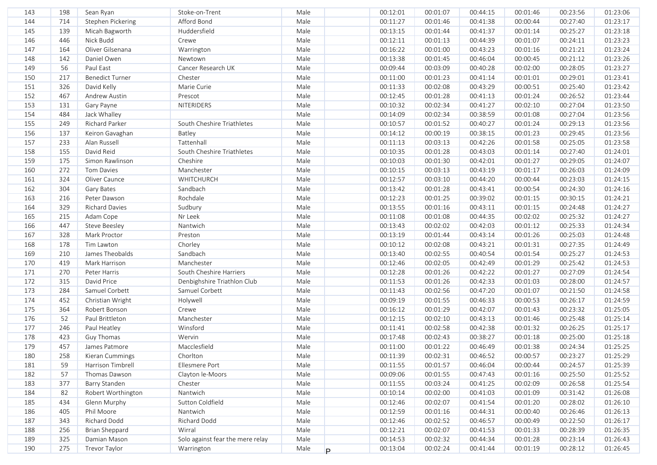| Male<br>144<br>714<br>Stephen Pickering<br>Afford Bond<br>00:11:27<br>00:01:46<br>00:41:38<br>00:27:40<br>01:23:17<br>00:00:44<br>Male<br>145<br>139<br>Micah Bagworth<br>Huddersfield<br>00:13:15<br>00:01:44<br>00:41:37<br>00:25:27<br>01:23:18<br>00:01:14<br>446<br>Male<br>146<br>Nick Budd<br>00:01:13<br>00:44:39<br>00:24:11<br>01:23:23<br>Crewe<br>00:12:11<br>00:01:07<br>Oliver Gilsenana<br>Male<br>147<br>164<br>Warrington<br>00:16:22<br>00:01:00<br>00:43:23<br>00:01:16<br>00:21:21<br>01:23:24<br>Male<br>148<br>142<br>Daniel Owen<br>00:46:04<br>01:23:26<br>Newtown<br>00:13:38<br>00:01:45<br>00:00:45<br>00:21:12<br>56<br>Male<br>149<br>Paul East<br>Cancer Research UK<br>00:09:44<br>00:03:09<br>00:40:28<br>00:28:05<br>01:23:27<br>00:02:00<br>217<br>Male<br>150<br><b>Benedict Turner</b><br>Chester<br>00:11:00<br>00:01:23<br>00:41:14<br>00:29:01<br>01:23:41<br>00:01:01<br>Male<br>151<br>326<br>David Kelly<br>Marie Curie<br>00:02:08<br>00:43:29<br>00:00:51<br>00:25:40<br>01:23:42<br>00:11:33<br>Male<br>152<br>467<br>00:01:28<br>00:41:13<br>00:26:52<br>01:23:44<br>Andrew Austin<br>Prescot<br>00:12:45<br>00:01:24<br>Male<br>153<br>00:10:32<br>00:02:34<br>00:02:10<br>00:27:04<br>01:23:50<br>131<br>Gary Payne<br><b>NITERIDERS</b><br>00:41:27<br>Male<br>154<br>484<br>Jack Whalley<br>00:14:09<br>00:02:34<br>00:38:59<br>00:01:08<br>00:27:04<br>01:23:56<br>155<br>249<br>Richard Parker<br>Male<br>00:10:57<br>00:01:52<br>00:01:24<br>00:29:13<br>01:23:56<br>South Cheshire Triathletes<br>00:40:27<br>137<br>156<br>Keiron Gavaghan<br>Male<br>00:14:12<br>00:00:19<br>00:38:15<br>00:01:23<br>00:29:45<br>01:23:56<br>Batley<br>Tattenhall<br>157<br>233<br>Alan Russell<br>Male<br>00:11:13<br>00:03:13<br>00:42:26<br>00:01:58<br>01:23:58<br>00:25:05<br>155<br>158<br>David Reid<br>South Cheshire Triathletes<br>Male<br>00:10:35<br>00:01:28<br>00:01:14<br>00:27:40<br>01:24:01<br>00:43:03<br>159<br>175<br>Simon Rawlinson<br>Cheshire<br>Male<br>00:10:03<br>00:01:30<br>00:42:01<br>00:01:27<br>00:29:05<br>01:24:07<br>160<br>272<br>Tom Davies<br>Manchester<br>Male<br>00:10:15<br>00:03:13<br>00:43:19<br>00:01:17<br>00:26:03<br>01:24:09<br>324<br>WHITCHURCH<br>Male<br>00:12:57<br>00:03:10<br>00:44:20<br>00:00:44<br>01:24:15<br>161<br>Oliver Caunce<br>00:23:03<br>162<br>304<br>Sandbach<br>Male<br>00:13:42<br>00:01:28<br>00:00:54<br>01:24:16<br>Gary Bates<br>00:43:41<br>00:24:30<br>Rochdale<br>216<br>Male<br>00:12:23<br>00:01:15<br>01:24:21<br>163<br>Peter Dawson<br>00:01:25<br>00:39:02<br>00:30:15<br>329<br>Sudbury<br>Male<br>00:13:55<br>00:01:15<br>164<br><b>Richard Davies</b><br>00:01:16<br>00:43:11<br>00:24:48<br>01:24:27<br>Nr Leek<br>Male<br>00:11:08<br>00:02:02<br>01:24:27<br>165<br>215<br>Adam Cope<br>00:01:08<br>00:44:35<br>00:25:32<br>166<br>447<br>Nantwich<br>Male<br>00:13:43<br>00:02:02<br>00:42:03<br>00:25:33<br>01:24:34<br>Steve Beesley<br>00:01:12<br>167<br>328<br>Mark Proctor<br>Male<br>00:13:19<br>00:01:44<br>00:01:26<br>00:25:03<br>01:24:48<br>Preston<br>00:43:14<br>168<br>178<br>Chorley<br>Male<br>00:10:12<br>00:02:08<br>00:43:21<br>00:01:31<br>00:27:35<br>01:24:49<br>Tim Lawton<br>Sandbach<br>Male<br>169<br>210<br>James Theobalds<br>00:13:40<br>00:02:55<br>00:40:54<br>00:01:54<br>00:25:27<br>01:24:53<br>Male<br>170<br>419<br>Mark Harrison<br>Manchester<br>00:12:46<br>00:02:05<br>00:42:49<br>00:01:29<br>00:25:42<br>01:24:53<br>Male<br>171<br>270<br>South Cheshire Harriers<br>00:12:28<br>00:01:26<br>00:42:22<br>00:01:27<br>00:27:09<br>01:24:54<br>Peter Harris<br>Male<br>172<br>315<br>David Price<br>Denbighshire Triathlon Club<br>00:11:53<br>00:01:26<br>00:42:33<br>00:01:03<br>00:28:00<br>01:24:57<br>Male<br>173<br>284<br>Samuel Corbett<br>Samuel Corbett<br>00:11:43<br>00:02:56<br>00:47:20<br>00:01:07<br>00:21:50<br>01:24:58<br>174<br>452<br>Male<br>00:09:19<br>00:01:55<br>01:24:59<br>Christian Wright<br>Holywell<br>00:46:33<br>00:00:53<br>00:26:17<br>175<br>364<br>Robert Bonson<br>Crewe<br>Male<br>00:01:29<br>00:42:07<br>00:23:32<br>01:25:05<br>00:16:12<br>00:01:43<br>176<br>52<br>Paul Brittleton<br>Manchester<br>Male<br>00:12:15<br>00:02:10<br>00:43:13<br>00:25:48<br>01:25:14<br>00:01:46<br>177<br>246<br>Winsford<br>Male<br>00:11:41<br>00:02:58<br>00:42:38<br>00:01:32<br>00:26:25<br>01:25:17<br>Paul Heatley<br>178<br>423<br>Wervin<br>Male<br>00:17:48<br>00:02:43<br>00:38:27<br>00:01:18<br>00:25:00<br>01:25:18<br>Guy Thomas<br>457<br>179<br>Macclesfield<br>Male<br>00:11:00<br>00:01:22<br>00:46:49<br>00:01:38<br>00:24:34<br>01:25:25<br>James Patmore<br>00:02:31<br>00:00:57<br>180<br>258<br>Chorlton<br>Male<br>00:11:39<br>00:46:52<br>00:23:27<br>01:25:29<br>Kieran Cummings<br>181<br>00:11:55<br>00:01:57<br>00:46:04<br>00:00:44<br>00:24:57<br>01:25:39<br>59<br>Harrison Timbrell<br>Ellesmere Port<br>Male<br>00:09:06<br>182<br>57<br>Thomas Dawson<br>Clayton le-Moors<br>Male<br>00:01:55<br>00:47:43<br>00:01:16<br>00:25:50<br>01:25:52<br>183<br>377<br>00:11:55<br>00:41:25<br>00:02:09<br>01:25:54<br>Barry Standen<br>Chester<br>Male<br>00:03:24<br>00:26:58<br>184<br>82<br>Robert Worthington<br>Nantwich<br>Male<br>00:10:14<br>00:02:00<br>00:41:03<br>00:01:09<br>00:31:42<br>01:26:08<br>Sutton Coldfield<br>185<br>434<br>Glenn Murphy<br>Male<br>00:12:46<br>00:02:07<br>00:41:54<br>00:01:20<br>00:28:02<br>01:26:10<br>Phil Moore<br>01:26:13<br>186<br>405<br>Nantwich<br>Male<br>00:12:59<br>00:01:16<br>00:44:31<br>00:00:40<br>00:26:46<br>187<br>Richard Dodd<br>Richard Dodd<br>00:02:52<br>01:26:17<br>343<br>Male<br>00:12:46<br>00:46:57<br>00:00:49<br>00:22:50<br>188<br>256<br>Brian Sheppard<br>Wirral<br>Male<br>00:12:21<br>00:02:07<br>00:41:53<br>00:01:33<br>00:28:39<br>01:26:35<br>Solo against fear the mere relay<br>189<br>325<br>Damian Mason<br>Male<br>00:14:53<br>00:02:32<br>00:44:34<br>00:01:28<br>00:23:14<br>01:26:43<br>275<br>Trevor Taylor<br>190<br>Warrington<br>Male<br>00:13:04<br>00:02:24<br>00:41:44<br>00:01:19<br>00:28:12<br>01:26:45<br>P. | 143 | 198 | Sean Ryan | Stoke-on-Trent | Male | 00:12:01 | 00:01:07 | 00:44:15 | 00:01:46 | 00:23:56 | 01:23:06 |
|-------------------------------------------------------------------------------------------------------------------------------------------------------------------------------------------------------------------------------------------------------------------------------------------------------------------------------------------------------------------------------------------------------------------------------------------------------------------------------------------------------------------------------------------------------------------------------------------------------------------------------------------------------------------------------------------------------------------------------------------------------------------------------------------------------------------------------------------------------------------------------------------------------------------------------------------------------------------------------------------------------------------------------------------------------------------------------------------------------------------------------------------------------------------------------------------------------------------------------------------------------------------------------------------------------------------------------------------------------------------------------------------------------------------------------------------------------------------------------------------------------------------------------------------------------------------------------------------------------------------------------------------------------------------------------------------------------------------------------------------------------------------------------------------------------------------------------------------------------------------------------------------------------------------------------------------------------------------------------------------------------------------------------------------------------------------------------------------------------------------------------------------------------------------------------------------------------------------------------------------------------------------------------------------------------------------------------------------------------------------------------------------------------------------------------------------------------------------------------------------------------------------------------------------------------------------------------------------------------------------------------------------------------------------------------------------------------------------------------------------------------------------------------------------------------------------------------------------------------------------------------------------------------------------------------------------------------------------------------------------------------------------------------------------------------------------------------------------------------------------------------------------------------------------------------------------------------------------------------------------------------------------------------------------------------------------------------------------------------------------------------------------------------------------------------------------------------------------------------------------------------------------------------------------------------------------------------------------------------------------------------------------------------------------------------------------------------------------------------------------------------------------------------------------------------------------------------------------------------------------------------------------------------------------------------------------------------------------------------------------------------------------------------------------------------------------------------------------------------------------------------------------------------------------------------------------------------------------------------------------------------------------------------------------------------------------------------------------------------------------------------------------------------------------------------------------------------------------------------------------------------------------------------------------------------------------------------------------------------------------------------------------------------------------------------------------------------------------------------------------------------------------------------------------------------------------------------------------------------------------------------------------------------------------------------------------------------------------------------------------------------------------------------------------------------------------------------------------------------------------------------------------------------------------------------------------------------------------------------------------------------------------------------------------------------------------------------------------------------------------------------------------------------------------------------------------------------------------------------------------------------------------------------------------------------------------------------------------------------------------------------------------------------------------------------------------------------------------------------------------------------------------------------------------------------------------------------------------------------------------------------------------------------------------------------------------------------------------------------------------------------------------------------------------------------------------------------------------------------------------------------------------------------------------|-----|-----|-----------|----------------|------|----------|----------|----------|----------|----------|----------|
|                                                                                                                                                                                                                                                                                                                                                                                                                                                                                                                                                                                                                                                                                                                                                                                                                                                                                                                                                                                                                                                                                                                                                                                                                                                                                                                                                                                                                                                                                                                                                                                                                                                                                                                                                                                                                                                                                                                                                                                                                                                                                                                                                                                                                                                                                                                                                                                                                                                                                                                                                                                                                                                                                                                                                                                                                                                                                                                                                                                                                                                                                                                                                                                                                                                                                                                                                                                                                                                                                                                                                                                                                                                                                                                                                                                                                                                                                                                                                                                                                                                                                                                                                                                                                                                                                                                                                                                                                                                                                                                                                                                                                                                                                                                                                                                                                                                                                                                                                                                                                                                                                                                                                                                                                                                                                                                                                                                                                                                                                                                                                                                                                                                                                                                                                                                                                                                                                                                                                                                                                                                                                                                                                                   |     |     |           |                |      |          |          |          |          |          |          |
|                                                                                                                                                                                                                                                                                                                                                                                                                                                                                                                                                                                                                                                                                                                                                                                                                                                                                                                                                                                                                                                                                                                                                                                                                                                                                                                                                                                                                                                                                                                                                                                                                                                                                                                                                                                                                                                                                                                                                                                                                                                                                                                                                                                                                                                                                                                                                                                                                                                                                                                                                                                                                                                                                                                                                                                                                                                                                                                                                                                                                                                                                                                                                                                                                                                                                                                                                                                                                                                                                                                                                                                                                                                                                                                                                                                                                                                                                                                                                                                                                                                                                                                                                                                                                                                                                                                                                                                                                                                                                                                                                                                                                                                                                                                                                                                                                                                                                                                                                                                                                                                                                                                                                                                                                                                                                                                                                                                                                                                                                                                                                                                                                                                                                                                                                                                                                                                                                                                                                                                                                                                                                                                                                                   |     |     |           |                |      |          |          |          |          |          |          |
|                                                                                                                                                                                                                                                                                                                                                                                                                                                                                                                                                                                                                                                                                                                                                                                                                                                                                                                                                                                                                                                                                                                                                                                                                                                                                                                                                                                                                                                                                                                                                                                                                                                                                                                                                                                                                                                                                                                                                                                                                                                                                                                                                                                                                                                                                                                                                                                                                                                                                                                                                                                                                                                                                                                                                                                                                                                                                                                                                                                                                                                                                                                                                                                                                                                                                                                                                                                                                                                                                                                                                                                                                                                                                                                                                                                                                                                                                                                                                                                                                                                                                                                                                                                                                                                                                                                                                                                                                                                                                                                                                                                                                                                                                                                                                                                                                                                                                                                                                                                                                                                                                                                                                                                                                                                                                                                                                                                                                                                                                                                                                                                                                                                                                                                                                                                                                                                                                                                                                                                                                                                                                                                                                                   |     |     |           |                |      |          |          |          |          |          |          |
|                                                                                                                                                                                                                                                                                                                                                                                                                                                                                                                                                                                                                                                                                                                                                                                                                                                                                                                                                                                                                                                                                                                                                                                                                                                                                                                                                                                                                                                                                                                                                                                                                                                                                                                                                                                                                                                                                                                                                                                                                                                                                                                                                                                                                                                                                                                                                                                                                                                                                                                                                                                                                                                                                                                                                                                                                                                                                                                                                                                                                                                                                                                                                                                                                                                                                                                                                                                                                                                                                                                                                                                                                                                                                                                                                                                                                                                                                                                                                                                                                                                                                                                                                                                                                                                                                                                                                                                                                                                                                                                                                                                                                                                                                                                                                                                                                                                                                                                                                                                                                                                                                                                                                                                                                                                                                                                                                                                                                                                                                                                                                                                                                                                                                                                                                                                                                                                                                                                                                                                                                                                                                                                                                                   |     |     |           |                |      |          |          |          |          |          |          |
|                                                                                                                                                                                                                                                                                                                                                                                                                                                                                                                                                                                                                                                                                                                                                                                                                                                                                                                                                                                                                                                                                                                                                                                                                                                                                                                                                                                                                                                                                                                                                                                                                                                                                                                                                                                                                                                                                                                                                                                                                                                                                                                                                                                                                                                                                                                                                                                                                                                                                                                                                                                                                                                                                                                                                                                                                                                                                                                                                                                                                                                                                                                                                                                                                                                                                                                                                                                                                                                                                                                                                                                                                                                                                                                                                                                                                                                                                                                                                                                                                                                                                                                                                                                                                                                                                                                                                                                                                                                                                                                                                                                                                                                                                                                                                                                                                                                                                                                                                                                                                                                                                                                                                                                                                                                                                                                                                                                                                                                                                                                                                                                                                                                                                                                                                                                                                                                                                                                                                                                                                                                                                                                                                                   |     |     |           |                |      |          |          |          |          |          |          |
|                                                                                                                                                                                                                                                                                                                                                                                                                                                                                                                                                                                                                                                                                                                                                                                                                                                                                                                                                                                                                                                                                                                                                                                                                                                                                                                                                                                                                                                                                                                                                                                                                                                                                                                                                                                                                                                                                                                                                                                                                                                                                                                                                                                                                                                                                                                                                                                                                                                                                                                                                                                                                                                                                                                                                                                                                                                                                                                                                                                                                                                                                                                                                                                                                                                                                                                                                                                                                                                                                                                                                                                                                                                                                                                                                                                                                                                                                                                                                                                                                                                                                                                                                                                                                                                                                                                                                                                                                                                                                                                                                                                                                                                                                                                                                                                                                                                                                                                                                                                                                                                                                                                                                                                                                                                                                                                                                                                                                                                                                                                                                                                                                                                                                                                                                                                                                                                                                                                                                                                                                                                                                                                                                                   |     |     |           |                |      |          |          |          |          |          |          |
|                                                                                                                                                                                                                                                                                                                                                                                                                                                                                                                                                                                                                                                                                                                                                                                                                                                                                                                                                                                                                                                                                                                                                                                                                                                                                                                                                                                                                                                                                                                                                                                                                                                                                                                                                                                                                                                                                                                                                                                                                                                                                                                                                                                                                                                                                                                                                                                                                                                                                                                                                                                                                                                                                                                                                                                                                                                                                                                                                                                                                                                                                                                                                                                                                                                                                                                                                                                                                                                                                                                                                                                                                                                                                                                                                                                                                                                                                                                                                                                                                                                                                                                                                                                                                                                                                                                                                                                                                                                                                                                                                                                                                                                                                                                                                                                                                                                                                                                                                                                                                                                                                                                                                                                                                                                                                                                                                                                                                                                                                                                                                                                                                                                                                                                                                                                                                                                                                                                                                                                                                                                                                                                                                                   |     |     |           |                |      |          |          |          |          |          |          |
|                                                                                                                                                                                                                                                                                                                                                                                                                                                                                                                                                                                                                                                                                                                                                                                                                                                                                                                                                                                                                                                                                                                                                                                                                                                                                                                                                                                                                                                                                                                                                                                                                                                                                                                                                                                                                                                                                                                                                                                                                                                                                                                                                                                                                                                                                                                                                                                                                                                                                                                                                                                                                                                                                                                                                                                                                                                                                                                                                                                                                                                                                                                                                                                                                                                                                                                                                                                                                                                                                                                                                                                                                                                                                                                                                                                                                                                                                                                                                                                                                                                                                                                                                                                                                                                                                                                                                                                                                                                                                                                                                                                                                                                                                                                                                                                                                                                                                                                                                                                                                                                                                                                                                                                                                                                                                                                                                                                                                                                                                                                                                                                                                                                                                                                                                                                                                                                                                                                                                                                                                                                                                                                                                                   |     |     |           |                |      |          |          |          |          |          |          |
|                                                                                                                                                                                                                                                                                                                                                                                                                                                                                                                                                                                                                                                                                                                                                                                                                                                                                                                                                                                                                                                                                                                                                                                                                                                                                                                                                                                                                                                                                                                                                                                                                                                                                                                                                                                                                                                                                                                                                                                                                                                                                                                                                                                                                                                                                                                                                                                                                                                                                                                                                                                                                                                                                                                                                                                                                                                                                                                                                                                                                                                                                                                                                                                                                                                                                                                                                                                                                                                                                                                                                                                                                                                                                                                                                                                                                                                                                                                                                                                                                                                                                                                                                                                                                                                                                                                                                                                                                                                                                                                                                                                                                                                                                                                                                                                                                                                                                                                                                                                                                                                                                                                                                                                                                                                                                                                                                                                                                                                                                                                                                                                                                                                                                                                                                                                                                                                                                                                                                                                                                                                                                                                                                                   |     |     |           |                |      |          |          |          |          |          |          |
|                                                                                                                                                                                                                                                                                                                                                                                                                                                                                                                                                                                                                                                                                                                                                                                                                                                                                                                                                                                                                                                                                                                                                                                                                                                                                                                                                                                                                                                                                                                                                                                                                                                                                                                                                                                                                                                                                                                                                                                                                                                                                                                                                                                                                                                                                                                                                                                                                                                                                                                                                                                                                                                                                                                                                                                                                                                                                                                                                                                                                                                                                                                                                                                                                                                                                                                                                                                                                                                                                                                                                                                                                                                                                                                                                                                                                                                                                                                                                                                                                                                                                                                                                                                                                                                                                                                                                                                                                                                                                                                                                                                                                                                                                                                                                                                                                                                                                                                                                                                                                                                                                                                                                                                                                                                                                                                                                                                                                                                                                                                                                                                                                                                                                                                                                                                                                                                                                                                                                                                                                                                                                                                                                                   |     |     |           |                |      |          |          |          |          |          |          |
|                                                                                                                                                                                                                                                                                                                                                                                                                                                                                                                                                                                                                                                                                                                                                                                                                                                                                                                                                                                                                                                                                                                                                                                                                                                                                                                                                                                                                                                                                                                                                                                                                                                                                                                                                                                                                                                                                                                                                                                                                                                                                                                                                                                                                                                                                                                                                                                                                                                                                                                                                                                                                                                                                                                                                                                                                                                                                                                                                                                                                                                                                                                                                                                                                                                                                                                                                                                                                                                                                                                                                                                                                                                                                                                                                                                                                                                                                                                                                                                                                                                                                                                                                                                                                                                                                                                                                                                                                                                                                                                                                                                                                                                                                                                                                                                                                                                                                                                                                                                                                                                                                                                                                                                                                                                                                                                                                                                                                                                                                                                                                                                                                                                                                                                                                                                                                                                                                                                                                                                                                                                                                                                                                                   |     |     |           |                |      |          |          |          |          |          |          |
|                                                                                                                                                                                                                                                                                                                                                                                                                                                                                                                                                                                                                                                                                                                                                                                                                                                                                                                                                                                                                                                                                                                                                                                                                                                                                                                                                                                                                                                                                                                                                                                                                                                                                                                                                                                                                                                                                                                                                                                                                                                                                                                                                                                                                                                                                                                                                                                                                                                                                                                                                                                                                                                                                                                                                                                                                                                                                                                                                                                                                                                                                                                                                                                                                                                                                                                                                                                                                                                                                                                                                                                                                                                                                                                                                                                                                                                                                                                                                                                                                                                                                                                                                                                                                                                                                                                                                                                                                                                                                                                                                                                                                                                                                                                                                                                                                                                                                                                                                                                                                                                                                                                                                                                                                                                                                                                                                                                                                                                                                                                                                                                                                                                                                                                                                                                                                                                                                                                                                                                                                                                                                                                                                                   |     |     |           |                |      |          |          |          |          |          |          |
|                                                                                                                                                                                                                                                                                                                                                                                                                                                                                                                                                                                                                                                                                                                                                                                                                                                                                                                                                                                                                                                                                                                                                                                                                                                                                                                                                                                                                                                                                                                                                                                                                                                                                                                                                                                                                                                                                                                                                                                                                                                                                                                                                                                                                                                                                                                                                                                                                                                                                                                                                                                                                                                                                                                                                                                                                                                                                                                                                                                                                                                                                                                                                                                                                                                                                                                                                                                                                                                                                                                                                                                                                                                                                                                                                                                                                                                                                                                                                                                                                                                                                                                                                                                                                                                                                                                                                                                                                                                                                                                                                                                                                                                                                                                                                                                                                                                                                                                                                                                                                                                                                                                                                                                                                                                                                                                                                                                                                                                                                                                                                                                                                                                                                                                                                                                                                                                                                                                                                                                                                                                                                                                                                                   |     |     |           |                |      |          |          |          |          |          |          |
|                                                                                                                                                                                                                                                                                                                                                                                                                                                                                                                                                                                                                                                                                                                                                                                                                                                                                                                                                                                                                                                                                                                                                                                                                                                                                                                                                                                                                                                                                                                                                                                                                                                                                                                                                                                                                                                                                                                                                                                                                                                                                                                                                                                                                                                                                                                                                                                                                                                                                                                                                                                                                                                                                                                                                                                                                                                                                                                                                                                                                                                                                                                                                                                                                                                                                                                                                                                                                                                                                                                                                                                                                                                                                                                                                                                                                                                                                                                                                                                                                                                                                                                                                                                                                                                                                                                                                                                                                                                                                                                                                                                                                                                                                                                                                                                                                                                                                                                                                                                                                                                                                                                                                                                                                                                                                                                                                                                                                                                                                                                                                                                                                                                                                                                                                                                                                                                                                                                                                                                                                                                                                                                                                                   |     |     |           |                |      |          |          |          |          |          |          |
|                                                                                                                                                                                                                                                                                                                                                                                                                                                                                                                                                                                                                                                                                                                                                                                                                                                                                                                                                                                                                                                                                                                                                                                                                                                                                                                                                                                                                                                                                                                                                                                                                                                                                                                                                                                                                                                                                                                                                                                                                                                                                                                                                                                                                                                                                                                                                                                                                                                                                                                                                                                                                                                                                                                                                                                                                                                                                                                                                                                                                                                                                                                                                                                                                                                                                                                                                                                                                                                                                                                                                                                                                                                                                                                                                                                                                                                                                                                                                                                                                                                                                                                                                                                                                                                                                                                                                                                                                                                                                                                                                                                                                                                                                                                                                                                                                                                                                                                                                                                                                                                                                                                                                                                                                                                                                                                                                                                                                                                                                                                                                                                                                                                                                                                                                                                                                                                                                                                                                                                                                                                                                                                                                                   |     |     |           |                |      |          |          |          |          |          |          |
|                                                                                                                                                                                                                                                                                                                                                                                                                                                                                                                                                                                                                                                                                                                                                                                                                                                                                                                                                                                                                                                                                                                                                                                                                                                                                                                                                                                                                                                                                                                                                                                                                                                                                                                                                                                                                                                                                                                                                                                                                                                                                                                                                                                                                                                                                                                                                                                                                                                                                                                                                                                                                                                                                                                                                                                                                                                                                                                                                                                                                                                                                                                                                                                                                                                                                                                                                                                                                                                                                                                                                                                                                                                                                                                                                                                                                                                                                                                                                                                                                                                                                                                                                                                                                                                                                                                                                                                                                                                                                                                                                                                                                                                                                                                                                                                                                                                                                                                                                                                                                                                                                                                                                                                                                                                                                                                                                                                                                                                                                                                                                                                                                                                                                                                                                                                                                                                                                                                                                                                                                                                                                                                                                                   |     |     |           |                |      |          |          |          |          |          |          |
|                                                                                                                                                                                                                                                                                                                                                                                                                                                                                                                                                                                                                                                                                                                                                                                                                                                                                                                                                                                                                                                                                                                                                                                                                                                                                                                                                                                                                                                                                                                                                                                                                                                                                                                                                                                                                                                                                                                                                                                                                                                                                                                                                                                                                                                                                                                                                                                                                                                                                                                                                                                                                                                                                                                                                                                                                                                                                                                                                                                                                                                                                                                                                                                                                                                                                                                                                                                                                                                                                                                                                                                                                                                                                                                                                                                                                                                                                                                                                                                                                                                                                                                                                                                                                                                                                                                                                                                                                                                                                                                                                                                                                                                                                                                                                                                                                                                                                                                                                                                                                                                                                                                                                                                                                                                                                                                                                                                                                                                                                                                                                                                                                                                                                                                                                                                                                                                                                                                                                                                                                                                                                                                                                                   |     |     |           |                |      |          |          |          |          |          |          |
|                                                                                                                                                                                                                                                                                                                                                                                                                                                                                                                                                                                                                                                                                                                                                                                                                                                                                                                                                                                                                                                                                                                                                                                                                                                                                                                                                                                                                                                                                                                                                                                                                                                                                                                                                                                                                                                                                                                                                                                                                                                                                                                                                                                                                                                                                                                                                                                                                                                                                                                                                                                                                                                                                                                                                                                                                                                                                                                                                                                                                                                                                                                                                                                                                                                                                                                                                                                                                                                                                                                                                                                                                                                                                                                                                                                                                                                                                                                                                                                                                                                                                                                                                                                                                                                                                                                                                                                                                                                                                                                                                                                                                                                                                                                                                                                                                                                                                                                                                                                                                                                                                                                                                                                                                                                                                                                                                                                                                                                                                                                                                                                                                                                                                                                                                                                                                                                                                                                                                                                                                                                                                                                                                                   |     |     |           |                |      |          |          |          |          |          |          |
|                                                                                                                                                                                                                                                                                                                                                                                                                                                                                                                                                                                                                                                                                                                                                                                                                                                                                                                                                                                                                                                                                                                                                                                                                                                                                                                                                                                                                                                                                                                                                                                                                                                                                                                                                                                                                                                                                                                                                                                                                                                                                                                                                                                                                                                                                                                                                                                                                                                                                                                                                                                                                                                                                                                                                                                                                                                                                                                                                                                                                                                                                                                                                                                                                                                                                                                                                                                                                                                                                                                                                                                                                                                                                                                                                                                                                                                                                                                                                                                                                                                                                                                                                                                                                                                                                                                                                                                                                                                                                                                                                                                                                                                                                                                                                                                                                                                                                                                                                                                                                                                                                                                                                                                                                                                                                                                                                                                                                                                                                                                                                                                                                                                                                                                                                                                                                                                                                                                                                                                                                                                                                                                                                                   |     |     |           |                |      |          |          |          |          |          |          |
|                                                                                                                                                                                                                                                                                                                                                                                                                                                                                                                                                                                                                                                                                                                                                                                                                                                                                                                                                                                                                                                                                                                                                                                                                                                                                                                                                                                                                                                                                                                                                                                                                                                                                                                                                                                                                                                                                                                                                                                                                                                                                                                                                                                                                                                                                                                                                                                                                                                                                                                                                                                                                                                                                                                                                                                                                                                                                                                                                                                                                                                                                                                                                                                                                                                                                                                                                                                                                                                                                                                                                                                                                                                                                                                                                                                                                                                                                                                                                                                                                                                                                                                                                                                                                                                                                                                                                                                                                                                                                                                                                                                                                                                                                                                                                                                                                                                                                                                                                                                                                                                                                                                                                                                                                                                                                                                                                                                                                                                                                                                                                                                                                                                                                                                                                                                                                                                                                                                                                                                                                                                                                                                                                                   |     |     |           |                |      |          |          |          |          |          |          |
|                                                                                                                                                                                                                                                                                                                                                                                                                                                                                                                                                                                                                                                                                                                                                                                                                                                                                                                                                                                                                                                                                                                                                                                                                                                                                                                                                                                                                                                                                                                                                                                                                                                                                                                                                                                                                                                                                                                                                                                                                                                                                                                                                                                                                                                                                                                                                                                                                                                                                                                                                                                                                                                                                                                                                                                                                                                                                                                                                                                                                                                                                                                                                                                                                                                                                                                                                                                                                                                                                                                                                                                                                                                                                                                                                                                                                                                                                                                                                                                                                                                                                                                                                                                                                                                                                                                                                                                                                                                                                                                                                                                                                                                                                                                                                                                                                                                                                                                                                                                                                                                                                                                                                                                                                                                                                                                                                                                                                                                                                                                                                                                                                                                                                                                                                                                                                                                                                                                                                                                                                                                                                                                                                                   |     |     |           |                |      |          |          |          |          |          |          |
|                                                                                                                                                                                                                                                                                                                                                                                                                                                                                                                                                                                                                                                                                                                                                                                                                                                                                                                                                                                                                                                                                                                                                                                                                                                                                                                                                                                                                                                                                                                                                                                                                                                                                                                                                                                                                                                                                                                                                                                                                                                                                                                                                                                                                                                                                                                                                                                                                                                                                                                                                                                                                                                                                                                                                                                                                                                                                                                                                                                                                                                                                                                                                                                                                                                                                                                                                                                                                                                                                                                                                                                                                                                                                                                                                                                                                                                                                                                                                                                                                                                                                                                                                                                                                                                                                                                                                                                                                                                                                                                                                                                                                                                                                                                                                                                                                                                                                                                                                                                                                                                                                                                                                                                                                                                                                                                                                                                                                                                                                                                                                                                                                                                                                                                                                                                                                                                                                                                                                                                                                                                                                                                                                                   |     |     |           |                |      |          |          |          |          |          |          |
|                                                                                                                                                                                                                                                                                                                                                                                                                                                                                                                                                                                                                                                                                                                                                                                                                                                                                                                                                                                                                                                                                                                                                                                                                                                                                                                                                                                                                                                                                                                                                                                                                                                                                                                                                                                                                                                                                                                                                                                                                                                                                                                                                                                                                                                                                                                                                                                                                                                                                                                                                                                                                                                                                                                                                                                                                                                                                                                                                                                                                                                                                                                                                                                                                                                                                                                                                                                                                                                                                                                                                                                                                                                                                                                                                                                                                                                                                                                                                                                                                                                                                                                                                                                                                                                                                                                                                                                                                                                                                                                                                                                                                                                                                                                                                                                                                                                                                                                                                                                                                                                                                                                                                                                                                                                                                                                                                                                                                                                                                                                                                                                                                                                                                                                                                                                                                                                                                                                                                                                                                                                                                                                                                                   |     |     |           |                |      |          |          |          |          |          |          |
|                                                                                                                                                                                                                                                                                                                                                                                                                                                                                                                                                                                                                                                                                                                                                                                                                                                                                                                                                                                                                                                                                                                                                                                                                                                                                                                                                                                                                                                                                                                                                                                                                                                                                                                                                                                                                                                                                                                                                                                                                                                                                                                                                                                                                                                                                                                                                                                                                                                                                                                                                                                                                                                                                                                                                                                                                                                                                                                                                                                                                                                                                                                                                                                                                                                                                                                                                                                                                                                                                                                                                                                                                                                                                                                                                                                                                                                                                                                                                                                                                                                                                                                                                                                                                                                                                                                                                                                                                                                                                                                                                                                                                                                                                                                                                                                                                                                                                                                                                                                                                                                                                                                                                                                                                                                                                                                                                                                                                                                                                                                                                                                                                                                                                                                                                                                                                                                                                                                                                                                                                                                                                                                                                                   |     |     |           |                |      |          |          |          |          |          |          |
|                                                                                                                                                                                                                                                                                                                                                                                                                                                                                                                                                                                                                                                                                                                                                                                                                                                                                                                                                                                                                                                                                                                                                                                                                                                                                                                                                                                                                                                                                                                                                                                                                                                                                                                                                                                                                                                                                                                                                                                                                                                                                                                                                                                                                                                                                                                                                                                                                                                                                                                                                                                                                                                                                                                                                                                                                                                                                                                                                                                                                                                                                                                                                                                                                                                                                                                                                                                                                                                                                                                                                                                                                                                                                                                                                                                                                                                                                                                                                                                                                                                                                                                                                                                                                                                                                                                                                                                                                                                                                                                                                                                                                                                                                                                                                                                                                                                                                                                                                                                                                                                                                                                                                                                                                                                                                                                                                                                                                                                                                                                                                                                                                                                                                                                                                                                                                                                                                                                                                                                                                                                                                                                                                                   |     |     |           |                |      |          |          |          |          |          |          |
|                                                                                                                                                                                                                                                                                                                                                                                                                                                                                                                                                                                                                                                                                                                                                                                                                                                                                                                                                                                                                                                                                                                                                                                                                                                                                                                                                                                                                                                                                                                                                                                                                                                                                                                                                                                                                                                                                                                                                                                                                                                                                                                                                                                                                                                                                                                                                                                                                                                                                                                                                                                                                                                                                                                                                                                                                                                                                                                                                                                                                                                                                                                                                                                                                                                                                                                                                                                                                                                                                                                                                                                                                                                                                                                                                                                                                                                                                                                                                                                                                                                                                                                                                                                                                                                                                                                                                                                                                                                                                                                                                                                                                                                                                                                                                                                                                                                                                                                                                                                                                                                                                                                                                                                                                                                                                                                                                                                                                                                                                                                                                                                                                                                                                                                                                                                                                                                                                                                                                                                                                                                                                                                                                                   |     |     |           |                |      |          |          |          |          |          |          |
|                                                                                                                                                                                                                                                                                                                                                                                                                                                                                                                                                                                                                                                                                                                                                                                                                                                                                                                                                                                                                                                                                                                                                                                                                                                                                                                                                                                                                                                                                                                                                                                                                                                                                                                                                                                                                                                                                                                                                                                                                                                                                                                                                                                                                                                                                                                                                                                                                                                                                                                                                                                                                                                                                                                                                                                                                                                                                                                                                                                                                                                                                                                                                                                                                                                                                                                                                                                                                                                                                                                                                                                                                                                                                                                                                                                                                                                                                                                                                                                                                                                                                                                                                                                                                                                                                                                                                                                                                                                                                                                                                                                                                                                                                                                                                                                                                                                                                                                                                                                                                                                                                                                                                                                                                                                                                                                                                                                                                                                                                                                                                                                                                                                                                                                                                                                                                                                                                                                                                                                                                                                                                                                                                                   |     |     |           |                |      |          |          |          |          |          |          |
|                                                                                                                                                                                                                                                                                                                                                                                                                                                                                                                                                                                                                                                                                                                                                                                                                                                                                                                                                                                                                                                                                                                                                                                                                                                                                                                                                                                                                                                                                                                                                                                                                                                                                                                                                                                                                                                                                                                                                                                                                                                                                                                                                                                                                                                                                                                                                                                                                                                                                                                                                                                                                                                                                                                                                                                                                                                                                                                                                                                                                                                                                                                                                                                                                                                                                                                                                                                                                                                                                                                                                                                                                                                                                                                                                                                                                                                                                                                                                                                                                                                                                                                                                                                                                                                                                                                                                                                                                                                                                                                                                                                                                                                                                                                                                                                                                                                                                                                                                                                                                                                                                                                                                                                                                                                                                                                                                                                                                                                                                                                                                                                                                                                                                                                                                                                                                                                                                                                                                                                                                                                                                                                                                                   |     |     |           |                |      |          |          |          |          |          |          |
|                                                                                                                                                                                                                                                                                                                                                                                                                                                                                                                                                                                                                                                                                                                                                                                                                                                                                                                                                                                                                                                                                                                                                                                                                                                                                                                                                                                                                                                                                                                                                                                                                                                                                                                                                                                                                                                                                                                                                                                                                                                                                                                                                                                                                                                                                                                                                                                                                                                                                                                                                                                                                                                                                                                                                                                                                                                                                                                                                                                                                                                                                                                                                                                                                                                                                                                                                                                                                                                                                                                                                                                                                                                                                                                                                                                                                                                                                                                                                                                                                                                                                                                                                                                                                                                                                                                                                                                                                                                                                                                                                                                                                                                                                                                                                                                                                                                                                                                                                                                                                                                                                                                                                                                                                                                                                                                                                                                                                                                                                                                                                                                                                                                                                                                                                                                                                                                                                                                                                                                                                                                                                                                                                                   |     |     |           |                |      |          |          |          |          |          |          |
|                                                                                                                                                                                                                                                                                                                                                                                                                                                                                                                                                                                                                                                                                                                                                                                                                                                                                                                                                                                                                                                                                                                                                                                                                                                                                                                                                                                                                                                                                                                                                                                                                                                                                                                                                                                                                                                                                                                                                                                                                                                                                                                                                                                                                                                                                                                                                                                                                                                                                                                                                                                                                                                                                                                                                                                                                                                                                                                                                                                                                                                                                                                                                                                                                                                                                                                                                                                                                                                                                                                                                                                                                                                                                                                                                                                                                                                                                                                                                                                                                                                                                                                                                                                                                                                                                                                                                                                                                                                                                                                                                                                                                                                                                                                                                                                                                                                                                                                                                                                                                                                                                                                                                                                                                                                                                                                                                                                                                                                                                                                                                                                                                                                                                                                                                                                                                                                                                                                                                                                                                                                                                                                                                                   |     |     |           |                |      |          |          |          |          |          |          |
|                                                                                                                                                                                                                                                                                                                                                                                                                                                                                                                                                                                                                                                                                                                                                                                                                                                                                                                                                                                                                                                                                                                                                                                                                                                                                                                                                                                                                                                                                                                                                                                                                                                                                                                                                                                                                                                                                                                                                                                                                                                                                                                                                                                                                                                                                                                                                                                                                                                                                                                                                                                                                                                                                                                                                                                                                                                                                                                                                                                                                                                                                                                                                                                                                                                                                                                                                                                                                                                                                                                                                                                                                                                                                                                                                                                                                                                                                                                                                                                                                                                                                                                                                                                                                                                                                                                                                                                                                                                                                                                                                                                                                                                                                                                                                                                                                                                                                                                                                                                                                                                                                                                                                                                                                                                                                                                                                                                                                                                                                                                                                                                                                                                                                                                                                                                                                                                                                                                                                                                                                                                                                                                                                                   |     |     |           |                |      |          |          |          |          |          |          |
|                                                                                                                                                                                                                                                                                                                                                                                                                                                                                                                                                                                                                                                                                                                                                                                                                                                                                                                                                                                                                                                                                                                                                                                                                                                                                                                                                                                                                                                                                                                                                                                                                                                                                                                                                                                                                                                                                                                                                                                                                                                                                                                                                                                                                                                                                                                                                                                                                                                                                                                                                                                                                                                                                                                                                                                                                                                                                                                                                                                                                                                                                                                                                                                                                                                                                                                                                                                                                                                                                                                                                                                                                                                                                                                                                                                                                                                                                                                                                                                                                                                                                                                                                                                                                                                                                                                                                                                                                                                                                                                                                                                                                                                                                                                                                                                                                                                                                                                                                                                                                                                                                                                                                                                                                                                                                                                                                                                                                                                                                                                                                                                                                                                                                                                                                                                                                                                                                                                                                                                                                                                                                                                                                                   |     |     |           |                |      |          |          |          |          |          |          |
|                                                                                                                                                                                                                                                                                                                                                                                                                                                                                                                                                                                                                                                                                                                                                                                                                                                                                                                                                                                                                                                                                                                                                                                                                                                                                                                                                                                                                                                                                                                                                                                                                                                                                                                                                                                                                                                                                                                                                                                                                                                                                                                                                                                                                                                                                                                                                                                                                                                                                                                                                                                                                                                                                                                                                                                                                                                                                                                                                                                                                                                                                                                                                                                                                                                                                                                                                                                                                                                                                                                                                                                                                                                                                                                                                                                                                                                                                                                                                                                                                                                                                                                                                                                                                                                                                                                                                                                                                                                                                                                                                                                                                                                                                                                                                                                                                                                                                                                                                                                                                                                                                                                                                                                                                                                                                                                                                                                                                                                                                                                                                                                                                                                                                                                                                                                                                                                                                                                                                                                                                                                                                                                                                                   |     |     |           |                |      |          |          |          |          |          |          |
|                                                                                                                                                                                                                                                                                                                                                                                                                                                                                                                                                                                                                                                                                                                                                                                                                                                                                                                                                                                                                                                                                                                                                                                                                                                                                                                                                                                                                                                                                                                                                                                                                                                                                                                                                                                                                                                                                                                                                                                                                                                                                                                                                                                                                                                                                                                                                                                                                                                                                                                                                                                                                                                                                                                                                                                                                                                                                                                                                                                                                                                                                                                                                                                                                                                                                                                                                                                                                                                                                                                                                                                                                                                                                                                                                                                                                                                                                                                                                                                                                                                                                                                                                                                                                                                                                                                                                                                                                                                                                                                                                                                                                                                                                                                                                                                                                                                                                                                                                                                                                                                                                                                                                                                                                                                                                                                                                                                                                                                                                                                                                                                                                                                                                                                                                                                                                                                                                                                                                                                                                                                                                                                                                                   |     |     |           |                |      |          |          |          |          |          |          |
|                                                                                                                                                                                                                                                                                                                                                                                                                                                                                                                                                                                                                                                                                                                                                                                                                                                                                                                                                                                                                                                                                                                                                                                                                                                                                                                                                                                                                                                                                                                                                                                                                                                                                                                                                                                                                                                                                                                                                                                                                                                                                                                                                                                                                                                                                                                                                                                                                                                                                                                                                                                                                                                                                                                                                                                                                                                                                                                                                                                                                                                                                                                                                                                                                                                                                                                                                                                                                                                                                                                                                                                                                                                                                                                                                                                                                                                                                                                                                                                                                                                                                                                                                                                                                                                                                                                                                                                                                                                                                                                                                                                                                                                                                                                                                                                                                                                                                                                                                                                                                                                                                                                                                                                                                                                                                                                                                                                                                                                                                                                                                                                                                                                                                                                                                                                                                                                                                                                                                                                                                                                                                                                                                                   |     |     |           |                |      |          |          |          |          |          |          |
|                                                                                                                                                                                                                                                                                                                                                                                                                                                                                                                                                                                                                                                                                                                                                                                                                                                                                                                                                                                                                                                                                                                                                                                                                                                                                                                                                                                                                                                                                                                                                                                                                                                                                                                                                                                                                                                                                                                                                                                                                                                                                                                                                                                                                                                                                                                                                                                                                                                                                                                                                                                                                                                                                                                                                                                                                                                                                                                                                                                                                                                                                                                                                                                                                                                                                                                                                                                                                                                                                                                                                                                                                                                                                                                                                                                                                                                                                                                                                                                                                                                                                                                                                                                                                                                                                                                                                                                                                                                                                                                                                                                                                                                                                                                                                                                                                                                                                                                                                                                                                                                                                                                                                                                                                                                                                                                                                                                                                                                                                                                                                                                                                                                                                                                                                                                                                                                                                                                                                                                                                                                                                                                                                                   |     |     |           |                |      |          |          |          |          |          |          |
|                                                                                                                                                                                                                                                                                                                                                                                                                                                                                                                                                                                                                                                                                                                                                                                                                                                                                                                                                                                                                                                                                                                                                                                                                                                                                                                                                                                                                                                                                                                                                                                                                                                                                                                                                                                                                                                                                                                                                                                                                                                                                                                                                                                                                                                                                                                                                                                                                                                                                                                                                                                                                                                                                                                                                                                                                                                                                                                                                                                                                                                                                                                                                                                                                                                                                                                                                                                                                                                                                                                                                                                                                                                                                                                                                                                                                                                                                                                                                                                                                                                                                                                                                                                                                                                                                                                                                                                                                                                                                                                                                                                                                                                                                                                                                                                                                                                                                                                                                                                                                                                                                                                                                                                                                                                                                                                                                                                                                                                                                                                                                                                                                                                                                                                                                                                                                                                                                                                                                                                                                                                                                                                                                                   |     |     |           |                |      |          |          |          |          |          |          |
|                                                                                                                                                                                                                                                                                                                                                                                                                                                                                                                                                                                                                                                                                                                                                                                                                                                                                                                                                                                                                                                                                                                                                                                                                                                                                                                                                                                                                                                                                                                                                                                                                                                                                                                                                                                                                                                                                                                                                                                                                                                                                                                                                                                                                                                                                                                                                                                                                                                                                                                                                                                                                                                                                                                                                                                                                                                                                                                                                                                                                                                                                                                                                                                                                                                                                                                                                                                                                                                                                                                                                                                                                                                                                                                                                                                                                                                                                                                                                                                                                                                                                                                                                                                                                                                                                                                                                                                                                                                                                                                                                                                                                                                                                                                                                                                                                                                                                                                                                                                                                                                                                                                                                                                                                                                                                                                                                                                                                                                                                                                                                                                                                                                                                                                                                                                                                                                                                                                                                                                                                                                                                                                                                                   |     |     |           |                |      |          |          |          |          |          |          |
|                                                                                                                                                                                                                                                                                                                                                                                                                                                                                                                                                                                                                                                                                                                                                                                                                                                                                                                                                                                                                                                                                                                                                                                                                                                                                                                                                                                                                                                                                                                                                                                                                                                                                                                                                                                                                                                                                                                                                                                                                                                                                                                                                                                                                                                                                                                                                                                                                                                                                                                                                                                                                                                                                                                                                                                                                                                                                                                                                                                                                                                                                                                                                                                                                                                                                                                                                                                                                                                                                                                                                                                                                                                                                                                                                                                                                                                                                                                                                                                                                                                                                                                                                                                                                                                                                                                                                                                                                                                                                                                                                                                                                                                                                                                                                                                                                                                                                                                                                                                                                                                                                                                                                                                                                                                                                                                                                                                                                                                                                                                                                                                                                                                                                                                                                                                                                                                                                                                                                                                                                                                                                                                                                                   |     |     |           |                |      |          |          |          |          |          |          |
|                                                                                                                                                                                                                                                                                                                                                                                                                                                                                                                                                                                                                                                                                                                                                                                                                                                                                                                                                                                                                                                                                                                                                                                                                                                                                                                                                                                                                                                                                                                                                                                                                                                                                                                                                                                                                                                                                                                                                                                                                                                                                                                                                                                                                                                                                                                                                                                                                                                                                                                                                                                                                                                                                                                                                                                                                                                                                                                                                                                                                                                                                                                                                                                                                                                                                                                                                                                                                                                                                                                                                                                                                                                                                                                                                                                                                                                                                                                                                                                                                                                                                                                                                                                                                                                                                                                                                                                                                                                                                                                                                                                                                                                                                                                                                                                                                                                                                                                                                                                                                                                                                                                                                                                                                                                                                                                                                                                                                                                                                                                                                                                                                                                                                                                                                                                                                                                                                                                                                                                                                                                                                                                                                                   |     |     |           |                |      |          |          |          |          |          |          |
|                                                                                                                                                                                                                                                                                                                                                                                                                                                                                                                                                                                                                                                                                                                                                                                                                                                                                                                                                                                                                                                                                                                                                                                                                                                                                                                                                                                                                                                                                                                                                                                                                                                                                                                                                                                                                                                                                                                                                                                                                                                                                                                                                                                                                                                                                                                                                                                                                                                                                                                                                                                                                                                                                                                                                                                                                                                                                                                                                                                                                                                                                                                                                                                                                                                                                                                                                                                                                                                                                                                                                                                                                                                                                                                                                                                                                                                                                                                                                                                                                                                                                                                                                                                                                                                                                                                                                                                                                                                                                                                                                                                                                                                                                                                                                                                                                                                                                                                                                                                                                                                                                                                                                                                                                                                                                                                                                                                                                                                                                                                                                                                                                                                                                                                                                                                                                                                                                                                                                                                                                                                                                                                                                                   |     |     |           |                |      |          |          |          |          |          |          |
|                                                                                                                                                                                                                                                                                                                                                                                                                                                                                                                                                                                                                                                                                                                                                                                                                                                                                                                                                                                                                                                                                                                                                                                                                                                                                                                                                                                                                                                                                                                                                                                                                                                                                                                                                                                                                                                                                                                                                                                                                                                                                                                                                                                                                                                                                                                                                                                                                                                                                                                                                                                                                                                                                                                                                                                                                                                                                                                                                                                                                                                                                                                                                                                                                                                                                                                                                                                                                                                                                                                                                                                                                                                                                                                                                                                                                                                                                                                                                                                                                                                                                                                                                                                                                                                                                                                                                                                                                                                                                                                                                                                                                                                                                                                                                                                                                                                                                                                                                                                                                                                                                                                                                                                                                                                                                                                                                                                                                                                                                                                                                                                                                                                                                                                                                                                                                                                                                                                                                                                                                                                                                                                                                                   |     |     |           |                |      |          |          |          |          |          |          |
|                                                                                                                                                                                                                                                                                                                                                                                                                                                                                                                                                                                                                                                                                                                                                                                                                                                                                                                                                                                                                                                                                                                                                                                                                                                                                                                                                                                                                                                                                                                                                                                                                                                                                                                                                                                                                                                                                                                                                                                                                                                                                                                                                                                                                                                                                                                                                                                                                                                                                                                                                                                                                                                                                                                                                                                                                                                                                                                                                                                                                                                                                                                                                                                                                                                                                                                                                                                                                                                                                                                                                                                                                                                                                                                                                                                                                                                                                                                                                                                                                                                                                                                                                                                                                                                                                                                                                                                                                                                                                                                                                                                                                                                                                                                                                                                                                                                                                                                                                                                                                                                                                                                                                                                                                                                                                                                                                                                                                                                                                                                                                                                                                                                                                                                                                                                                                                                                                                                                                                                                                                                                                                                                                                   |     |     |           |                |      |          |          |          |          |          |          |
|                                                                                                                                                                                                                                                                                                                                                                                                                                                                                                                                                                                                                                                                                                                                                                                                                                                                                                                                                                                                                                                                                                                                                                                                                                                                                                                                                                                                                                                                                                                                                                                                                                                                                                                                                                                                                                                                                                                                                                                                                                                                                                                                                                                                                                                                                                                                                                                                                                                                                                                                                                                                                                                                                                                                                                                                                                                                                                                                                                                                                                                                                                                                                                                                                                                                                                                                                                                                                                                                                                                                                                                                                                                                                                                                                                                                                                                                                                                                                                                                                                                                                                                                                                                                                                                                                                                                                                                                                                                                                                                                                                                                                                                                                                                                                                                                                                                                                                                                                                                                                                                                                                                                                                                                                                                                                                                                                                                                                                                                                                                                                                                                                                                                                                                                                                                                                                                                                                                                                                                                                                                                                                                                                                   |     |     |           |                |      |          |          |          |          |          |          |
|                                                                                                                                                                                                                                                                                                                                                                                                                                                                                                                                                                                                                                                                                                                                                                                                                                                                                                                                                                                                                                                                                                                                                                                                                                                                                                                                                                                                                                                                                                                                                                                                                                                                                                                                                                                                                                                                                                                                                                                                                                                                                                                                                                                                                                                                                                                                                                                                                                                                                                                                                                                                                                                                                                                                                                                                                                                                                                                                                                                                                                                                                                                                                                                                                                                                                                                                                                                                                                                                                                                                                                                                                                                                                                                                                                                                                                                                                                                                                                                                                                                                                                                                                                                                                                                                                                                                                                                                                                                                                                                                                                                                                                                                                                                                                                                                                                                                                                                                                                                                                                                                                                                                                                                                                                                                                                                                                                                                                                                                                                                                                                                                                                                                                                                                                                                                                                                                                                                                                                                                                                                                                                                                                                   |     |     |           |                |      |          |          |          |          |          |          |
|                                                                                                                                                                                                                                                                                                                                                                                                                                                                                                                                                                                                                                                                                                                                                                                                                                                                                                                                                                                                                                                                                                                                                                                                                                                                                                                                                                                                                                                                                                                                                                                                                                                                                                                                                                                                                                                                                                                                                                                                                                                                                                                                                                                                                                                                                                                                                                                                                                                                                                                                                                                                                                                                                                                                                                                                                                                                                                                                                                                                                                                                                                                                                                                                                                                                                                                                                                                                                                                                                                                                                                                                                                                                                                                                                                                                                                                                                                                                                                                                                                                                                                                                                                                                                                                                                                                                                                                                                                                                                                                                                                                                                                                                                                                                                                                                                                                                                                                                                                                                                                                                                                                                                                                                                                                                                                                                                                                                                                                                                                                                                                                                                                                                                                                                                                                                                                                                                                                                                                                                                                                                                                                                                                   |     |     |           |                |      |          |          |          |          |          |          |
|                                                                                                                                                                                                                                                                                                                                                                                                                                                                                                                                                                                                                                                                                                                                                                                                                                                                                                                                                                                                                                                                                                                                                                                                                                                                                                                                                                                                                                                                                                                                                                                                                                                                                                                                                                                                                                                                                                                                                                                                                                                                                                                                                                                                                                                                                                                                                                                                                                                                                                                                                                                                                                                                                                                                                                                                                                                                                                                                                                                                                                                                                                                                                                                                                                                                                                                                                                                                                                                                                                                                                                                                                                                                                                                                                                                                                                                                                                                                                                                                                                                                                                                                                                                                                                                                                                                                                                                                                                                                                                                                                                                                                                                                                                                                                                                                                                                                                                                                                                                                                                                                                                                                                                                                                                                                                                                                                                                                                                                                                                                                                                                                                                                                                                                                                                                                                                                                                                                                                                                                                                                                                                                                                                   |     |     |           |                |      |          |          |          |          |          |          |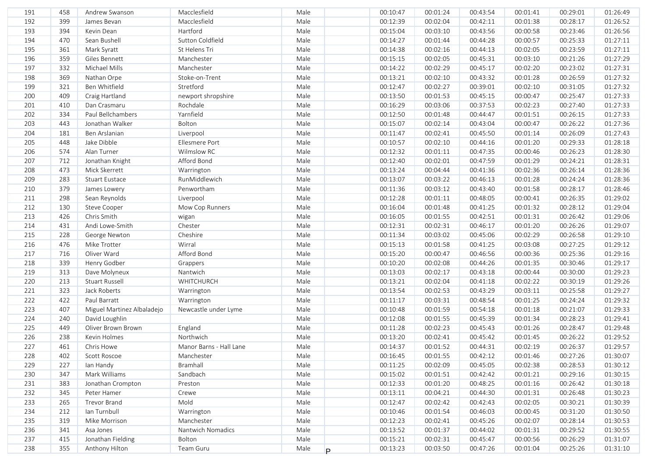| Male<br>192<br>399<br>Macclesfield<br>00:02:04<br>00:28:17<br>James Bevan<br>00:12:39<br>00:42:11<br>00:01:38<br>01:26:52<br>Hartford<br>394<br>Male<br>193<br>Kevin Dean<br>00:15:04<br>00:03:10<br>00:43:56<br>00:23:46<br>01:26:56<br>00:00:58<br>Sutton Coldfield<br>Male<br>194<br>470<br>Sean Bushell<br>00:14:27<br>00:01:44<br>00:44:28<br>00:25:33<br>01:27:11<br>00:00:57<br>Male<br>01:27:11<br>195<br>361<br>Mark Syratt<br>St Helens Tri<br>00:14:38<br>00:02:16<br>00:44:13<br>00:02:05<br>00:23:59<br>Male<br>196<br>359<br>Manchester<br>00:15:15<br>00:02:05<br>00:45:31<br>00:03:10<br>00:21:26<br>01:27:29<br>Giles Bennett<br>Male<br>197<br>332<br>Michael Mills<br>Manchester<br>00:02:29<br>00:23:02<br>01:27:31<br>00:14:22<br>00:45:17<br>00:02:20<br>Male<br>369<br>Stoke-on-Trent<br>00:02:10<br>00:26:59<br>01:27:32<br>198<br>Nathan Orpe<br>00:13:21<br>00:43:32<br>00:01:28<br>Stretford<br>199<br>321<br>Ben Whitfield<br>Male<br>00:12:47<br>00:02:27<br>00:02:10<br>00:31:05<br>01:27:32<br>00:39:01<br>200<br>409<br>Craig Hartland<br>newport shropshire<br>Male<br>00:13:50<br>00:01:53<br>00:45:15<br>00:00:47<br>00:25:47<br>01:27:33<br>Rochdale<br>Male<br>01:27:33<br>201<br>410<br>Dan Crasmaru<br>00:16:29<br>00:03:06<br>00:37:53<br>00:02:23<br>00:27:40<br>Paul Bellchambers<br>Yarnfield<br>01:27:33<br>202<br>334<br>Male<br>00:12:50<br>00:01:48<br>00:44:47<br>00:01:51<br>00:26:15<br>443<br>Bolton<br>01:27:36<br>203<br>Jonathan Walker<br>Male<br>00:15:07<br>00:02:14<br>00:43:04<br>00:00:47<br>00:26:22<br>01:27:43<br>204<br>181<br>Ben Arslanian<br>Liverpool<br>Male<br>00:11:47<br>00:02:41<br>00:45:50<br>00:01:14<br>00:26:09<br>205<br>448<br>Jake Dibble<br>Ellesmere Port<br>Male<br>00:10:57<br>00:02:10<br>00:44:16<br>00:01:20<br>00:29:33<br>01:28:18<br>206<br>574<br>Alan Turner<br>Wilmslow RC<br>Male<br>00:12:32<br>00:01:11<br>00:47:35<br>00:00:46<br>01:28:30<br>00:26:23<br>207<br>712<br>Jonathan Knight<br>Afford Bond<br>Male<br>00:12:40<br>00:47:59<br>00:01:29<br>01:28:31<br>00:02:01<br>00:24:21<br>208<br>473<br>Mick Skerrett<br>Male<br>00:13:24<br>00:41:36<br>00:02:36<br>01:28:36<br>Warrington<br>00:04:44<br>00:26:14<br>283<br>RunMiddlewich<br>Male<br>00:13:07<br>00:01:28<br>01:28:36<br>209<br><b>Stuart Eustace</b><br>00:03:22<br>00:46:13<br>00:24:24<br>210<br>379<br>Penwortham<br>Male<br>00:11:36<br>00:01:58<br>01:28:46<br>James Lowery<br>00:03:12<br>00:43:40<br>00:28:17<br>298<br>Male<br>01:29:02<br>211<br>00:12:28<br>00:01:11<br>00:48:05<br>00:00:41<br>00:26:35<br>Sean Reynolds<br>Liverpool<br>Male<br>212<br>130<br>00:16:04<br>00:01:48<br>00:41:25<br>00:01:32<br>00:28:12<br>01:29:04<br>Steve Cooper<br>Mow Cop Runners<br>213<br>426<br>Male<br>01:29:06<br>Chris Smith<br>00:16:05<br>00:01:55<br>00:42:51<br>00:01:31<br>00:26:42<br>wigan<br>Male<br>214<br>431<br>Andi Lowe-Smith<br>Chester<br>00:12:31<br>00:02:31<br>00:46:17<br>00:01:20<br>00:26:26<br>01:29:07<br>Male<br>215<br>228<br>Cheshire<br>00:11:34<br>00:03:02<br>00:45:06<br>00:02:29<br>00:26:58<br>01:29:10<br>George Newton<br>Wirral<br>Male<br>216<br>476<br>Mike Trotter<br>00:15:13<br>00:01:58<br>00:41:25<br>00:03:08<br>00:27:25<br>01:29:12<br>Afford Bond<br>Male<br>217<br>716<br>Oliver Ward<br>00:15:20<br>00:00:47<br>00:46:56<br>00:25:36<br>01:29:16<br>00:00:36<br>Male<br>218<br>339<br>Henry Godber<br>00:10:20<br>00:02:08<br>00:44:26<br>00:01:35<br>00:30:46<br>01:29:17<br>Grappers<br>219<br>313<br>Dave Molyneux<br>Nantwich<br>Male<br>00:02:17<br>01:29:23<br>00:13:03<br>00:43:18<br>00:00:44<br>00:30:00<br>Male<br>220<br>213<br>Stuart Russell<br>WHITCHURCH<br>00:13:21<br>00:02:04<br>00:41:18<br>00:02:22<br>00:30:19<br>01:29:26<br>Male<br>221<br>323<br>Jack Roberts<br>00:13:54<br>00:02:53<br>00:43:29<br>00:03:11<br>00:25:58<br>01:29:27<br>Warrington<br>222<br>422<br>Paul Barratt<br>Male<br>00:11:17<br>00:03:31<br>00:48:54<br>00:01:25<br>00:24:24<br>01:29:32<br>Warrington<br>223<br>407<br>Male<br>00:10:48<br>00:01:59<br>00:54:18<br>00:01:18<br>00:21:07<br>01:29:33<br>Miguel Martinez Albaladejo<br>Newcastle under Lyme<br>224<br>David Loughlin<br>Male<br>00:01:55<br>00:45:39<br>00:01:34<br>00:28:23<br>01:29:41<br>240<br>00:12:08<br>225<br>449<br>Oliver Brown Brown<br>England<br>Male<br>00:02:23<br>00:45:43<br>00:01:26<br>00:28:47<br>01:29:48<br>00:11:28<br>Northwich<br>226<br>238<br>Kevin Holmes<br>Male<br>00:13:20<br>00:02:41<br>00:45:42<br>00:01:45<br>00:26:22<br>01:29:52<br>227<br>Male<br>461<br>Chris Howe<br>Manor Barns - Hall Lane<br>00:14:37<br>00:01:52<br>00:44:31<br>00:02:19<br>00:26:37<br>01:29:57<br>228<br>402<br>00:16:45<br>00:01:55<br>00:42:12<br>00:01:46<br>00:27:26<br>01:30:07<br>Scott Roscoe<br>Manchester<br>Male<br>Bramhall<br>00:02:09<br>00:28:53<br>01:30:12<br>229<br>227<br>lan Handy<br>Male<br>00:11:25<br>00:45:05<br>00:02:38<br>230<br>347<br>Mark Williams<br>Sandbach<br>00:15:02<br>00:01:51<br>00:42:42<br>00:01:21<br>00:29:16<br>01:30:15<br>Male<br>231<br>383<br>Male<br>00:12:33<br>00:01:20<br>00:48:25<br>01:30:18<br>Jonathan Crompton<br>Preston<br>00:01:16<br>00:26:42<br>232<br>00:04:21<br>01:30:23<br>345<br>Peter Hamer<br>Crewe<br>Male<br>00:13:11<br>00:44:30<br>00:01:31<br>00:26:48<br>233<br>Mold<br>Male<br>00:02:42<br>01:30:39<br>265<br>Trevor Brand<br>00:12:47<br>00:42:43<br>00:02:05<br>00:30:21<br>Ian Turnbull<br>234<br>212<br>Warrington<br>Male<br>00:10:46<br>00:01:54<br>00:46:03<br>00:00:45<br>00:31:20<br>01:30:50<br>235<br>319<br>Mike Morrison<br>Manchester<br>Male<br>00:12:23<br>00:02:41<br>00:45:26<br>00:02:07<br>00:28:14<br>01:30:53<br>Nantwich Nomadics<br>236<br>341<br>Male<br>00:13:52<br>00:01:37<br>00:44:02<br>00:29:52<br>01:30:55<br>Asa Jones<br>00:01:31<br>237<br>Jonathan Fielding<br>415<br>Bolton<br>Male<br>00:15:21<br>00:02:31<br>00:45:47<br>00:00:56<br>00:26:29<br>01:31:07<br>238<br>355<br>Anthony Hilton<br>Team Guru<br>Male<br>00:03:50<br>00:47:26<br>01:31:10<br>00:13:23<br>00:01:04<br>00:25:26<br>P. | 191 | 458 | Andrew Swanson | Macclesfield | Male | 00:10:47 | 00:01:24 | 00:43:54 | 00:01:41 | 00:29:01 | 01:26:49 |
|--------------------------------------------------------------------------------------------------------------------------------------------------------------------------------------------------------------------------------------------------------------------------------------------------------------------------------------------------------------------------------------------------------------------------------------------------------------------------------------------------------------------------------------------------------------------------------------------------------------------------------------------------------------------------------------------------------------------------------------------------------------------------------------------------------------------------------------------------------------------------------------------------------------------------------------------------------------------------------------------------------------------------------------------------------------------------------------------------------------------------------------------------------------------------------------------------------------------------------------------------------------------------------------------------------------------------------------------------------------------------------------------------------------------------------------------------------------------------------------------------------------------------------------------------------------------------------------------------------------------------------------------------------------------------------------------------------------------------------------------------------------------------------------------------------------------------------------------------------------------------------------------------------------------------------------------------------------------------------------------------------------------------------------------------------------------------------------------------------------------------------------------------------------------------------------------------------------------------------------------------------------------------------------------------------------------------------------------------------------------------------------------------------------------------------------------------------------------------------------------------------------------------------------------------------------------------------------------------------------------------------------------------------------------------------------------------------------------------------------------------------------------------------------------------------------------------------------------------------------------------------------------------------------------------------------------------------------------------------------------------------------------------------------------------------------------------------------------------------------------------------------------------------------------------------------------------------------------------------------------------------------------------------------------------------------------------------------------------------------------------------------------------------------------------------------------------------------------------------------------------------------------------------------------------------------------------------------------------------------------------------------------------------------------------------------------------------------------------------------------------------------------------------------------------------------------------------------------------------------------------------------------------------------------------------------------------------------------------------------------------------------------------------------------------------------------------------------------------------------------------------------------------------------------------------------------------------------------------------------------------------------------------------------------------------------------------------------------------------------------------------------------------------------------------------------------------------------------------------------------------------------------------------------------------------------------------------------------------------------------------------------------------------------------------------------------------------------------------------------------------------------------------------------------------------------------------------------------------------------------------------------------------------------------------------------------------------------------------------------------------------------------------------------------------------------------------------------------------------------------------------------------------------------------------------------------------------------------------------------------------------------------------------------------------------------------------------------------------------------------------------------------------------------------------------------------------------------------------------------------------------------------------------------------------------------------------------------------------------------------------------------------------------------------------------------------------------------------------------------------------------------------------------------------------------------------------------------------------------------------------------------------------------------------------------------------------------------------------------------------------------------------------------------------------------------------------------------------------------------------------|-----|-----|----------------|--------------|------|----------|----------|----------|----------|----------|----------|
|                                                                                                                                                                                                                                                                                                                                                                                                                                                                                                                                                                                                                                                                                                                                                                                                                                                                                                                                                                                                                                                                                                                                                                                                                                                                                                                                                                                                                                                                                                                                                                                                                                                                                                                                                                                                                                                                                                                                                                                                                                                                                                                                                                                                                                                                                                                                                                                                                                                                                                                                                                                                                                                                                                                                                                                                                                                                                                                                                                                                                                                                                                                                                                                                                                                                                                                                                                                                                                                                                                                                                                                                                                                                                                                                                                                                                                                                                                                                                                                                                                                                                                                                                                                                                                                                                                                                                                                                                                                                                                                                                                                                                                                                                                                                                                                                                                                                                                                                                                                                                                                                                                                                                                                                                                                                                                                                                                                                                                                                                                                                                                                                                                                                                                                                                                                                                                                                                                                                                                                                                                                                                                                          |     |     |                |              |      |          |          |          |          |          |          |
|                                                                                                                                                                                                                                                                                                                                                                                                                                                                                                                                                                                                                                                                                                                                                                                                                                                                                                                                                                                                                                                                                                                                                                                                                                                                                                                                                                                                                                                                                                                                                                                                                                                                                                                                                                                                                                                                                                                                                                                                                                                                                                                                                                                                                                                                                                                                                                                                                                                                                                                                                                                                                                                                                                                                                                                                                                                                                                                                                                                                                                                                                                                                                                                                                                                                                                                                                                                                                                                                                                                                                                                                                                                                                                                                                                                                                                                                                                                                                                                                                                                                                                                                                                                                                                                                                                                                                                                                                                                                                                                                                                                                                                                                                                                                                                                                                                                                                                                                                                                                                                                                                                                                                                                                                                                                                                                                                                                                                                                                                                                                                                                                                                                                                                                                                                                                                                                                                                                                                                                                                                                                                                                          |     |     |                |              |      |          |          |          |          |          |          |
|                                                                                                                                                                                                                                                                                                                                                                                                                                                                                                                                                                                                                                                                                                                                                                                                                                                                                                                                                                                                                                                                                                                                                                                                                                                                                                                                                                                                                                                                                                                                                                                                                                                                                                                                                                                                                                                                                                                                                                                                                                                                                                                                                                                                                                                                                                                                                                                                                                                                                                                                                                                                                                                                                                                                                                                                                                                                                                                                                                                                                                                                                                                                                                                                                                                                                                                                                                                                                                                                                                                                                                                                                                                                                                                                                                                                                                                                                                                                                                                                                                                                                                                                                                                                                                                                                                                                                                                                                                                                                                                                                                                                                                                                                                                                                                                                                                                                                                                                                                                                                                                                                                                                                                                                                                                                                                                                                                                                                                                                                                                                                                                                                                                                                                                                                                                                                                                                                                                                                                                                                                                                                                                          |     |     |                |              |      |          |          |          |          |          |          |
|                                                                                                                                                                                                                                                                                                                                                                                                                                                                                                                                                                                                                                                                                                                                                                                                                                                                                                                                                                                                                                                                                                                                                                                                                                                                                                                                                                                                                                                                                                                                                                                                                                                                                                                                                                                                                                                                                                                                                                                                                                                                                                                                                                                                                                                                                                                                                                                                                                                                                                                                                                                                                                                                                                                                                                                                                                                                                                                                                                                                                                                                                                                                                                                                                                                                                                                                                                                                                                                                                                                                                                                                                                                                                                                                                                                                                                                                                                                                                                                                                                                                                                                                                                                                                                                                                                                                                                                                                                                                                                                                                                                                                                                                                                                                                                                                                                                                                                                                                                                                                                                                                                                                                                                                                                                                                                                                                                                                                                                                                                                                                                                                                                                                                                                                                                                                                                                                                                                                                                                                                                                                                                                          |     |     |                |              |      |          |          |          |          |          |          |
|                                                                                                                                                                                                                                                                                                                                                                                                                                                                                                                                                                                                                                                                                                                                                                                                                                                                                                                                                                                                                                                                                                                                                                                                                                                                                                                                                                                                                                                                                                                                                                                                                                                                                                                                                                                                                                                                                                                                                                                                                                                                                                                                                                                                                                                                                                                                                                                                                                                                                                                                                                                                                                                                                                                                                                                                                                                                                                                                                                                                                                                                                                                                                                                                                                                                                                                                                                                                                                                                                                                                                                                                                                                                                                                                                                                                                                                                                                                                                                                                                                                                                                                                                                                                                                                                                                                                                                                                                                                                                                                                                                                                                                                                                                                                                                                                                                                                                                                                                                                                                                                                                                                                                                                                                                                                                                                                                                                                                                                                                                                                                                                                                                                                                                                                                                                                                                                                                                                                                                                                                                                                                                                          |     |     |                |              |      |          |          |          |          |          |          |
|                                                                                                                                                                                                                                                                                                                                                                                                                                                                                                                                                                                                                                                                                                                                                                                                                                                                                                                                                                                                                                                                                                                                                                                                                                                                                                                                                                                                                                                                                                                                                                                                                                                                                                                                                                                                                                                                                                                                                                                                                                                                                                                                                                                                                                                                                                                                                                                                                                                                                                                                                                                                                                                                                                                                                                                                                                                                                                                                                                                                                                                                                                                                                                                                                                                                                                                                                                                                                                                                                                                                                                                                                                                                                                                                                                                                                                                                                                                                                                                                                                                                                                                                                                                                                                                                                                                                                                                                                                                                                                                                                                                                                                                                                                                                                                                                                                                                                                                                                                                                                                                                                                                                                                                                                                                                                                                                                                                                                                                                                                                                                                                                                                                                                                                                                                                                                                                                                                                                                                                                                                                                                                                          |     |     |                |              |      |          |          |          |          |          |          |
|                                                                                                                                                                                                                                                                                                                                                                                                                                                                                                                                                                                                                                                                                                                                                                                                                                                                                                                                                                                                                                                                                                                                                                                                                                                                                                                                                                                                                                                                                                                                                                                                                                                                                                                                                                                                                                                                                                                                                                                                                                                                                                                                                                                                                                                                                                                                                                                                                                                                                                                                                                                                                                                                                                                                                                                                                                                                                                                                                                                                                                                                                                                                                                                                                                                                                                                                                                                                                                                                                                                                                                                                                                                                                                                                                                                                                                                                                                                                                                                                                                                                                                                                                                                                                                                                                                                                                                                                                                                                                                                                                                                                                                                                                                                                                                                                                                                                                                                                                                                                                                                                                                                                                                                                                                                                                                                                                                                                                                                                                                                                                                                                                                                                                                                                                                                                                                                                                                                                                                                                                                                                                                                          |     |     |                |              |      |          |          |          |          |          |          |
|                                                                                                                                                                                                                                                                                                                                                                                                                                                                                                                                                                                                                                                                                                                                                                                                                                                                                                                                                                                                                                                                                                                                                                                                                                                                                                                                                                                                                                                                                                                                                                                                                                                                                                                                                                                                                                                                                                                                                                                                                                                                                                                                                                                                                                                                                                                                                                                                                                                                                                                                                                                                                                                                                                                                                                                                                                                                                                                                                                                                                                                                                                                                                                                                                                                                                                                                                                                                                                                                                                                                                                                                                                                                                                                                                                                                                                                                                                                                                                                                                                                                                                                                                                                                                                                                                                                                                                                                                                                                                                                                                                                                                                                                                                                                                                                                                                                                                                                                                                                                                                                                                                                                                                                                                                                                                                                                                                                                                                                                                                                                                                                                                                                                                                                                                                                                                                                                                                                                                                                                                                                                                                                          |     |     |                |              |      |          |          |          |          |          |          |
|                                                                                                                                                                                                                                                                                                                                                                                                                                                                                                                                                                                                                                                                                                                                                                                                                                                                                                                                                                                                                                                                                                                                                                                                                                                                                                                                                                                                                                                                                                                                                                                                                                                                                                                                                                                                                                                                                                                                                                                                                                                                                                                                                                                                                                                                                                                                                                                                                                                                                                                                                                                                                                                                                                                                                                                                                                                                                                                                                                                                                                                                                                                                                                                                                                                                                                                                                                                                                                                                                                                                                                                                                                                                                                                                                                                                                                                                                                                                                                                                                                                                                                                                                                                                                                                                                                                                                                                                                                                                                                                                                                                                                                                                                                                                                                                                                                                                                                                                                                                                                                                                                                                                                                                                                                                                                                                                                                                                                                                                                                                                                                                                                                                                                                                                                                                                                                                                                                                                                                                                                                                                                                                          |     |     |                |              |      |          |          |          |          |          |          |
|                                                                                                                                                                                                                                                                                                                                                                                                                                                                                                                                                                                                                                                                                                                                                                                                                                                                                                                                                                                                                                                                                                                                                                                                                                                                                                                                                                                                                                                                                                                                                                                                                                                                                                                                                                                                                                                                                                                                                                                                                                                                                                                                                                                                                                                                                                                                                                                                                                                                                                                                                                                                                                                                                                                                                                                                                                                                                                                                                                                                                                                                                                                                                                                                                                                                                                                                                                                                                                                                                                                                                                                                                                                                                                                                                                                                                                                                                                                                                                                                                                                                                                                                                                                                                                                                                                                                                                                                                                                                                                                                                                                                                                                                                                                                                                                                                                                                                                                                                                                                                                                                                                                                                                                                                                                                                                                                                                                                                                                                                                                                                                                                                                                                                                                                                                                                                                                                                                                                                                                                                                                                                                                          |     |     |                |              |      |          |          |          |          |          |          |
|                                                                                                                                                                                                                                                                                                                                                                                                                                                                                                                                                                                                                                                                                                                                                                                                                                                                                                                                                                                                                                                                                                                                                                                                                                                                                                                                                                                                                                                                                                                                                                                                                                                                                                                                                                                                                                                                                                                                                                                                                                                                                                                                                                                                                                                                                                                                                                                                                                                                                                                                                                                                                                                                                                                                                                                                                                                                                                                                                                                                                                                                                                                                                                                                                                                                                                                                                                                                                                                                                                                                                                                                                                                                                                                                                                                                                                                                                                                                                                                                                                                                                                                                                                                                                                                                                                                                                                                                                                                                                                                                                                                                                                                                                                                                                                                                                                                                                                                                                                                                                                                                                                                                                                                                                                                                                                                                                                                                                                                                                                                                                                                                                                                                                                                                                                                                                                                                                                                                                                                                                                                                                                                          |     |     |                |              |      |          |          |          |          |          |          |
|                                                                                                                                                                                                                                                                                                                                                                                                                                                                                                                                                                                                                                                                                                                                                                                                                                                                                                                                                                                                                                                                                                                                                                                                                                                                                                                                                                                                                                                                                                                                                                                                                                                                                                                                                                                                                                                                                                                                                                                                                                                                                                                                                                                                                                                                                                                                                                                                                                                                                                                                                                                                                                                                                                                                                                                                                                                                                                                                                                                                                                                                                                                                                                                                                                                                                                                                                                                                                                                                                                                                                                                                                                                                                                                                                                                                                                                                                                                                                                                                                                                                                                                                                                                                                                                                                                                                                                                                                                                                                                                                                                                                                                                                                                                                                                                                                                                                                                                                                                                                                                                                                                                                                                                                                                                                                                                                                                                                                                                                                                                                                                                                                                                                                                                                                                                                                                                                                                                                                                                                                                                                                                                          |     |     |                |              |      |          |          |          |          |          |          |
|                                                                                                                                                                                                                                                                                                                                                                                                                                                                                                                                                                                                                                                                                                                                                                                                                                                                                                                                                                                                                                                                                                                                                                                                                                                                                                                                                                                                                                                                                                                                                                                                                                                                                                                                                                                                                                                                                                                                                                                                                                                                                                                                                                                                                                                                                                                                                                                                                                                                                                                                                                                                                                                                                                                                                                                                                                                                                                                                                                                                                                                                                                                                                                                                                                                                                                                                                                                                                                                                                                                                                                                                                                                                                                                                                                                                                                                                                                                                                                                                                                                                                                                                                                                                                                                                                                                                                                                                                                                                                                                                                                                                                                                                                                                                                                                                                                                                                                                                                                                                                                                                                                                                                                                                                                                                                                                                                                                                                                                                                                                                                                                                                                                                                                                                                                                                                                                                                                                                                                                                                                                                                                                          |     |     |                |              |      |          |          |          |          |          |          |
|                                                                                                                                                                                                                                                                                                                                                                                                                                                                                                                                                                                                                                                                                                                                                                                                                                                                                                                                                                                                                                                                                                                                                                                                                                                                                                                                                                                                                                                                                                                                                                                                                                                                                                                                                                                                                                                                                                                                                                                                                                                                                                                                                                                                                                                                                                                                                                                                                                                                                                                                                                                                                                                                                                                                                                                                                                                                                                                                                                                                                                                                                                                                                                                                                                                                                                                                                                                                                                                                                                                                                                                                                                                                                                                                                                                                                                                                                                                                                                                                                                                                                                                                                                                                                                                                                                                                                                                                                                                                                                                                                                                                                                                                                                                                                                                                                                                                                                                                                                                                                                                                                                                                                                                                                                                                                                                                                                                                                                                                                                                                                                                                                                                                                                                                                                                                                                                                                                                                                                                                                                                                                                                          |     |     |                |              |      |          |          |          |          |          |          |
|                                                                                                                                                                                                                                                                                                                                                                                                                                                                                                                                                                                                                                                                                                                                                                                                                                                                                                                                                                                                                                                                                                                                                                                                                                                                                                                                                                                                                                                                                                                                                                                                                                                                                                                                                                                                                                                                                                                                                                                                                                                                                                                                                                                                                                                                                                                                                                                                                                                                                                                                                                                                                                                                                                                                                                                                                                                                                                                                                                                                                                                                                                                                                                                                                                                                                                                                                                                                                                                                                                                                                                                                                                                                                                                                                                                                                                                                                                                                                                                                                                                                                                                                                                                                                                                                                                                                                                                                                                                                                                                                                                                                                                                                                                                                                                                                                                                                                                                                                                                                                                                                                                                                                                                                                                                                                                                                                                                                                                                                                                                                                                                                                                                                                                                                                                                                                                                                                                                                                                                                                                                                                                                          |     |     |                |              |      |          |          |          |          |          |          |
|                                                                                                                                                                                                                                                                                                                                                                                                                                                                                                                                                                                                                                                                                                                                                                                                                                                                                                                                                                                                                                                                                                                                                                                                                                                                                                                                                                                                                                                                                                                                                                                                                                                                                                                                                                                                                                                                                                                                                                                                                                                                                                                                                                                                                                                                                                                                                                                                                                                                                                                                                                                                                                                                                                                                                                                                                                                                                                                                                                                                                                                                                                                                                                                                                                                                                                                                                                                                                                                                                                                                                                                                                                                                                                                                                                                                                                                                                                                                                                                                                                                                                                                                                                                                                                                                                                                                                                                                                                                                                                                                                                                                                                                                                                                                                                                                                                                                                                                                                                                                                                                                                                                                                                                                                                                                                                                                                                                                                                                                                                                                                                                                                                                                                                                                                                                                                                                                                                                                                                                                                                                                                                                          |     |     |                |              |      |          |          |          |          |          |          |
|                                                                                                                                                                                                                                                                                                                                                                                                                                                                                                                                                                                                                                                                                                                                                                                                                                                                                                                                                                                                                                                                                                                                                                                                                                                                                                                                                                                                                                                                                                                                                                                                                                                                                                                                                                                                                                                                                                                                                                                                                                                                                                                                                                                                                                                                                                                                                                                                                                                                                                                                                                                                                                                                                                                                                                                                                                                                                                                                                                                                                                                                                                                                                                                                                                                                                                                                                                                                                                                                                                                                                                                                                                                                                                                                                                                                                                                                                                                                                                                                                                                                                                                                                                                                                                                                                                                                                                                                                                                                                                                                                                                                                                                                                                                                                                                                                                                                                                                                                                                                                                                                                                                                                                                                                                                                                                                                                                                                                                                                                                                                                                                                                                                                                                                                                                                                                                                                                                                                                                                                                                                                                                                          |     |     |                |              |      |          |          |          |          |          |          |
|                                                                                                                                                                                                                                                                                                                                                                                                                                                                                                                                                                                                                                                                                                                                                                                                                                                                                                                                                                                                                                                                                                                                                                                                                                                                                                                                                                                                                                                                                                                                                                                                                                                                                                                                                                                                                                                                                                                                                                                                                                                                                                                                                                                                                                                                                                                                                                                                                                                                                                                                                                                                                                                                                                                                                                                                                                                                                                                                                                                                                                                                                                                                                                                                                                                                                                                                                                                                                                                                                                                                                                                                                                                                                                                                                                                                                                                                                                                                                                                                                                                                                                                                                                                                                                                                                                                                                                                                                                                                                                                                                                                                                                                                                                                                                                                                                                                                                                                                                                                                                                                                                                                                                                                                                                                                                                                                                                                                                                                                                                                                                                                                                                                                                                                                                                                                                                                                                                                                                                                                                                                                                                                          |     |     |                |              |      |          |          |          |          |          |          |
|                                                                                                                                                                                                                                                                                                                                                                                                                                                                                                                                                                                                                                                                                                                                                                                                                                                                                                                                                                                                                                                                                                                                                                                                                                                                                                                                                                                                                                                                                                                                                                                                                                                                                                                                                                                                                                                                                                                                                                                                                                                                                                                                                                                                                                                                                                                                                                                                                                                                                                                                                                                                                                                                                                                                                                                                                                                                                                                                                                                                                                                                                                                                                                                                                                                                                                                                                                                                                                                                                                                                                                                                                                                                                                                                                                                                                                                                                                                                                                                                                                                                                                                                                                                                                                                                                                                                                                                                                                                                                                                                                                                                                                                                                                                                                                                                                                                                                                                                                                                                                                                                                                                                                                                                                                                                                                                                                                                                                                                                                                                                                                                                                                                                                                                                                                                                                                                                                                                                                                                                                                                                                                                          |     |     |                |              |      |          |          |          |          |          |          |
|                                                                                                                                                                                                                                                                                                                                                                                                                                                                                                                                                                                                                                                                                                                                                                                                                                                                                                                                                                                                                                                                                                                                                                                                                                                                                                                                                                                                                                                                                                                                                                                                                                                                                                                                                                                                                                                                                                                                                                                                                                                                                                                                                                                                                                                                                                                                                                                                                                                                                                                                                                                                                                                                                                                                                                                                                                                                                                                                                                                                                                                                                                                                                                                                                                                                                                                                                                                                                                                                                                                                                                                                                                                                                                                                                                                                                                                                                                                                                                                                                                                                                                                                                                                                                                                                                                                                                                                                                                                                                                                                                                                                                                                                                                                                                                                                                                                                                                                                                                                                                                                                                                                                                                                                                                                                                                                                                                                                                                                                                                                                                                                                                                                                                                                                                                                                                                                                                                                                                                                                                                                                                                                          |     |     |                |              |      |          |          |          |          |          |          |
|                                                                                                                                                                                                                                                                                                                                                                                                                                                                                                                                                                                                                                                                                                                                                                                                                                                                                                                                                                                                                                                                                                                                                                                                                                                                                                                                                                                                                                                                                                                                                                                                                                                                                                                                                                                                                                                                                                                                                                                                                                                                                                                                                                                                                                                                                                                                                                                                                                                                                                                                                                                                                                                                                                                                                                                                                                                                                                                                                                                                                                                                                                                                                                                                                                                                                                                                                                                                                                                                                                                                                                                                                                                                                                                                                                                                                                                                                                                                                                                                                                                                                                                                                                                                                                                                                                                                                                                                                                                                                                                                                                                                                                                                                                                                                                                                                                                                                                                                                                                                                                                                                                                                                                                                                                                                                                                                                                                                                                                                                                                                                                                                                                                                                                                                                                                                                                                                                                                                                                                                                                                                                                                          |     |     |                |              |      |          |          |          |          |          |          |
|                                                                                                                                                                                                                                                                                                                                                                                                                                                                                                                                                                                                                                                                                                                                                                                                                                                                                                                                                                                                                                                                                                                                                                                                                                                                                                                                                                                                                                                                                                                                                                                                                                                                                                                                                                                                                                                                                                                                                                                                                                                                                                                                                                                                                                                                                                                                                                                                                                                                                                                                                                                                                                                                                                                                                                                                                                                                                                                                                                                                                                                                                                                                                                                                                                                                                                                                                                                                                                                                                                                                                                                                                                                                                                                                                                                                                                                                                                                                                                                                                                                                                                                                                                                                                                                                                                                                                                                                                                                                                                                                                                                                                                                                                                                                                                                                                                                                                                                                                                                                                                                                                                                                                                                                                                                                                                                                                                                                                                                                                                                                                                                                                                                                                                                                                                                                                                                                                                                                                                                                                                                                                                                          |     |     |                |              |      |          |          |          |          |          |          |
|                                                                                                                                                                                                                                                                                                                                                                                                                                                                                                                                                                                                                                                                                                                                                                                                                                                                                                                                                                                                                                                                                                                                                                                                                                                                                                                                                                                                                                                                                                                                                                                                                                                                                                                                                                                                                                                                                                                                                                                                                                                                                                                                                                                                                                                                                                                                                                                                                                                                                                                                                                                                                                                                                                                                                                                                                                                                                                                                                                                                                                                                                                                                                                                                                                                                                                                                                                                                                                                                                                                                                                                                                                                                                                                                                                                                                                                                                                                                                                                                                                                                                                                                                                                                                                                                                                                                                                                                                                                                                                                                                                                                                                                                                                                                                                                                                                                                                                                                                                                                                                                                                                                                                                                                                                                                                                                                                                                                                                                                                                                                                                                                                                                                                                                                                                                                                                                                                                                                                                                                                                                                                                                          |     |     |                |              |      |          |          |          |          |          |          |
|                                                                                                                                                                                                                                                                                                                                                                                                                                                                                                                                                                                                                                                                                                                                                                                                                                                                                                                                                                                                                                                                                                                                                                                                                                                                                                                                                                                                                                                                                                                                                                                                                                                                                                                                                                                                                                                                                                                                                                                                                                                                                                                                                                                                                                                                                                                                                                                                                                                                                                                                                                                                                                                                                                                                                                                                                                                                                                                                                                                                                                                                                                                                                                                                                                                                                                                                                                                                                                                                                                                                                                                                                                                                                                                                                                                                                                                                                                                                                                                                                                                                                                                                                                                                                                                                                                                                                                                                                                                                                                                                                                                                                                                                                                                                                                                                                                                                                                                                                                                                                                                                                                                                                                                                                                                                                                                                                                                                                                                                                                                                                                                                                                                                                                                                                                                                                                                                                                                                                                                                                                                                                                                          |     |     |                |              |      |          |          |          |          |          |          |
|                                                                                                                                                                                                                                                                                                                                                                                                                                                                                                                                                                                                                                                                                                                                                                                                                                                                                                                                                                                                                                                                                                                                                                                                                                                                                                                                                                                                                                                                                                                                                                                                                                                                                                                                                                                                                                                                                                                                                                                                                                                                                                                                                                                                                                                                                                                                                                                                                                                                                                                                                                                                                                                                                                                                                                                                                                                                                                                                                                                                                                                                                                                                                                                                                                                                                                                                                                                                                                                                                                                                                                                                                                                                                                                                                                                                                                                                                                                                                                                                                                                                                                                                                                                                                                                                                                                                                                                                                                                                                                                                                                                                                                                                                                                                                                                                                                                                                                                                                                                                                                                                                                                                                                                                                                                                                                                                                                                                                                                                                                                                                                                                                                                                                                                                                                                                                                                                                                                                                                                                                                                                                                                          |     |     |                |              |      |          |          |          |          |          |          |
|                                                                                                                                                                                                                                                                                                                                                                                                                                                                                                                                                                                                                                                                                                                                                                                                                                                                                                                                                                                                                                                                                                                                                                                                                                                                                                                                                                                                                                                                                                                                                                                                                                                                                                                                                                                                                                                                                                                                                                                                                                                                                                                                                                                                                                                                                                                                                                                                                                                                                                                                                                                                                                                                                                                                                                                                                                                                                                                                                                                                                                                                                                                                                                                                                                                                                                                                                                                                                                                                                                                                                                                                                                                                                                                                                                                                                                                                                                                                                                                                                                                                                                                                                                                                                                                                                                                                                                                                                                                                                                                                                                                                                                                                                                                                                                                                                                                                                                                                                                                                                                                                                                                                                                                                                                                                                                                                                                                                                                                                                                                                                                                                                                                                                                                                                                                                                                                                                                                                                                                                                                                                                                                          |     |     |                |              |      |          |          |          |          |          |          |
|                                                                                                                                                                                                                                                                                                                                                                                                                                                                                                                                                                                                                                                                                                                                                                                                                                                                                                                                                                                                                                                                                                                                                                                                                                                                                                                                                                                                                                                                                                                                                                                                                                                                                                                                                                                                                                                                                                                                                                                                                                                                                                                                                                                                                                                                                                                                                                                                                                                                                                                                                                                                                                                                                                                                                                                                                                                                                                                                                                                                                                                                                                                                                                                                                                                                                                                                                                                                                                                                                                                                                                                                                                                                                                                                                                                                                                                                                                                                                                                                                                                                                                                                                                                                                                                                                                                                                                                                                                                                                                                                                                                                                                                                                                                                                                                                                                                                                                                                                                                                                                                                                                                                                                                                                                                                                                                                                                                                                                                                                                                                                                                                                                                                                                                                                                                                                                                                                                                                                                                                                                                                                                                          |     |     |                |              |      |          |          |          |          |          |          |
|                                                                                                                                                                                                                                                                                                                                                                                                                                                                                                                                                                                                                                                                                                                                                                                                                                                                                                                                                                                                                                                                                                                                                                                                                                                                                                                                                                                                                                                                                                                                                                                                                                                                                                                                                                                                                                                                                                                                                                                                                                                                                                                                                                                                                                                                                                                                                                                                                                                                                                                                                                                                                                                                                                                                                                                                                                                                                                                                                                                                                                                                                                                                                                                                                                                                                                                                                                                                                                                                                                                                                                                                                                                                                                                                                                                                                                                                                                                                                                                                                                                                                                                                                                                                                                                                                                                                                                                                                                                                                                                                                                                                                                                                                                                                                                                                                                                                                                                                                                                                                                                                                                                                                                                                                                                                                                                                                                                                                                                                                                                                                                                                                                                                                                                                                                                                                                                                                                                                                                                                                                                                                                                          |     |     |                |              |      |          |          |          |          |          |          |
|                                                                                                                                                                                                                                                                                                                                                                                                                                                                                                                                                                                                                                                                                                                                                                                                                                                                                                                                                                                                                                                                                                                                                                                                                                                                                                                                                                                                                                                                                                                                                                                                                                                                                                                                                                                                                                                                                                                                                                                                                                                                                                                                                                                                                                                                                                                                                                                                                                                                                                                                                                                                                                                                                                                                                                                                                                                                                                                                                                                                                                                                                                                                                                                                                                                                                                                                                                                                                                                                                                                                                                                                                                                                                                                                                                                                                                                                                                                                                                                                                                                                                                                                                                                                                                                                                                                                                                                                                                                                                                                                                                                                                                                                                                                                                                                                                                                                                                                                                                                                                                                                                                                                                                                                                                                                                                                                                                                                                                                                                                                                                                                                                                                                                                                                                                                                                                                                                                                                                                                                                                                                                                                          |     |     |                |              |      |          |          |          |          |          |          |
|                                                                                                                                                                                                                                                                                                                                                                                                                                                                                                                                                                                                                                                                                                                                                                                                                                                                                                                                                                                                                                                                                                                                                                                                                                                                                                                                                                                                                                                                                                                                                                                                                                                                                                                                                                                                                                                                                                                                                                                                                                                                                                                                                                                                                                                                                                                                                                                                                                                                                                                                                                                                                                                                                                                                                                                                                                                                                                                                                                                                                                                                                                                                                                                                                                                                                                                                                                                                                                                                                                                                                                                                                                                                                                                                                                                                                                                                                                                                                                                                                                                                                                                                                                                                                                                                                                                                                                                                                                                                                                                                                                                                                                                                                                                                                                                                                                                                                                                                                                                                                                                                                                                                                                                                                                                                                                                                                                                                                                                                                                                                                                                                                                                                                                                                                                                                                                                                                                                                                                                                                                                                                                                          |     |     |                |              |      |          |          |          |          |          |          |
|                                                                                                                                                                                                                                                                                                                                                                                                                                                                                                                                                                                                                                                                                                                                                                                                                                                                                                                                                                                                                                                                                                                                                                                                                                                                                                                                                                                                                                                                                                                                                                                                                                                                                                                                                                                                                                                                                                                                                                                                                                                                                                                                                                                                                                                                                                                                                                                                                                                                                                                                                                                                                                                                                                                                                                                                                                                                                                                                                                                                                                                                                                                                                                                                                                                                                                                                                                                                                                                                                                                                                                                                                                                                                                                                                                                                                                                                                                                                                                                                                                                                                                                                                                                                                                                                                                                                                                                                                                                                                                                                                                                                                                                                                                                                                                                                                                                                                                                                                                                                                                                                                                                                                                                                                                                                                                                                                                                                                                                                                                                                                                                                                                                                                                                                                                                                                                                                                                                                                                                                                                                                                                                          |     |     |                |              |      |          |          |          |          |          |          |
|                                                                                                                                                                                                                                                                                                                                                                                                                                                                                                                                                                                                                                                                                                                                                                                                                                                                                                                                                                                                                                                                                                                                                                                                                                                                                                                                                                                                                                                                                                                                                                                                                                                                                                                                                                                                                                                                                                                                                                                                                                                                                                                                                                                                                                                                                                                                                                                                                                                                                                                                                                                                                                                                                                                                                                                                                                                                                                                                                                                                                                                                                                                                                                                                                                                                                                                                                                                                                                                                                                                                                                                                                                                                                                                                                                                                                                                                                                                                                                                                                                                                                                                                                                                                                                                                                                                                                                                                                                                                                                                                                                                                                                                                                                                                                                                                                                                                                                                                                                                                                                                                                                                                                                                                                                                                                                                                                                                                                                                                                                                                                                                                                                                                                                                                                                                                                                                                                                                                                                                                                                                                                                                          |     |     |                |              |      |          |          |          |          |          |          |
|                                                                                                                                                                                                                                                                                                                                                                                                                                                                                                                                                                                                                                                                                                                                                                                                                                                                                                                                                                                                                                                                                                                                                                                                                                                                                                                                                                                                                                                                                                                                                                                                                                                                                                                                                                                                                                                                                                                                                                                                                                                                                                                                                                                                                                                                                                                                                                                                                                                                                                                                                                                                                                                                                                                                                                                                                                                                                                                                                                                                                                                                                                                                                                                                                                                                                                                                                                                                                                                                                                                                                                                                                                                                                                                                                                                                                                                                                                                                                                                                                                                                                                                                                                                                                                                                                                                                                                                                                                                                                                                                                                                                                                                                                                                                                                                                                                                                                                                                                                                                                                                                                                                                                                                                                                                                                                                                                                                                                                                                                                                                                                                                                                                                                                                                                                                                                                                                                                                                                                                                                                                                                                                          |     |     |                |              |      |          |          |          |          |          |          |
|                                                                                                                                                                                                                                                                                                                                                                                                                                                                                                                                                                                                                                                                                                                                                                                                                                                                                                                                                                                                                                                                                                                                                                                                                                                                                                                                                                                                                                                                                                                                                                                                                                                                                                                                                                                                                                                                                                                                                                                                                                                                                                                                                                                                                                                                                                                                                                                                                                                                                                                                                                                                                                                                                                                                                                                                                                                                                                                                                                                                                                                                                                                                                                                                                                                                                                                                                                                                                                                                                                                                                                                                                                                                                                                                                                                                                                                                                                                                                                                                                                                                                                                                                                                                                                                                                                                                                                                                                                                                                                                                                                                                                                                                                                                                                                                                                                                                                                                                                                                                                                                                                                                                                                                                                                                                                                                                                                                                                                                                                                                                                                                                                                                                                                                                                                                                                                                                                                                                                                                                                                                                                                                          |     |     |                |              |      |          |          |          |          |          |          |
|                                                                                                                                                                                                                                                                                                                                                                                                                                                                                                                                                                                                                                                                                                                                                                                                                                                                                                                                                                                                                                                                                                                                                                                                                                                                                                                                                                                                                                                                                                                                                                                                                                                                                                                                                                                                                                                                                                                                                                                                                                                                                                                                                                                                                                                                                                                                                                                                                                                                                                                                                                                                                                                                                                                                                                                                                                                                                                                                                                                                                                                                                                                                                                                                                                                                                                                                                                                                                                                                                                                                                                                                                                                                                                                                                                                                                                                                                                                                                                                                                                                                                                                                                                                                                                                                                                                                                                                                                                                                                                                                                                                                                                                                                                                                                                                                                                                                                                                                                                                                                                                                                                                                                                                                                                                                                                                                                                                                                                                                                                                                                                                                                                                                                                                                                                                                                                                                                                                                                                                                                                                                                                                          |     |     |                |              |      |          |          |          |          |          |          |
|                                                                                                                                                                                                                                                                                                                                                                                                                                                                                                                                                                                                                                                                                                                                                                                                                                                                                                                                                                                                                                                                                                                                                                                                                                                                                                                                                                                                                                                                                                                                                                                                                                                                                                                                                                                                                                                                                                                                                                                                                                                                                                                                                                                                                                                                                                                                                                                                                                                                                                                                                                                                                                                                                                                                                                                                                                                                                                                                                                                                                                                                                                                                                                                                                                                                                                                                                                                                                                                                                                                                                                                                                                                                                                                                                                                                                                                                                                                                                                                                                                                                                                                                                                                                                                                                                                                                                                                                                                                                                                                                                                                                                                                                                                                                                                                                                                                                                                                                                                                                                                                                                                                                                                                                                                                                                                                                                                                                                                                                                                                                                                                                                                                                                                                                                                                                                                                                                                                                                                                                                                                                                                                          |     |     |                |              |      |          |          |          |          |          |          |
|                                                                                                                                                                                                                                                                                                                                                                                                                                                                                                                                                                                                                                                                                                                                                                                                                                                                                                                                                                                                                                                                                                                                                                                                                                                                                                                                                                                                                                                                                                                                                                                                                                                                                                                                                                                                                                                                                                                                                                                                                                                                                                                                                                                                                                                                                                                                                                                                                                                                                                                                                                                                                                                                                                                                                                                                                                                                                                                                                                                                                                                                                                                                                                                                                                                                                                                                                                                                                                                                                                                                                                                                                                                                                                                                                                                                                                                                                                                                                                                                                                                                                                                                                                                                                                                                                                                                                                                                                                                                                                                                                                                                                                                                                                                                                                                                                                                                                                                                                                                                                                                                                                                                                                                                                                                                                                                                                                                                                                                                                                                                                                                                                                                                                                                                                                                                                                                                                                                                                                                                                                                                                                                          |     |     |                |              |      |          |          |          |          |          |          |
|                                                                                                                                                                                                                                                                                                                                                                                                                                                                                                                                                                                                                                                                                                                                                                                                                                                                                                                                                                                                                                                                                                                                                                                                                                                                                                                                                                                                                                                                                                                                                                                                                                                                                                                                                                                                                                                                                                                                                                                                                                                                                                                                                                                                                                                                                                                                                                                                                                                                                                                                                                                                                                                                                                                                                                                                                                                                                                                                                                                                                                                                                                                                                                                                                                                                                                                                                                                                                                                                                                                                                                                                                                                                                                                                                                                                                                                                                                                                                                                                                                                                                                                                                                                                                                                                                                                                                                                                                                                                                                                                                                                                                                                                                                                                                                                                                                                                                                                                                                                                                                                                                                                                                                                                                                                                                                                                                                                                                                                                                                                                                                                                                                                                                                                                                                                                                                                                                                                                                                                                                                                                                                                          |     |     |                |              |      |          |          |          |          |          |          |
|                                                                                                                                                                                                                                                                                                                                                                                                                                                                                                                                                                                                                                                                                                                                                                                                                                                                                                                                                                                                                                                                                                                                                                                                                                                                                                                                                                                                                                                                                                                                                                                                                                                                                                                                                                                                                                                                                                                                                                                                                                                                                                                                                                                                                                                                                                                                                                                                                                                                                                                                                                                                                                                                                                                                                                                                                                                                                                                                                                                                                                                                                                                                                                                                                                                                                                                                                                                                                                                                                                                                                                                                                                                                                                                                                                                                                                                                                                                                                                                                                                                                                                                                                                                                                                                                                                                                                                                                                                                                                                                                                                                                                                                                                                                                                                                                                                                                                                                                                                                                                                                                                                                                                                                                                                                                                                                                                                                                                                                                                                                                                                                                                                                                                                                                                                                                                                                                                                                                                                                                                                                                                                                          |     |     |                |              |      |          |          |          |          |          |          |
|                                                                                                                                                                                                                                                                                                                                                                                                                                                                                                                                                                                                                                                                                                                                                                                                                                                                                                                                                                                                                                                                                                                                                                                                                                                                                                                                                                                                                                                                                                                                                                                                                                                                                                                                                                                                                                                                                                                                                                                                                                                                                                                                                                                                                                                                                                                                                                                                                                                                                                                                                                                                                                                                                                                                                                                                                                                                                                                                                                                                                                                                                                                                                                                                                                                                                                                                                                                                                                                                                                                                                                                                                                                                                                                                                                                                                                                                                                                                                                                                                                                                                                                                                                                                                                                                                                                                                                                                                                                                                                                                                                                                                                                                                                                                                                                                                                                                                                                                                                                                                                                                                                                                                                                                                                                                                                                                                                                                                                                                                                                                                                                                                                                                                                                                                                                                                                                                                                                                                                                                                                                                                                                          |     |     |                |              |      |          |          |          |          |          |          |
|                                                                                                                                                                                                                                                                                                                                                                                                                                                                                                                                                                                                                                                                                                                                                                                                                                                                                                                                                                                                                                                                                                                                                                                                                                                                                                                                                                                                                                                                                                                                                                                                                                                                                                                                                                                                                                                                                                                                                                                                                                                                                                                                                                                                                                                                                                                                                                                                                                                                                                                                                                                                                                                                                                                                                                                                                                                                                                                                                                                                                                                                                                                                                                                                                                                                                                                                                                                                                                                                                                                                                                                                                                                                                                                                                                                                                                                                                                                                                                                                                                                                                                                                                                                                                                                                                                                                                                                                                                                                                                                                                                                                                                                                                                                                                                                                                                                                                                                                                                                                                                                                                                                                                                                                                                                                                                                                                                                                                                                                                                                                                                                                                                                                                                                                                                                                                                                                                                                                                                                                                                                                                                                          |     |     |                |              |      |          |          |          |          |          |          |
|                                                                                                                                                                                                                                                                                                                                                                                                                                                                                                                                                                                                                                                                                                                                                                                                                                                                                                                                                                                                                                                                                                                                                                                                                                                                                                                                                                                                                                                                                                                                                                                                                                                                                                                                                                                                                                                                                                                                                                                                                                                                                                                                                                                                                                                                                                                                                                                                                                                                                                                                                                                                                                                                                                                                                                                                                                                                                                                                                                                                                                                                                                                                                                                                                                                                                                                                                                                                                                                                                                                                                                                                                                                                                                                                                                                                                                                                                                                                                                                                                                                                                                                                                                                                                                                                                                                                                                                                                                                                                                                                                                                                                                                                                                                                                                                                                                                                                                                                                                                                                                                                                                                                                                                                                                                                                                                                                                                                                                                                                                                                                                                                                                                                                                                                                                                                                                                                                                                                                                                                                                                                                                                          |     |     |                |              |      |          |          |          |          |          |          |
|                                                                                                                                                                                                                                                                                                                                                                                                                                                                                                                                                                                                                                                                                                                                                                                                                                                                                                                                                                                                                                                                                                                                                                                                                                                                                                                                                                                                                                                                                                                                                                                                                                                                                                                                                                                                                                                                                                                                                                                                                                                                                                                                                                                                                                                                                                                                                                                                                                                                                                                                                                                                                                                                                                                                                                                                                                                                                                                                                                                                                                                                                                                                                                                                                                                                                                                                                                                                                                                                                                                                                                                                                                                                                                                                                                                                                                                                                                                                                                                                                                                                                                                                                                                                                                                                                                                                                                                                                                                                                                                                                                                                                                                                                                                                                                                                                                                                                                                                                                                                                                                                                                                                                                                                                                                                                                                                                                                                                                                                                                                                                                                                                                                                                                                                                                                                                                                                                                                                                                                                                                                                                                                          |     |     |                |              |      |          |          |          |          |          |          |
|                                                                                                                                                                                                                                                                                                                                                                                                                                                                                                                                                                                                                                                                                                                                                                                                                                                                                                                                                                                                                                                                                                                                                                                                                                                                                                                                                                                                                                                                                                                                                                                                                                                                                                                                                                                                                                                                                                                                                                                                                                                                                                                                                                                                                                                                                                                                                                                                                                                                                                                                                                                                                                                                                                                                                                                                                                                                                                                                                                                                                                                                                                                                                                                                                                                                                                                                                                                                                                                                                                                                                                                                                                                                                                                                                                                                                                                                                                                                                                                                                                                                                                                                                                                                                                                                                                                                                                                                                                                                                                                                                                                                                                                                                                                                                                                                                                                                                                                                                                                                                                                                                                                                                                                                                                                                                                                                                                                                                                                                                                                                                                                                                                                                                                                                                                                                                                                                                                                                                                                                                                                                                                                          |     |     |                |              |      |          |          |          |          |          |          |
|                                                                                                                                                                                                                                                                                                                                                                                                                                                                                                                                                                                                                                                                                                                                                                                                                                                                                                                                                                                                                                                                                                                                                                                                                                                                                                                                                                                                                                                                                                                                                                                                                                                                                                                                                                                                                                                                                                                                                                                                                                                                                                                                                                                                                                                                                                                                                                                                                                                                                                                                                                                                                                                                                                                                                                                                                                                                                                                                                                                                                                                                                                                                                                                                                                                                                                                                                                                                                                                                                                                                                                                                                                                                                                                                                                                                                                                                                                                                                                                                                                                                                                                                                                                                                                                                                                                                                                                                                                                                                                                                                                                                                                                                                                                                                                                                                                                                                                                                                                                                                                                                                                                                                                                                                                                                                                                                                                                                                                                                                                                                                                                                                                                                                                                                                                                                                                                                                                                                                                                                                                                                                                                          |     |     |                |              |      |          |          |          |          |          |          |
|                                                                                                                                                                                                                                                                                                                                                                                                                                                                                                                                                                                                                                                                                                                                                                                                                                                                                                                                                                                                                                                                                                                                                                                                                                                                                                                                                                                                                                                                                                                                                                                                                                                                                                                                                                                                                                                                                                                                                                                                                                                                                                                                                                                                                                                                                                                                                                                                                                                                                                                                                                                                                                                                                                                                                                                                                                                                                                                                                                                                                                                                                                                                                                                                                                                                                                                                                                                                                                                                                                                                                                                                                                                                                                                                                                                                                                                                                                                                                                                                                                                                                                                                                                                                                                                                                                                                                                                                                                                                                                                                                                                                                                                                                                                                                                                                                                                                                                                                                                                                                                                                                                                                                                                                                                                                                                                                                                                                                                                                                                                                                                                                                                                                                                                                                                                                                                                                                                                                                                                                                                                                                                                          |     |     |                |              |      |          |          |          |          |          |          |
|                                                                                                                                                                                                                                                                                                                                                                                                                                                                                                                                                                                                                                                                                                                                                                                                                                                                                                                                                                                                                                                                                                                                                                                                                                                                                                                                                                                                                                                                                                                                                                                                                                                                                                                                                                                                                                                                                                                                                                                                                                                                                                                                                                                                                                                                                                                                                                                                                                                                                                                                                                                                                                                                                                                                                                                                                                                                                                                                                                                                                                                                                                                                                                                                                                                                                                                                                                                                                                                                                                                                                                                                                                                                                                                                                                                                                                                                                                                                                                                                                                                                                                                                                                                                                                                                                                                                                                                                                                                                                                                                                                                                                                                                                                                                                                                                                                                                                                                                                                                                                                                                                                                                                                                                                                                                                                                                                                                                                                                                                                                                                                                                                                                                                                                                                                                                                                                                                                                                                                                                                                                                                                                          |     |     |                |              |      |          |          |          |          |          |          |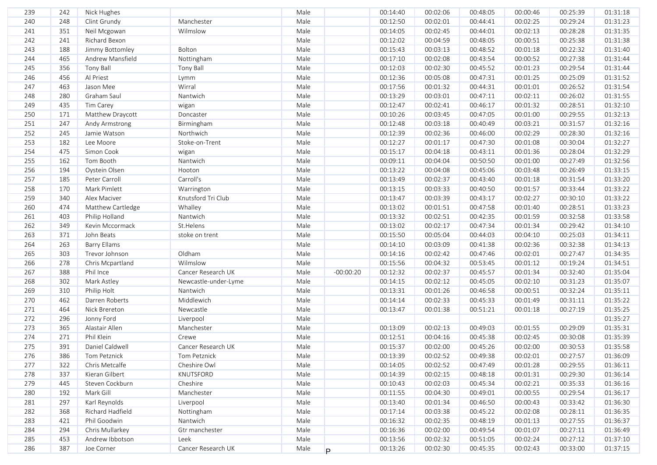| 239 | 242 | Nick Hughes         |                      | Male |             | 00:14:40 | 00:02:06 | 00:48:05 | 00:00:46 | 00:25:39 | 01:31:18 |
|-----|-----|---------------------|----------------------|------|-------------|----------|----------|----------|----------|----------|----------|
| 240 | 248 | Clint Grundy        | Manchester           | Male |             | 00:12:50 | 00:02:01 | 00:44:41 | 00:02:25 | 00:29:24 | 01:31:23 |
| 241 | 351 | Neil Mcgowan        | Wilmslow             | Male |             | 00:14:05 | 00:02:45 | 00:44:01 | 00:02:13 | 00:28:28 | 01:31:35 |
| 242 | 241 | Richard Bexon       |                      | Male |             | 00:12:02 | 00:04:59 | 00:48:05 | 00:00:51 | 00:25:38 | 01:31:38 |
| 243 | 188 | Jimmy Bottomley     | Bolton               | Male |             | 00:15:43 | 00:03:13 | 00:48:52 | 00:01:18 | 00:22:32 | 01:31:40 |
| 244 | 465 | Andrew Mansfield    | Nottingham           | Male |             | 00:17:10 | 00:02:08 | 00:43:54 | 00:00:52 | 00:27:38 | 01:31:44 |
| 245 | 356 | <b>Tony Ball</b>    | Tony Ball            | Male |             | 00:12:03 | 00:02:30 | 00:45:52 | 00:01:23 | 00:29:54 | 01:31:44 |
| 246 | 456 | Al Priest           | Lymm                 | Male |             | 00:12:36 | 00:05:08 | 00:47:31 | 00:01:25 | 00:25:09 | 01:31:52 |
| 247 | 463 | Jason Mee           | Wirral               | Male |             | 00:17:56 | 00:01:32 | 00:44:31 | 00:01:01 | 00:26:52 | 01:31:54 |
| 248 | 280 | Graham Saul         | Nantwich             | Male |             | 00:13:29 | 00:03:01 | 00:47:11 | 00:02:11 | 00:26:02 | 01:31:55 |
| 249 | 435 | Tim Carey           | wigan                | Male |             | 00:12:47 | 00:02:41 | 00:46:17 | 00:01:32 | 00:28:51 | 01:32:10 |
| 250 | 171 | Matthew Draycott    | Doncaster            | Male |             | 00:10:26 | 00:03:45 | 00:47:05 | 00:01:00 | 00:29:55 | 01:32:13 |
| 251 | 247 | Andy Armstrong      | Birmingham           | Male |             | 00:12:48 | 00:03:18 | 00:40:49 | 00:03:21 | 00:31:57 | 01:32:16 |
| 252 | 245 | Jamie Watson        | Northwich            | Male |             | 00:12:39 | 00:02:36 | 00:46:00 | 00:02:29 | 00:28:30 | 01:32:16 |
| 253 | 182 | Lee Moore           | Stoke-on-Trent       | Male |             | 00:12:27 | 00:01:17 | 00:47:30 | 00:01:08 | 00:30:04 | 01:32:27 |
| 254 | 475 | Simon Cook          | wigan                | Male |             | 00:15:17 | 00:04:18 | 00:43:11 | 00:01:36 | 00:28:04 | 01:32:29 |
| 255 | 162 | Tom Booth           | Nantwich             | Male |             | 00:09:11 | 00:04:04 | 00:50:50 | 00:01:00 | 00:27:49 | 01:32:56 |
| 256 | 194 | Oystein Olsen       | Hooton               | Male |             | 00:13:22 | 00:04:08 | 00:45:06 | 00:03:48 | 00:26:49 | 01:33:15 |
| 257 | 185 | Peter Carroll       | Carroll's            | Male |             | 00:13:49 | 00:02:37 | 00:43:40 | 00:01:18 | 00:31:54 | 01:33:20 |
| 258 | 170 | Mark Pimlett        | Warrington           | Male |             | 00:13:15 | 00:03:33 | 00:40:50 | 00:01:57 | 00:33:44 | 01:33:22 |
| 259 | 340 | Alex Maciver        | Knutsford Tri Club   | Male |             | 00:13:47 | 00:03:39 | 00:43:17 | 00:02:27 | 00:30:10 | 01:33:22 |
| 260 | 474 | Matthew Cartledge   | Whalley              | Male |             | 00:13:02 | 00:01:51 | 00:47:58 | 00:01:40 | 00:28:51 | 01:33:23 |
| 261 | 403 | Philip Holland      | Nantwich             | Male |             | 00:13:32 | 00:02:51 | 00:42:35 | 00:01:59 | 00:32:58 | 01:33:58 |
| 262 | 349 | Kevin Mccormack     | St.Helens            | Male |             | 00:13:02 | 00:02:17 | 00:47:34 | 00:01:34 | 00:29:42 | 01:34:10 |
| 263 | 371 | John Beats          | stoke on trent       | Male |             | 00:15:50 | 00:05:04 | 00:44:03 | 00:04:10 | 00:25:03 | 01:34:11 |
| 264 | 263 | <b>Barry Ellams</b> |                      | Male |             | 00:14:10 | 00:03:09 | 00:41:38 | 00:02:36 | 00:32:38 | 01:34:13 |
| 265 | 303 | Trevor Johnson      | Oldham               | Male |             | 00:14:16 | 00:02:42 | 00:47:46 | 00:02:01 | 00:27:47 | 01:34:35 |
| 266 | 278 | Chris Mcpartland    | Wilmslow             | Male |             | 00:15:56 | 00:04:32 | 00:53:45 | 00:01:12 | 00:19:24 | 01:34:51 |
| 267 | 388 | Phil Ince           | Cancer Research UK   | Male | $-00:00:20$ | 00:12:32 | 00:02:37 | 00:45:57 | 00:01:34 | 00:32:40 | 01:35:04 |
| 268 | 302 | Mark Astley         | Newcastle-under-Lyme | Male |             | 00:14:15 | 00:02:12 | 00:45:05 | 00:02:10 | 00:31:23 | 01:35:07 |
| 269 | 310 | Philip Holt         | Nantwich             | Male |             | 00:13:31 | 00:01:26 | 00:46:58 | 00:00:51 | 00:32:24 | 01:35:11 |
| 270 | 462 | Darren Roberts      | Middlewich           | Male |             | 00:14:14 | 00:02:33 | 00:45:33 | 00:01:49 | 00:31:11 | 01:35:22 |
| 271 | 464 | Nick Brereton       | Newcastle            | Male |             | 00:13:47 | 00:01:38 | 00:51:21 | 00:01:18 | 00:27:19 | 01:35:25 |
| 272 | 296 | Jonny Ford          | Liverpool            | Male |             |          |          |          |          |          | 01:35:27 |
| 273 | 365 | Alastair Allen      | Manchester           | Male |             | 00:13:09 | 00:02:13 | 00:49:03 | 00:01:55 | 00:29:09 | 01:35:31 |
| 274 | 271 | Phil Klein          | Crewe                | Male |             | 00:12:51 | 00:04:16 | 00:45:38 | 00:02:45 | 00:30:08 | 01:35:39 |
| 275 | 391 | Daniel Caldwell     | Cancer Research UK   | Male |             | 00:15:37 | 00:02:00 | 00:45:26 | 00:02:00 | 00:30:53 | 01:35:58 |
| 276 | 386 | Tom Petznick        | Tom Petznick         | Male |             | 00:13:39 | 00:02:52 | 00:49:38 | 00:02:01 | 00:27:57 | 01:36:09 |
| 277 | 322 | Chris Metcalfe      | Cheshire Owl         | Male |             | 00:14:05 | 00:02:52 | 00:47:49 | 00:01:28 | 00:29:55 | 01:36:11 |
| 278 | 337 | Kieran Gilbert      | KNUTSFORD            | Male |             | 00:14:39 | 00:02:15 | 00:48:18 | 00:01:31 | 00:29:30 | 01:36:14 |
| 279 | 445 | Steven Cockburn     | Cheshire             | Male |             | 00:10:43 | 00:02:03 | 00:45:34 | 00:02:21 | 00:35:33 | 01:36:16 |
| 280 | 192 | Mark Gill           | Manchester           | Male |             | 00:11:55 | 00:04:30 | 00:49:01 | 00:00:55 | 00:29:54 | 01:36:17 |
| 281 | 297 | Karl Reynolds       | Liverpool            | Male |             | 00:13:40 | 00:01:34 | 00:46:50 | 00:00:43 | 00:33:42 | 01:36:30 |
| 282 | 368 | Richard Hadfield    | Nottingham           | Male |             | 00:17:14 | 00:03:38 | 00:45:22 | 00:02:08 | 00:28:11 | 01:36:35 |
| 283 | 421 | Phil Goodwin        | Nantwich             | Male |             | 00:16:32 | 00:02:35 | 00:48:19 | 00:01:13 | 00:27:55 | 01:36:37 |
| 284 | 294 | Chris Mullarkey     | Gtr manchester       | Male |             | 00:16:36 | 00:02:00 | 00:49:54 | 00:01:07 | 00:27:11 | 01:36:49 |
| 285 | 453 | Andrew Ibbotson     | Leek                 | Male |             | 00:13:56 | 00:02:32 | 00:51:05 | 00:02:24 | 00:27:12 | 01:37:10 |
| 286 | 387 | Joe Corner          | Cancer Research UK   | Male | Þ           | 00:13:26 | 00:02:30 | 00:45:35 | 00:02:43 | 00:33:00 | 01:37:15 |
|     |     |                     |                      |      |             |          |          |          |          |          |          |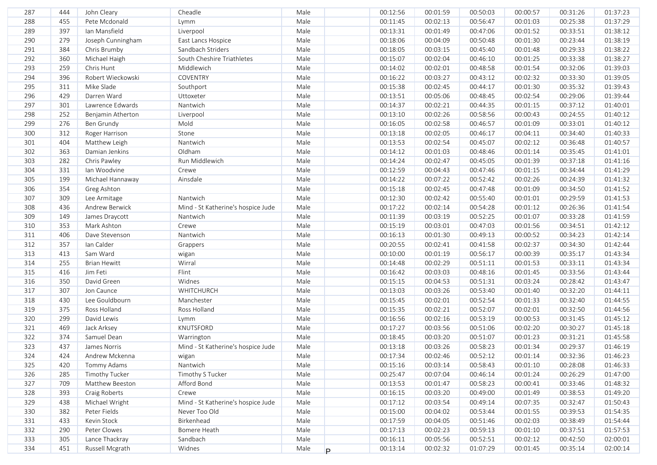| 287 | 444 | John Cleary         | Cheadle                            | Male |    | 00:12:56 | 00:01:59 | 00:50:03 | 00:00:57 | 00:31:26 | 01:37:23 |
|-----|-----|---------------------|------------------------------------|------|----|----------|----------|----------|----------|----------|----------|
| 288 | 455 | Pete Mcdonald       | Lymm                               | Male |    | 00:11:45 | 00:02:13 | 00:56:47 | 00:01:03 | 00:25:38 | 01:37:29 |
| 289 | 397 | Ian Mansfield       | Liverpool                          | Male |    | 00:13:31 | 00:01:49 | 00:47:06 | 00:01:52 | 00:33:51 | 01:38:12 |
| 290 | 279 | Joseph Cunningham   | East Lancs Hospice                 | Male |    | 00:18:06 | 00:04:09 | 00:50:48 | 00:01:30 | 00:23:44 | 01:38:19 |
| 291 | 384 | Chris Brumby        | Sandbach Striders                  | Male |    | 00:18:05 | 00:03:15 | 00:45:40 | 00:01:48 | 00:29:33 | 01:38:22 |
| 292 | 360 | Michael Haigh       | South Cheshire Triathletes         | Male |    | 00:15:07 | 00:02:04 | 00:46:10 | 00:01:25 | 00:33:38 | 01:38:27 |
| 293 | 259 | Chris Hunt          | Middlewich                         | Male |    | 00:14:02 | 00:02:01 | 00:48:58 | 00:01:54 | 00:32:06 | 01:39:03 |
| 294 | 396 | Robert Wieckowski   | COVENTRY                           | Male |    | 00:16:22 | 00:03:27 | 00:43:12 | 00:02:32 | 00:33:30 | 01:39:05 |
| 295 | 311 | Mike Slade          | Southport                          | Male |    | 00:15:38 | 00:02:45 | 00:44:17 | 00:01:30 | 00:35:32 | 01:39:43 |
| 296 | 429 | Darren Ward         | Uttoxeter                          | Male |    | 00:13:51 | 00:05:06 | 00:48:45 | 00:02:54 | 00:29:06 | 01:39:44 |
| 297 | 301 | Lawrence Edwards    | Nantwich                           | Male |    | 00:14:37 | 00:02:21 | 00:44:35 | 00:01:15 | 00:37:12 | 01:40:01 |
| 298 | 252 | Benjamin Atherton   | Liverpool                          | Male |    | 00:13:10 | 00:02:26 | 00:58:56 | 00:00:43 | 00:24:55 | 01:40:12 |
| 299 | 276 | Ben Grundy          | Mold                               | Male |    | 00:16:05 | 00:02:58 | 00:46:57 | 00:01:09 | 00:33:01 | 01:40:12 |
| 300 | 312 | Roger Harrison      | Stone                              | Male |    | 00:13:18 | 00:02:05 | 00:46:17 | 00:04:11 | 00:34:40 | 01:40:33 |
| 301 | 404 | Matthew Leigh       | Nantwich                           | Male |    | 00:13:53 | 00:02:54 | 00:45:07 | 00:02:12 | 00:36:48 | 01:40:57 |
| 302 | 363 | Damian Jenkins      | Oldham                             | Male |    | 00:14:12 | 00:01:03 | 00:48:46 | 00:01:14 | 00:35:45 | 01:41:01 |
| 303 | 282 | Chris Pawley        | Run Middlewich                     | Male |    | 00:14:24 | 00:02:47 | 00:45:05 | 00:01:39 | 00:37:18 | 01:41:16 |
| 304 | 331 | Ian Woodvine        | Crewe                              | Male |    | 00:12:59 | 00:04:43 | 00:47:46 | 00:01:15 | 00:34:44 | 01:41:29 |
| 305 | 199 | Michael Hannaway    | Ainsdale                           | Male |    | 00:14:22 | 00:07:22 | 00:52:42 | 00:02:26 | 00:24:39 | 01:41:32 |
| 306 | 354 | Greg Ashton         |                                    | Male |    | 00:15:18 | 00:02:45 | 00:47:48 | 00:01:09 | 00:34:50 | 01:41:52 |
| 307 | 309 | Lee Armitage        | Nantwich                           | Male |    | 00:12:30 | 00:02:42 | 00:55:40 | 00:01:01 | 00:29:59 | 01:41:53 |
| 308 | 436 | Andrew Berwick      | Mind - St Katherine's hospice Jude | Male |    | 00:17:22 | 00:02:14 | 00:54:28 | 00:01:12 | 00:26:36 | 01:41:54 |
| 309 | 149 | James Draycott      | Nantwich                           | Male |    | 00:11:39 | 00:03:19 | 00:52:25 | 00:01:07 | 00:33:28 | 01:41:59 |
| 310 | 353 | Mark Ashton         | Crewe                              | Male |    | 00:15:19 | 00:03:01 | 00:47:03 | 00:01:56 | 00:34:51 | 01:42:12 |
| 311 | 406 | Dave Stevenson      | Nantwich                           | Male |    | 00:16:13 | 00:01:30 | 00:49:13 | 00:00:52 | 00:34:23 | 01:42:14 |
| 312 | 357 | Ian Calder          | Grappers                           | Male |    | 00:20:55 | 00:02:41 | 00:41:58 | 00:02:37 | 00:34:30 | 01:42:44 |
| 313 | 413 | Sam Ward            | wigan                              | Male |    | 00:10:00 | 00:01:19 | 00:56:17 | 00:00:39 | 00:35:17 | 01:43:34 |
| 314 | 255 | <b>Brian Hewitt</b> | Wirral                             | Male |    | 00:14:48 | 00:02:29 | 00:51:11 | 00:01:53 | 00:33:11 | 01:43:34 |
| 315 | 416 | Jim Feti            | Flint                              | Male |    | 00:16:42 | 00:03:03 | 00:48:16 | 00:01:45 | 00:33:56 | 01:43:44 |
| 316 | 350 | David Green         | Widnes                             | Male |    | 00:15:15 | 00:04:53 | 00:51:31 | 00:03:24 | 00:28:42 | 01:43:47 |
| 317 | 307 | Jon Caunce          | WHITCHURCH                         | Male |    | 00:13:03 | 00:03:26 | 00:53:40 | 00:01:40 | 00:32:20 | 01:44:11 |
| 318 | 430 | Lee Gouldbourn      | Manchester                         | Male |    | 00:15:45 | 00:02:01 | 00:52:54 | 00:01:33 | 00:32:40 | 01:44:55 |
| 319 | 375 | Ross Holland        | Ross Holland                       | Male |    | 00:15:35 | 00:02:21 | 00:52:07 | 00:02:01 | 00:32:50 | 01:44:56 |
| 320 | 299 | David Lewis         | Lymm                               | Male |    | 00:16:56 | 00:02:16 | 00:53:19 | 00:00:53 | 00:31:45 | 01:45:12 |
| 321 | 469 | Jack Arksey         | KNUTSFORD                          | Male |    | 00:17:27 | 00:03:56 | 00:51:06 | 00:02:20 | 00:30:27 | 01:45:18 |
| 322 | 374 | Samuel Dean         | Warrington                         | Male |    | 00:18:45 | 00:03:20 | 00:51:07 | 00:01:23 | 00:31:21 | 01:45:58 |
| 323 | 437 | James Norris        | Mind - St Katherine's hospice Jude | Male |    | 00:13:18 | 00:03:26 | 00:58:23 | 00:01:34 | 00:29:37 | 01:46:19 |
| 324 | 424 | Andrew Mckenna      | wigan                              | Male |    | 00:17:34 | 00:02:46 | 00:52:12 | 00:01:14 | 00:32:36 | 01:46:23 |
| 325 | 420 | Tommy Adams         | Nantwich                           | Male |    | 00:15:16 | 00:03:14 | 00:58:43 | 00:01:10 | 00:28:08 | 01:46:33 |
| 326 | 285 | Timothy Tucker      | Timothy S Tucker                   | Male |    | 00:25:47 | 00:07:04 | 00:46:14 | 00:01:24 | 00:26:29 | 01:47:00 |
| 327 | 709 | Matthew Beeston     | Afford Bond                        | Male |    | 00:13:53 | 00:01:47 | 00:58:23 | 00:00:41 | 00:33:46 | 01:48:32 |
| 328 | 393 | Craig Roberts       | Crewe                              | Male |    | 00:16:15 | 00:03:20 | 00:49:00 | 00:01:49 | 00:38:53 | 01:49:20 |
| 329 | 438 | Michael Wright      | Mind - St Katherine's hospice Jude | Male |    | 00:17:12 | 00:03:54 | 00:49:14 | 00:07:35 | 00:32:47 | 01:50:43 |
| 330 | 382 | Peter Fields        | Never Too Old                      | Male |    | 00:15:00 | 00:04:02 | 00:53:44 | 00:01:55 | 00:39:53 | 01:54:35 |
| 331 | 433 | Kevin Stock         | Birkenhead                         | Male |    | 00:17:59 | 00:04:05 | 00:51:46 | 00:02:03 | 00:38:49 | 01:54:44 |
| 332 | 290 | Peter Clowes        | Bomere Heath                       | Male |    | 00:17:13 | 00:02:23 | 00:59:13 | 00:01:10 | 00:37:51 | 01:57:53 |
| 333 | 305 | Lance Thackray      | Sandbach                           | Male |    | 00:16:11 | 00:05:56 | 00:52:51 | 00:02:12 | 00:42:50 | 02:00:01 |
| 334 | 451 | Russell Mcgrath     | Widnes                             | Male | P. | 00:13:14 | 00:02:32 | 01:07:29 | 00:01:45 | 00:35:14 | 02:00:14 |
|     |     |                     |                                    |      |    |          |          |          |          |          |          |